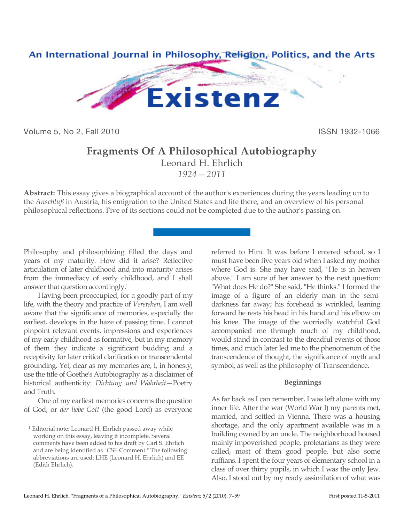

Volume 5, No 2, Fall 2010 **ISSN 1932-1066** 

# **Fragments Of A Philosophical Autobiography**

Leonard H. Ehrlich *1924—2011*

**Abstract:** This essay gives a biographical account of the author's experiences during the years leading up to the *Anschluß* in Austria, his emigration to the United States and life there, and an overview of his personal philosophical reflections. Five of its sections could not be completed due to the author's passing on.

Philosophy and philosophizing filled the days and years of my maturity. How did it arise? Reflective articulation of later childhood and into maturity arises from the immediacy of early childhood, and I shall answer that question accordingly.1

Having been preoccupied, for a goodly part of my life, with the theory and practice of *Verstehen*, I am well aware that the significance of memories, especially the earliest, develops in the haze of passing time. I cannot pinpoint relevant events, impressions and experiences of my early childhood as formative, but in my memory of them they indicate a significant budding and a receptivity for later critical clarification or transcendental grounding. Yet, clear as my memories are, I, in honesty, use the title of Goethe's Autobiography as a disclaimer of historical authenticity: *Dichtung und Wahrheit*—Poetry and Truth.

One of my earliest memories concerns the question of God, or *der liebe Gott* (the good Lord) as everyone

 $\overline{a}$ 

referred to Him. It was before I entered school, so I must have been five years old when I asked my mother where God is. She may have said, "He is in heaven above." I am sure of her answer to the next question: "What does He do?" She said, "He thinks." I formed the image of a figure of an elderly man in the semidarkness far away; his forehead is wrinkled, leaning forward he rests his head in his hand and his elbow on his knee. The image of the worriedly watchful God accompanied me through much of my childhood, would stand in contrast to the dreadful events of those times, and much later led me to the phenomenon of the transcendence of thought, the significance of myth and symbol, as well as the philosophy of Transcendence.

# **Beginnings**

As far back as I can remember, I was left alone with my inner life. After the war (World War I) my parents met, married, and settled in Vienna. There was a housing shortage, and the only apartment available was in a building owned by an uncle. The neighborhood housed mainly impoverished people, proletarians as they were called, most of them good people, but also some ruffians. I spent the four years of elementary school in a class of over thirty pupils, in which I was the only Jew. Also, I stood out by my ready assimilation of what was

<sup>&</sup>lt;sup>1</sup> Editorial note: Leonard H. Ehrlich passed away while working on this essay, leaving it incomplete. Several comments have been added to his draft by Carl S. Ehrlich and are being identified as "CSE Comment." The following abbreviations are used: LHE (Leonard H. Ehrlich) and EE (Edith Ehrlich).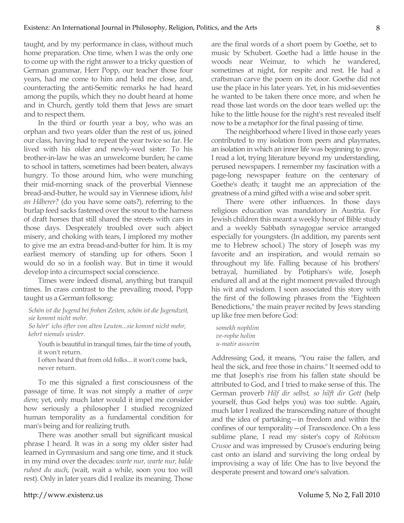taught, and by my performance in class, without much home preparation. One time, when I was the only one to come up with the right answer to a tricky question of German grammar, Herr Popp, our teacher those four years, had me come to him and held me close, and, counteracting the anti-Semitic remarks he had heard among the pupils, which they no doubt heard at home and in Church, gently told them that Jews are smart and to respect them.

In the third or fourth year a boy, who was an orphan and two years older than the rest of us, joined our class, having had to repeat the year twice so far. He lived with his older and newly-wed sister. To his brother-in-law he was an unwelcome burden; he came to school in tatters, sometimes had been beaten, always hungry. To those around him, who were munching their mid-morning snack of the proverbial Viennese bread-and-butter, he would say in Viennese idiom, *håst an Håberer?* (do you have some oats?), referring to the burlap feed sacks fastened over the snout to the harness of draft horses that still shared the streets with cars in those days. Desperately troubled over such abject misery, and choking with tears, I implored my mother to give me an extra bread-and-butter for him. It is my earliest memory of standing up for others. Soon I would do so in a foolish way. But in time it would develop into a circumspect social conscience.

Times were indeed dismal, anything but tranquil times. In crass contrast to the prevailing mood, Popp taught us a German folksong:

*Schön ist die Jugend bei frohen Zeiten, schön ist die Jugendzeit, sie kommt nicht mehr.*

*So hört' ichs öfter von alten Leuten...sie kommt nicht mehr, kehrt niemals wieder.*

Youth is beautiful in tranquil times, fair the time of youth, it won't return.

I often heard that from old folks... it won't come back, never return.

To me this signaled a first consciousness of the passage of time. It was not simply a matter of *carpe diem*; yet, only much later would it impel me consider how seriously a philosopher I studied recognized human temporality as a fundamental condition for man's being and for realizing truth.

There was another small but significant musical phrase I heard. It was in a song my older sister had learned in Gymnasium and sang one time, and it stuck in my mind over the decades: *warte nur, warte nur, balde ruhest du auch*, (wait, wait a while, soon you too will rest). Only in later years did I realize its meaning. Those

are the final words of a short poem by Goethe, set to music by Schubert. Goethe had a little house in the woods near Weimar, to which he wandered, sometimes at night, for respite and rest. He had a craftsman carve the poem on its door. Goethe did not use the place in his later years. Yet, in his mid-seventies he wanted to be taken there once more, and when he read those last words on the door tears welled up: the hike to the little house for the night's rest revealed itself now to be a metaphor for the final passing of time.

The neighborhood where I lived in those early years contributed to my isolation from peers and playmates, an isolation in which an inner life was beginning to grow. I read a lot, trying literature beyond my understanding, perused newspapers. I remember my fascination with a page-long newspaper feature on the centenary of Goethe's death; it taught me an appreciation of the greatness of a mind gifted with a wise and sober sprit.

There were other influences. In those days religious education was mandatory in Austria. For Jewish children this meant a weekly hour of Bible study and a weekly Sabbath synagogue service arranged especially for youngsters. (In addition, my parents sent me to Hebrew school.) The story of Joseph was my favorite and an inspiration, and would remain so throughout my life. Falling because of his brothers' betrayal, humiliated by Potiphars's wife, Joseph endured all and at the right moment prevailed through his wit and wisdom. I soon associated this story with the first of the following phrases from the "Eighteen Benedictions," the main prayer recited by Jews standing up like free men before God:

*somekh nophlim ve-rophe holim u-matir assurim*

Addressing God, it means, "You raise the fallen, and heal the sick, and free those in chains." It seemed odd to me that Joseph's rise from his fallen state should be attributed to God, and I tried to make sense of this. The German proverb *Hilf dir selbst, so hilft dir Gott* (help yourself, thus God helps you) was too subtle. Again, much later I realized the transcending nature of thought and the idea of partaking—in freedom and within the confines of our temporality—of Transcedence. On a less sublime plane, I read my sister's copy of *Robinson Crusoe* and was impressed by Crusoe's enduring being cast onto an island and surviving the long ordeal by improvising a way of life: One has to live beyond the desperate present and toward one's salvation.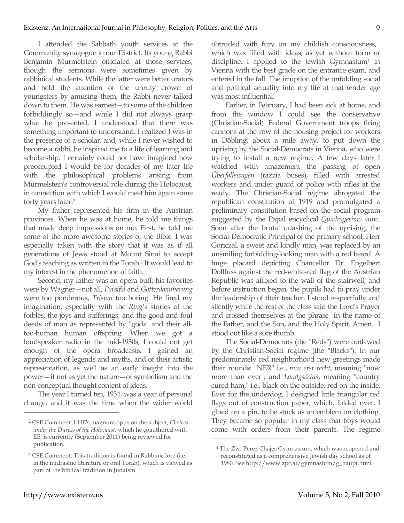I attended the Sabbath youth services at the Community synagogue in our District. Its young Rabbi Benjamin Murmelstein officiated at those services, though the sermons were sometimes given by rabbinical students. While the latter were better orators and held the attention of the unruly crowd of youngsters by amusing them, the Rabbi never talked down to them. He was earnest—to some of the children forbiddingly so—and while I did not always grasp what he presented, I understood that there was something important to understand. I realized I was in the presence of a scholar, and, while I never wished to become a rabbi, he inspired me to a life of learning and scholarship. I certainly could not have imagined how preoccupied I would be for decades of my later life with the philosophical problems arising from Murmelstein's controversial role during the Holocaust, in connection with which I would meet him again some forty years later.2

My father represented his firm in the Austrian provinces. When he was at home, he told me things that made deep impressions on me. First, he told me some of the more awesome stories of the Bible. I was especially taken with the story that it was as if all generations of Jews stood at Mount Sinai to accept God's teaching as written in the Torah.3 It would lead to my interest in the phenomenon of faith.

Second, my father was an opera buff; his favorites were by Wagner—not all, *Parsifal* and *Götterdämmerung* were too ponderous, *Tristan* too boring. He fired my imagination, especially with the *Ring's* stories of the foibles, the joys and sufferings, and the good and foul deeds of man as represented by "gods" and their alltoo-human human offspring. When we got a loudspeaker radio in the mid-1930s, I could not get enough of the opera broadcasts. I gained an appreciation of legends and myths, and of their artistic representation, as well as an early insight into the power—if not as yet the nature—of symbolism and the non-conceptual thought content of ideas.

The year I turned ten, 1934, was a year of personal change, and it was the time when the wider world obtruded with fury on my childish consciousness, which was filled with ideas, as yet without form or discipline. I applied to the Jewish Gymnasium4 in Vienna with the best grade on the entrance exam, and entered in the fall. The irruption of the unfolding social and political actuality into my life at that tender age was most influential.

Earlier, in February, I had been sick at home, and from the window I could see the conservative (Christian-Social) Federal Government troops firing cannons at the row of the housing project for workers in Döbling, about a mile away, to put down the uprising by the Social-Democrats in Vienna, who were trying to install a new regime. A few days later I watched with amazement the passing of open *Überfallswagen* (razzia buses), filled with arrested workers and under guard of police with rifles at the ready. The Christian-Social regime abrogated the republican constitution of 1919 and promulgated a preliminary constitution based on the social program suggested by the Papal encyclical *Quadragesimo anno*. Soon after the brutal quashing of the uprising, the Social-Democratic Principal of the primary school, Herr Goriczal, a sweet and kindly man, was replaced by an unsmiling forbidding-looking man with a red beard. A huge placard depicting Chancellor Dr. Engelbert Dollfuss against the red-white-red flag of the Austrian Republic was affixed to the wall of the stairwell; and before instruction began, the pupils had to pray under the leadership of their teacher. I stood respectfully and silently while the rest of the class said the Lord's Prayer and crossed themselves at the phrase "In the name of the Father, and the Son, and the Holy Spirit, Amen." I stood out like a sore thumb.

The Social-Democrats (the "Reds") were outlawed by the Christian-Social regime (the "Blacks"). In our predominately red neighborhood new greetings made their rounds: "NER" i.e., *nun erst recht*, meaning "now more than ever"; and *Landgsöchts*, meaning "country cured ham," i.e., black on the outside, red on the inside. Ever for the underdog, I designed little triangular red flags out of construction paper, which, folded over, I glued on a pin, to be stuck as an emblem on clothing. They became so popular in my class that boys would come with orders from their parents. The regime

 $\overline{a}$ 

<sup>2</sup> CSE Comment: LHE's magnum opus on the subject, *Choices under the Duress of the Holocaust*, which he coauthored with EE, is currently (September 2011) being reviewed for publication.

<sup>3</sup> CSE Comment: This tradition is found in Rabbinic lore (i.e., in the midrashic literature or oral Torah), which is viewed as part of the biblical tradition in Judaism.

<sup>4</sup> The Zwi Perez Chajes Gymnasium, which was reopened and reconstituted as a comprehensive Jewish day school as of 1980. See http://www.zpc.at/gymnasium/g\_haupt.html.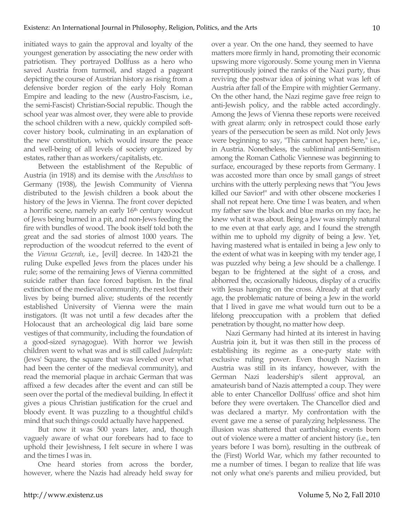initiated ways to gain the approval and loyalty of the youngest generation by associating the new order with patriotism. They portrayed Dollfuss as a hero who saved Austria from turmoil, and staged a pageant depicting the course of Austrian history as rising from a defensive border region of the early Holy Roman Empire and leading to the new (Austro-Fascism, i.e., the semi-Fascist) Christian-Social republic. Though the school year was almost over, they were able to provide the school children with a new, quickly compiled softcover history book, culminating in an explanation of the new constitution, which would insure the peace and well-being of all levels of society organized by estates, rather than as workers/capitalists, etc.

Between the establishment of the Republic of Austria (in 1918) and its demise with the *Anschluss* to Germany (1938), the Jewish Community of Vienna distributed to the Jewish children a book about the history of the Jews in Vienna. The front cover depicted a horrific scene, namely an early 16th century woodcut of Jews being burned in a pit, and non-Jews feeding the fire with bundles of wood. The book itself told both the great and the sad stories of almost 1000 years. The reproduction of the woodcut referred to the event of the *Vienna Gezerah*, i.e., [evil] decree. In 1420-21 the ruling Duke expelled Jews from the places under his rule; some of the remaining Jews of Vienna committed suicide rather than face forced baptism. In the final extinction of the medieval community, the rest lost their lives by being burned alive; students of the recently established University of Vienna were the main instigators. (It was not until a few decades after the Holocaust that an archeological dig laid bare some vestiges of that community, including the foundation of a good-sized synagogue). With horror we Jewish children went to what was and is still called *Judenplatz* (Jews' Square, the square that was leveled over what had been the center of the medieval community), and read the memorial plaque in archaic German that was affixed a few decades after the event and can still be seen over the portal of the medieval building. In effect it gives a pious Christian justification for the cruel and bloody event. It was puzzling to a thoughtful child's mind that such things could actually have happened.

But now it was 500 years later, and, though vaguely aware of what our forebears had to face to uphold their Jewishness, I felt secure in where I was and the times I was in.

One heard stories from across the border, however, where the Nazis had already held sway for over a year. On the one hand, they seemed to have matters more firmly in hand, promoting their economic upswing more vigorously. Some young men in Vienna surreptitiously joined the ranks of the Nazi party, thus reviving the postwar idea of joining what was left of Austria after fall of the Empire with mightier Germany. On the other hand, the Nazi regime gave free reign to anti-Jewish policy, and the rabble acted accordingly. Among the Jews of Vienna these reports were received with great alarm; only in retrospect could those early years of the persecution be seen as mild. Not only Jews were beginning to say, "This cannot happen here," i.e., in Austria. Nonetheless, the subliminal anti-Semitism among the Roman Catholic Viennese was beginning to surface, encouraged by these reports from Germany. I was accosted more than once by small gangs of street urchins with the utterly perplexing news that "You Jews killed our Savior!" and with other obscene mockeries I shall not repeat here. One time I was beaten, and when my father saw the black and blue marks on my face, he knew what it was about. Being a Jew was simply natural to me even at that early age, and I found the strength within me to uphold my dignity of being a Jew. Yet, having mastered what is entailed in being a Jew only to the extent of what was in keeping with my tender age, I was puzzled why being a Jew should be a challenge. I began to be frightened at the sight of a cross, and abhorred the, occasionally hideous, display of a crucifix with Jesus hanging on the cross. Already at that early age, the problematic nature of being a Jew in the world that I lived in gave me what would turn out to be a lifelong preoccupation with a problem that defied penetration by thought, no matter how deep.

Nazi Germany had hinted at its interest in having Austria join it, but it was then still in the process of establishing its regime as a one-party state with exclusive ruling power. Even though Nazism in Austria was still in its infancy, however, with the German Nazi leadership's silent approval, an amateurish band of Nazis attempted a coup. They were able to enter Chancellor Dollfuss' office and shot him before they were overtaken. The Chancellor died and was declared a martyr. My confrontation with the event gave me a sense of paralyzing helplessness. The illusion was shattered that earthshaking events born out of violence were a matter of ancient history (i.e., ten years before I was born), resulting in the outbreak of the (First) World War, which my father recounted to me a number of times. I began to realize that life was not only what one's parents and milieu provided, but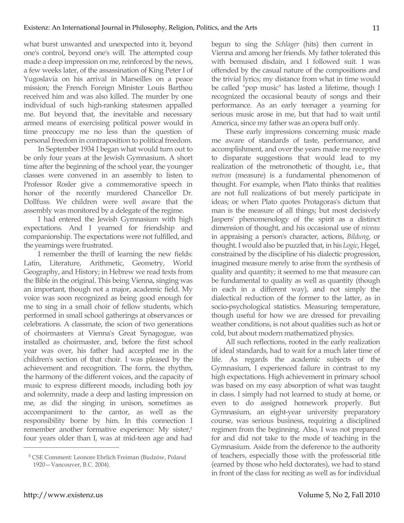what burst unwanted and unexpected into it, beyond one's control, beyond one's will. The attempted coup made a deep impression on me, reinforced by the news, a few weeks later, of the assassination of King Peter I of Yugoslavia on his arrival in Marseilles on a peace mission; the French Foreign Minister Louis Barthou received him and was also killed. The murder by one individual of such high-ranking statesmen appalled me. But beyond that, the inevitable and necessary armed means of exercising political power would in time preoccupy me no less than the question of personal freedom in contraposition to political freedom.

In September 1934 I began what would turn out to be only four years at the Jewish Gymnasium. A short time after the beginning of the school year, the younger classes were convened in an assembly to listen to Professor Rosler give a commemorative speech in honor of the recently murdered Chancellor Dr. Dollfuss. We children were well aware that the assembly was monitored by a delegate of the regime.

I had entered the Jewish Gymnasium with high expectations. And I yearned for friendship and companionship. The expectations were not fulfilled, and the yearnings were frustrated.

I remember the thrill of learning the new fields: Latin, Literature, Arithmetic, Geometry, World Geography, and History; in Hebrew we read texts from the Bible in the original. This being Vienna, singing was an important, though not a major, academic field. My voice was soon recognized as being good enough for me to sing in a small choir of fellow students, which performed in small school gatherings at observances or celebrations. A classmate, the scion of two generations of choirmasters at Vienna's Great Synagogue, was installed as choirmaster, and, before the first school year was over, his father had accepted me in the children's section of that choir. I was pleased by the achievement and recognition. The form, the rhythm, the harmony of the different voices, and the capacity of music to express different moods, including both joy and solemnity, made a deep and lasting impression on me, as did the singing in unison, sometimes as accompaniment to the cantor, as well as the responsibility borne by him. In this connection I remember another formative experience: My sister,<sup>5</sup> four years older than I, was at mid-teen age and had begun to sing the *Schlager* (hits) then current in Vienna and among her friends. My father tolerated this with bemused disdain, and I followed suit. I was offended by the casual nature of the compositions and the trivial lyrics; my distance from what in time would be called "pop music" has lasted a lifetime, though I recognized the occasional beauty of songs and their performance. As an early teenager a yearning for serious music arose in me, but that had to wait until America, since my father was an opera buff only.

These early impressions concerning music made me aware of standards of taste, performance, and accomplishment, and over the years made me receptive to disparate suggestions that would lead to my realization of the metronothetic of thought, i.e., that *metron* (measure) is a fundamental phenomenon of thought. For example, when Plato thinks that realities are not full realizations of but merely participate in ideas; or when Plato quotes Protagoras's dictum that man is the measure of all things; but most decisively Jaspers' phenomenology of the spirit as a distinct dimension of thought, and his occasional use of *niveau* in appraising a person's character, actions, *Bildung*, or thought. I would also be puzzled that, in his *Logic*, Hegel, constrained by the discipline of his dialectic progression, imagined measure merely to arise from the synthesis of quality and quantity; it seemed to me that measure can be fundamental to quality as well as quantity (though in each in a different way), and not simply the dialectical reduction of the former to the latter, as in socio-psychological statistics. Measuring temperature, though useful for how we are dressed for prevailing weather conditions, is not about qualities such as hot or cold, but about modern mathematized physics.

All such reflections, rooted in the early realization of ideal standards, had to wait for a much later time of life. As regards the academic subjects of the Gymnasium, I experienced failure in contrast to my high expectations. High achievement in primary school was based on my easy absorption of what was taught in class. I simply had not learned to study at home, or even to do assigned homework properly. But Gymnasium, an eight-year university preparatory course, was serious business, requiring a disciplined regimen from the beginning. Also, I was not prepared for and did not take to the mode of teaching in the Gymnasium. Aside from the deference to the authority of teachers, especially those with the professorial title (earned by those who held doctorates), we had to stand in front of the class for reciting as well as for individual

<sup>5</sup> CSE Comment: Leonore Ehrlich Freiman (Budzów, Poland 1920—Vancouver, B.C. 2004).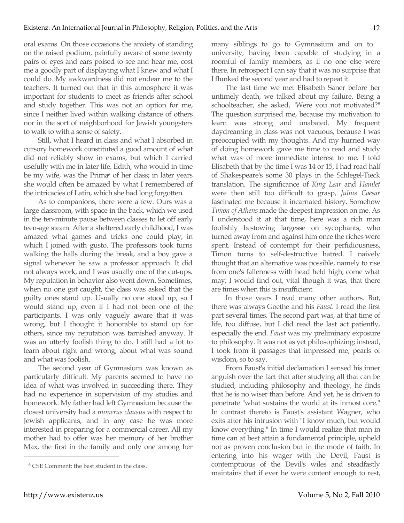oral exams. On those occasions the anxiety of standing on the raised podium, painfully aware of some twenty pairs of eyes and ears poised to see and hear me, cost me a goodly part of displaying what I knew and what I could do. My awkwardness did not endear me to the teachers. It turned out that in this atmosphere it was important for students to meet as friends after school and study together. This was not an option for me, since I neither lived within walking distance of others nor in the sort of neighborhood for Jewish youngsters to walk to with a sense of safety.

Still, what I heard in class and what I absorbed in cursory homework constituted a good amount of what did not reliably show in exams, but which I carried usefully with me in later life. Edith, who would in time be my wife, was the Prima<sup>6</sup> of her class; in later years she would often be amazed by what I remembered of the intricacies of Latin, which she had long forgotten.

As to companions, there were a few. Ours was a large classroom, with space in the back, which we used in the ten-minute pause between classes to let off early teen-age steam. After a sheltered early childhood, I was amazed what games and tricks one could play, in which I joined with gusto. The professors took turns walking the halls during the break, and a boy gave a signal whenever he saw a professor approach. It did not always work, and I was usually one of the cut-ups. My reputation in behavior also went down. Sometimes, when no one got caught, the class was asked that the guilty ones stand up. Usually no one stood up, so I would stand up, even if I had not been one of the participants. I was only vaguely aware that it was wrong, but I thought it honorable to stand up for others, since my reputation was tarnished anyway. It was an utterly foolish thing to do. I still had a lot to learn about right and wrong, about what was sound and what was foolish.

The second year of Gymnasium was known as particularly difficult. My parents seemed to have no idea of what was involved in succeeding there. They had no experience in supervision of my studies and homework. My father had left Gymnasium because the closest university had a *numerus clausus* with respect to Jewish applicants, and in any case he was more interested in preparing for a commercial career. All my mother had to offer was her memory of her brother Max, the first in the family and only one among her many siblings to go to Gymnasium and on to university, having been capable of studying in a roomful of family members, as if no one else were there. In retrospect I can say that it was no surprise that I flunked the second year and had to repeat it.

The last time we met Elisabeth Saner before her untimely death, we talked about my failure. Being a schoolteacher, she asked, "Were you not motivated?" The question surprised me, because my motivation to learn was strong and unabated. My frequent daydreaming in class was not vacuous, because I was preoccupied with my thoughts. And my hurried way of doing homework gave me time to read and study what was of more immediate interest to me. I told Elisabeth that by the time I was 14 or 15, I had read half of Shakespeare's some 30 plays in the Schlegel-Tieck translation. The significance of *King Lear* and *Hamlet* were then still too difficult to grasp, *Julius Caesar* fascinated me because it incarnated history. Somehow *Timon of Athens* made the deepest impression on me. As I understood it at that time, here was a rich man foolishly bestowing largesse on sycophants, who turned away from and against him once the riches were spent. Instead of contempt for their perfidiousness, Timon turns to self-destructive hatred. I naively thought that an alternative was possible, namely to rise from one's fallenness with head held high, come what may; I would find out, vital though it was, that there are times when this is insufficient.

In those years I read many other authors. But, there was always Goethe and his *Faust*. I read the first part several times. The second part was, at that time of life, too diffuse, but I did read the last act patiently, especially the end. *Faust* was my preliminary exposure to philosophy. It was not as yet philosophizing; instead, I took from it passages that impressed me, pearls of wisdom, so to say.

From Faust's initial declamation I sensed his inner anguish over the fact that after studying all that can be studied, including philosophy and theology, he finds that he is no wiser than before. And yet, he is driven to penetrate "what sustains the world at its inmost core." In contrast thereto is Faust's assistant Wagner, who exits after his intrusion with "I know much, but would know everything." In time I would realize that man in time can at best attain a fundamental principle, upheld not as proven conclusion but in the mode of faith. In entering into his wager with the Devil, Faust is contemptuous of the Devil's wiles and steadfastly maintains that if ever he were content enough to rest,

<sup>6</sup> CSE Comment: the best student in the class.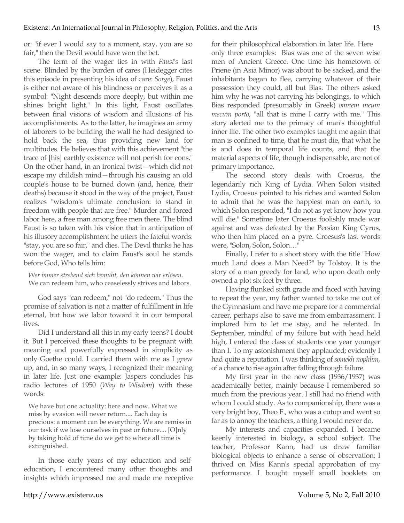or: "if ever I would say to a moment, stay, you are so fair," then the Devil would have won the bet.

The term of the wager ties in with *Faust*'s last scene. Blinded by the burden of cares (Heidegger cites this episode in presenting his idea of care: *Sorge*), Faust is either not aware of his blindness or perceives it as a symbol: "Night descends more deeply, but within me shines bright light." In this light, Faust oscillates between final visions of wisdom and illusions of his accomplishments. As to the latter, he imagines an army of laborers to be building the wall he had designed to hold back the sea, thus providing new land for multitudes. He believes that with this achievement "the trace of [his] earthly existence will not perish for eons." On the other hand, in an ironical twist—which did not escape my childish mind—through his causing an old couple's house to be burned down (and, hence, their deaths) because it stood in the way of the project, Faust realizes "wisdom's ultimate conclusion: to stand in freedom with people that are free." Murder and forced labor here, a free man among free men there. The blind Faust is so taken with his vision that in anticipation of his illusory accomplishment he utters the fateful words: "stay, you are so fair," and dies. The Devil thinks he has won the wager, and to claim Faust's soul he stands before God, Who tells him:

*Wer immer strebend sich bemüht, den können wir erlösen.* We can redeem him, who ceaselessly strives and labors.

God says "can redeem," not "do redeem." Thus the promise of salvation is not a matter of fulfillment in life eternal, but how we labor toward it in our temporal lives.

Did I understand all this in my early teens? I doubt it. But I perceived these thoughts to be pregnant with meaning and powerfully expressed in simplicity as only Goethe could. I carried them with me as I grew up, and, in so many ways, I recognized their meaning in later life. Just one example: Jaspers concludes his radio lectures of 1950 (*Way to Wisdom*) with these words:

We have but one actuality: here and now. What we miss by evasion will never return.... Each day is precious: a moment can be everything. We are remiss in our task if we lose ourselves in past or future.... [O]nly by taking hold of time do we get to where all time is extinguished.

In those early years of my education and selfeducation, I encountered many other thoughts and insights which impressed me and made me receptive for their philosophical elaboration in later life. Here only three examples: Bias was one of the seven wise men of Ancient Greece. One time his hometown of Priene (in Asia Minor) was about to be sacked, and the inhabitants began to flee, carrying whatever of their possession they could, all but Bias. The others asked him why he was not carrying his belongings, to which Bias responded (presumably in Greek) *omnem meum mecum porto*, "all that is mine I carry with me." This story alerted me to the primacy of man's thoughtful inner life. The other two examples taught me again that man is confined to time, that he must die, that what he is and does in temporal life counts, and that the material aspects of life, though indispensable, are not of primary importance.

The second story deals with Croesus, the legendarily rich King of Lydia. When Solon visited Lydia, Croesus pointed to his riches and wanted Solon to admit that he was the happiest man on earth, to which Solon responded, "I do not as yet know how you will die." Sometime later Croesus foolishly made war against and was defeated by the Persian King Cyrus, who then him placed on a pyre. Croesus's last words were, "Solon, Solon, Solon…"

Finally, I refer to a short story with the title "How much Land does a Man Need?" by Tolstoy. It is the story of a man greedy for land, who upon death only owned a plot six feet by three.

Having flunked sixth grade and faced with having to repeat the year, my father wanted to take me out of the Gymnasium and have me prepare for a commercial career, perhaps also to save me from embarrassment. I implored him to let me stay, and he relented. In September, mindful of my failure but with head held high, I entered the class of students one year younger than I. To my astonishment they applauded; evidently I had quite a reputation. I was thinking of *somekh nophlim*, of a chance to rise again after falling through failure.

My first year in the new class (1936/1937) was academically better, mainly because I remembered so much from the previous year. I still had no friend with whom I could study. As to companionship, there was a very bright boy, Theo F., who was a cutup and went so far as to annoy the teachers, a thing I would never do.

My interests and capacities expanded. I became keenly interested in biology, a school subject. The teacher, Professor Kann, had us draw familiar biological objects to enhance a sense of observation; I thrived on Miss Kann's special approbation of my performance. I bought myself small booklets on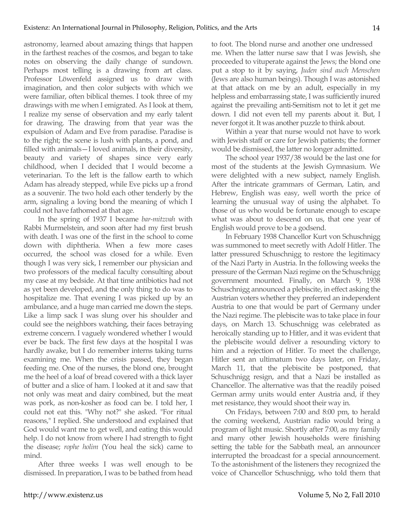astronomy, learned about amazing things that happen in the farthest reaches of the cosmos, and began to take notes on observing the daily change of sundown. Perhaps most telling is a drawing from art class. Professor Löwenfeld assigned us to draw with imagination, and then color subjects with which we were familiar, often biblical themes. I took three of my drawings with me when I emigrated. As I look at them, I realize my sense of observation and my early talent for drawing. The drawing from that year was the expulsion of Adam and Eve from paradise. Paradise is to the right; the scene is lush with plants, a pond, and filled with animals—I loved animals, in their diversity, beauty and variety of shapes since very early childhood, when I decided that I would become a veterinarian. To the left is the fallow earth to which Adam has already stepped, while Eve picks up a frond as a souvenir. The two hold each other tenderly by the arm, signaling a loving bond the meaning of which I could not have fathomed at that age.

In the spring of 1937 I became *bar-mitzvah* with Rabbi Murmelstein, and soon after had my first brush with death. I was one of the first in the school to come down with diphtheria. When a few more cases occurred, the school was closed for a while. Even though I was very sick, I remember our physician and two professors of the medical faculty consulting about my case at my bedside. At that time antibiotics had not as yet been developed, and the only thing to do was to hospitalize me. That evening I was picked up by an ambulance, and a huge man carried me down the steps. Like a limp sack I was slung over his shoulder and could see the neighbors watching, their faces betraying extreme concern. I vaguely wondered whether I would ever be back. The first few days at the hospital I was hardly awake, but I do remember interns taking turns examining me. When the crisis passed, they began feeding me. One of the nurses, the blond one, brought me the heel of a loaf of bread covered with a thick layer of butter and a slice of ham. I looked at it and saw that not only was meat and dairy combined, but the meat was pork, as non-kosher as food can be. I told her, I could not eat this. "Why not?" she asked. "For ritual reasons," I replied. She understood and explained that God would want me to get well, and eating this would help. I do not know from where I had strength to fight the disease; *rophe holim* (You heal the sick) came to mind.

After three weeks I was well enough to be dismissed. In preparation, I was to be bathed from head to foot. The blond nurse and another one undressed me. When the latter nurse saw that I was Jewish, she proceeded to vituperate against the Jews; the blond one put a stop to it by saying, *Juden sind auch Menschen* (Jews are also human beings). Though I was astonished at that attack on me by an adult, especially in my helpless and embarrassing state, I was sufficiently inured against the prevailing anti-Semitism not to let it get me down. I did not even tell my parents about it. But, I never forgot it. It was another puzzle to think about.

Within a year that nurse would not have to work with Jewish staff or care for Jewish patients; the former would be dismissed, the latter no longer admitted.

The school year 1937/38 would be the last one for most of the students at the Jewish Gymnasium. We were delighted with a new subject, namely English. After the intricate grammars of German, Latin, and Hebrew, English was easy, well worth the price of learning the unusual way of using the alphabet. To those of us who would be fortunate enough to escape what was about to descend on us, that one year of English would prove to be a godsend.

In February 1938 Chancellor Kurt von Schuschnigg was summoned to meet secretly with Adolf Hitler. The latter pressured Schuschnigg to restore the legitimacy of the Nazi Party in Austria. In the following weeks the pressure of the German Nazi regime on the Schuschnigg government mounted. Finally, on March 9, 1938 Schuschnigg announced a plebiscite, in effect asking the Austrian voters whether they preferred an independent Austria to one that would be part of Germany under the Nazi regime. The plebiscite was to take place in four days, on March 13. Schuschnigg was celebrated as heroically standing up to Hitler, and it was evident that the plebiscite would deliver a resounding victory to him and a rejection of Hitler. To meet the challenge, Hitler sent an ultimatum two days later, on Friday, March 11, that the plebiscite be postponed, that Schuschnigg resign, and that a Nazi be installed as Chancellor. The alternative was that the readily poised German army units would enter Austria and, if they met resistance, they would shoot their way in.

On Fridays, between 7:00 and 8:00 pm, to herald the coming weekend, Austrian radio would bring a program of light music. Shortly after 7:00, as my family and many other Jewish households were finishing setting the table for the Sabbath meal, an announcer interrupted the broadcast for a special announcement. To the astonishment of the listeners they recognized the voice of Chancellor Schuschnigg, who told them that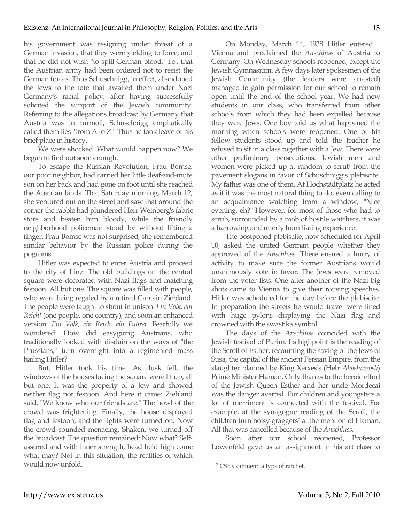his government was resigning under threat of a German invasion, that they were yielding to force, and that he did not wish "to spill German blood," i.e., that the Austrian army had been ordered not to resist the German forces. Thus Schuschnigg, in effect, abandoned the Jews to the fate that awaited them under Nazi Germany's racial policy, after having successfully solicited the support of the Jewish community. Referring to the allegations broadcast by Germany that Austria was in turmoil, Schuschnigg emphatically called them lies "from A to Z." Thus he took leave of his brief place in history.

We were shocked. What would happen now? We began to find out soon enough.

To escape the Russian Revolution, Frau Bomse, our poor neighbor, had carried her little deaf-and-mute son on her back and had gone on foot until she reached the Austrian lands. That Saturday morning, March 12, she ventured out on the street and saw that around the corner the rabble had plundered Herr Weinberg's fabric store and beaten him bloody, while the friendly neighborhood policeman stood by without lifting a finger. Frau Bomse was not surprised; she remembered similar behavior by the Russian police during the pogroms.

Hitler was expected to enter Austria and proceed to the city of Linz. The old buildings on the central square were decorated with Nazi flags and matching festoon. All but one. The square was filled with people, who were being regaled by a retired Captain Ziebland. The people were taught to shout in unison: *Ein Volk, ein Reich!* (one people, one country), and soon an enhanced version: *Ein Volk, ein Reich, ein Führer*. Fearfully we wondered: How did easygoing Austrians, who traditionally looked with disdain on the ways of "the Prussians," turn overnight into a regimented mass hailing Hitler?

But, Hitler took his time. As dusk fell, the windows of the houses facing the square were lit up, all but one. It was the property of a Jew and showed neither flag nor festoon. And here it came: Ziebland said, "We know who our friends are." The howl of the crowd was frightening. Finally, the house displayed flag and festoon, and the lights were turned on. Now the crowd sounded menacing. Shaken, we turned off the broadcast. The question remained: Now what? Selfassured and with inner strength, head held high come what may? Not in this situation, the realities of which would now unfold.

On Monday, March 14, 1938 Hitler entered Vienna and proclaimed the *Anschluss* of Austria to Germany. On Wednesday schools reopened, except the Jewish Gymnasium. A few days later spokesmen of the Jewish Community (the leaders were arrested) managed to gain permission for our school to remain open until the end of the school year. We had new students in our class, who transferred from other schools from which they had been expelled because they were Jews. One boy told us what happened the morning when schools were reopened. One of his fellow students stood up and told the teacher he refused to sit in a class together with a Jew. There were other preliminary persecutions. Jewish men and women were picked up at random to scrub from the pavement slogans in favor of Schuschnigg's plebiscite. My father was one of them. At Hochstädtplatz he acted as if it was the most natural thing to do, even calling to an acquaintance watching from a window, "Nice evening, eh?" However, for most of those who had to scrub, surrounded by a mob of hostile watchers, it was a harrowing and utterly humiliating experience.

The postponed plebiscite, now scheduled for April 10, asked the united German people whether they approved of the *Anschluss*. There ensued a hurry of activity to make sure the former Austrians would unanimously vote in favor. The Jews were removed from the voter lists. One after another of the Nazi big shots came to Vienna to give their rousing speeches. Hitler was scheduled for the day before the plebiscite. In preparation the streets he would travel were lined with huge pylons displaying the Nazi flag and crowned with the swastika symbol.

The days of the *Anschluss* coincided with the Jewish festival of Purim. Its highpoint is the reading of the Scroll of Esther, recounting the saving of the Jews of Susa, the capital of the ancient Persian Empire, from the slaughter planned by King Xerxes's (Heb: *Ahashverosh*) Prime Minister Haman. Only thanks to the heroic effort of the Jewish Queen Esther and her uncle Mordecai was the danger averted. For children and youngsters a lot of merriment is connected with the festival. For example, at the synagogue reading of the Scroll, the children turn noisy graggers<sup>7</sup> at the mention of Haman. All that was cancelled because of the *Anschluss*.

Soon after our school reopened, Professor Löwenfeld gave us an assignment in his art class to

<sup>7</sup> CSE Comment: a type of ratchet.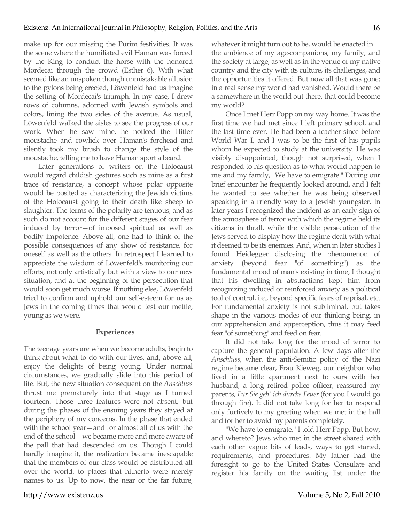make up for our missing the Purim festivities. It was the scene where the humiliated evil Haman was forced by the King to conduct the horse with the honored Mordecai through the crowd (Esther 6). With what seemed like an unspoken though unmistakable allusion to the pylons being erected, Löwenfeld had us imagine the setting of Mordecai's triumph. In my case, I drew rows of columns, adorned with Jewish symbols and colors, lining the two sides of the avenue. As usual, Löwenfeld walked the aisles to see the progress of our work. When he saw mine, he noticed the Hitler moustache and cowlick over Haman's forehead and silently took my brush to change the style of the moustache, telling me to have Haman sport a beard.

Later generations of writers on the Holocaust would regard childish gestures such as mine as a first trace of resistance, a concept whose polar opposite would be posited as characterizing the Jewish victims of the Holocaust going to their death like sheep to slaughter. The terms of the polarity are tenuous, and as such do not account for the different stages of our fear induced by terror—of imposed spiritual as well as bodily impotence. Above all, one had to think of the possible consequences of any show of resistance, for oneself as well as the others. In retrospect I learned to appreciate the wisdom of Löwenfeld's monitoring our efforts, not only artistically but with a view to our new situation, and at the beginning of the persecution that would soon get much worse. If nothing else, Löwenfeld tried to confirm and uphold our self-esteem for us as Jews in the coming times that would test our mettle, young as we were.

#### **Experiences**

The teenage years are when we become adults, begin to think about what to do with our lives, and, above all, enjoy the delights of being young. Under normal circumstances, we gradually slide into this period of life. But, the new situation consequent on the *Anschluss* thrust me prematurely into that stage as I turned fourteen. Those three features were not absent, but during the phases of the ensuing years they stayed at the periphery of my concerns. In the phase that ended with the school year—and for almost all of us with the end of the school—we became more and more aware of the pall that had descended on us. Though I could hardly imagine it, the realization became inescapable that the members of our class would be distributed all over the world, to places that hitherto were merely names to us. Up to now, the near or the far future, whatever it might turn out to be, would be enacted in the ambience of my age-companions, my family, and the society at large, as well as in the venue of my native country and the city with its culture, its challenges, and the opportunities it offered. But now all that was gone; in a real sense my world had vanished. Would there be a somewhere in the world out there, that could become my world?

Once I met Herr Popp on my way home. It was the first time we had met since I left primary school, and the last time ever. He had been a teacher since before World War I, and I was to be the first of his pupils whom he expected to study at the university. He was visibly disappointed, though not surprised, when I responded to his question as to what would happen to me and my family, "We have to emigrate." During our brief encounter he frequently looked around, and I felt he wanted to see whether he was being observed speaking in a friendly way to a Jewish youngster. In later years I recognized the incident as an early sign of the atmosphere of terror with which the regime held its citizens in thrall, while the visible persecution of the Jews served to display how the regime dealt with what it deemed to be its enemies. And, when in later studies I found Heidegger disclosing the phenomenon of anxiety (beyond fear "of something") as the fundamental mood of man's existing in time, I thought that his dwelling in abstractions kept him from recognizing induced or reinforced anxiety as a political tool of control, i.e., beyond specific fears of reprisal, etc. For fundamental anxiety is not subliminal, but takes shape in the various modes of our thinking being, in our apprehension and apperception, thus it may feed fear "of something" and feed on fear.

It did not take long for the mood of terror to capture the general population. A few days after the *Anschluss*, when the anti-Semitic policy of the Nazi regime became clear, Frau Kieweg, our neighbor who lived in a little apartment next to ours with her husband, a long retired police officer, reassured my parents, *Für Sie geh' ich durchs Feuer* (for you I would go through fire). It did not take long for her to respond only furtively to my greeting when we met in the hall and for her to avoid my parents completely.

"We have to emigrate," I told Herr Popp. But how, and whereto? Jews who met in the street shared with each other vague bits of leads, ways to get started, requirements, and procedures. My father had the foresight to go to the United States Consulate and register his family on the waiting list under the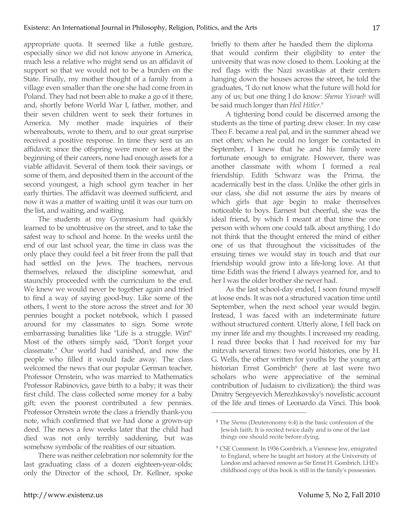appropriate quota. It seemed like a futile gesture, especially since we did not know anyone in America, much less a relative who might send us an affidavit of support so that we would not to be a burden on the State. Finally, my mother thought of a family from a village even smaller than the one she had come from in Poland. They had not been able to make a go of it there, and, shortly before World War I, father, mother, and their seven children went to seek their fortunes in America. My mother made inquiries of their whereabouts, wrote to them, and to our great surprise received a positive response. In time they sent us an affidavit; since the offspring were more or less at the beginning of their careers, none had enough assets for a viable affidavit. Several of them took their savings, or some of them, and deposited them in the account of the second youngest, a high school gym teacher in her early thirties. The affidavit was deemed sufficient, and now it was a matter of waiting until it was our turn on the list, and waiting, and waiting.

The students at my Gymnasium had quickly learned to be unobtrusive on the street, and to take the safest way to school and home. In the weeks until the end of our last school year, the time in class was the only place they could feel a bit freer from the pall that had settled on the Jews. The teachers, nervous themselves, relaxed the discipline somewhat, and staunchly proceeded with the curriculum to the end. We knew we would never be together again and tried to find a way of saying good-buy. Like some of the others, I went to the store across the street and for 30 pennies bought a pocket notebook, which I passed around for my classmates to sign. Some wrote embarrassing banalities like "Life is a struggle. Win!" Most of the others simply said, "Don't forget your classmate." Our world had vanished, and now the people who filled it would fade away. The class welcomed the news that our popular German teacher, Professor Ornstein, who was married to Mathematics Professor Rabinovics, gave birth to a baby; it was their first child. The class collected some money for a baby gift; even the poorest contributed a few pennies. Professor Ornstein wrote the class a friendly thank-you note, which confirmed that we had done a grown-up deed. The news a few weeks later that the child had died was not only terribly saddening, but was somehow symbolic of the realities of our situation.

There was neither celebration nor solemnity for the last graduating class of a dozen eighteen-year-olds; only the Director of the school, Dr. Kellner, spoke briefly to them after he handed them the diploma that would confirm their eligibility to enter the university that was now closed to them. Looking at the red flags with the Nazi swastikas at their centers hanging down the houses across the street, he told the graduates, "I do not know what the future will hold for any of us; but one thing I do know: *Shema Yisrael8* will be said much longer than *Heil Hitler*."

A tightening bond could be discerned among the students as the time of parting drew closer. In my case Theo F. became a real pal, and in the summer ahead we met often; when he could no longer be contacted in September, I knew that he and his family were fortunate enough to emigrate. However, there was another classmate with whom I formed a real friendship. Edith Schwarz was the Prima, the academically best in the class. Unlike the other girls in our class, she did not assume the airs by means of which girls that age begin to make themselves noticeable to boys. Earnest but cheerful, she was the ideal friend, by which I meant at that time the one person with whom one could talk about anything. I do not think that the thought entered the mind of either one of us that throughout the vicissitudes of the ensuing times we would stay in touch and that our friendship would grow into a life-long love. At that time Edith was the friend I always yearned for, and to her I was the older brother she never had.

As the last school-day ended, I soon found myself at loose ends. It was not a structured vacation time until September, when the next school year would begin. Instead, I was faced with an indeterminate future without structured content. Utterly alone, I fell back on my inner life and my thoughts. I increased my reading. I read three books that I had received for my bar mitzvah several times: two world histories, one by H. G. Wells, the other written for youths by the young art historian Ernst Gombrich<sup>9</sup> (here at last were two scholars who were appreciative of the seminal contribution of Judaism to civilization); the third was Dmitry Sergeyevich Merezhkovsky's novelistic account of the life and times of Leonardo da Vinci. This book

<sup>8</sup> The *Shema* (Deuteronomy 6:4) is the basic confession of the Jewish faith. It is recited twice daily and is one of the last things one should recite before dying.

<sup>9</sup> CSE Comment: In 1936 Gombrich, a Viennese Jew, emigrated to England, where he taught art history at the University of London and achieved renown as Sir Ernst H. Gombrich. LHE's childhood copy of this book is still in the family's possession.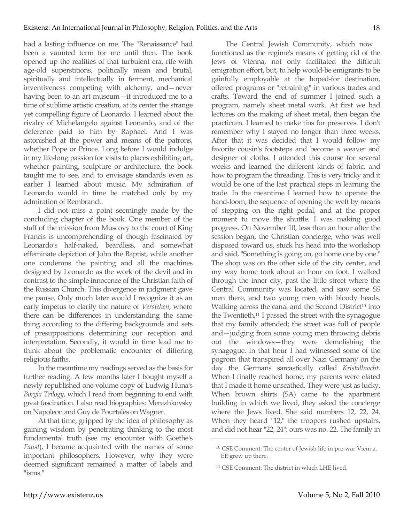had a lasting influence on me. The "Renaissance" had been a vaunted term for me until then. The book opened up the realities of that turbulent era, rife with age-old superstitions, politically mean and brutal, spiritually and intellectually in ferment, mechanical inventiveness competing with alchemy, and—never having been to an art museum—it introduced me to a time of sublime artistic creation, at its center the strange yet compelling figure of Leonardo. I learned about the rivalry of Michelangelo against Leonardo, and of the deference paid to him by Raphael. And I was astonished at the power and means of the patrons, whether Pope or Prince. Long before I would indulge in my life-long passion for visits to places exhibiting art, whether painting, sculpture or architecture, the book taught me to see, and to envisage standards even as earlier I learned about music. My admiration of Leonardo would in time be matched only by my admiration of Rembrandt.

I did not miss a point seemingly made by the concluding chapter of the book. One member of the staff of the mission from Muscovy to the court of King Francis is uncomprehending of though fascinated by Leonardo's half-naked, beardless, and somewhat effeminate depiction of John the Baptist, while another one condemns the painting and all the machines designed by Leonardo as the work of the devil and in contrast to the simple innocence of the Christian faith of the Russian Church. This divergence in judgment gave me pause. Only much later would I recognize it as an early impetus to clarify the nature of *Verstehen*, where there can be differences in understanding the same thing according to the differing backgrounds and sets of presuppositions determining our reception and interpretation. Secondly, it would in time lead me to think about the problematic encounter of differing religious faiths.

In the meantime my readings served as the basis for further reading. A few months later I bought myself a newly republished one-volume copy of Ludwig Huna's *Borgia Trilogy*, which I read from beginning to end with great fascination. I also read biographies: Merezhkovsky on Napoleon and Guy de Pourtalès on Wagner.

At that time, gripped by the idea of philosophy as gaining wisdom by penetrating thinking to the most fundamental truth (see my encounter with Goethe's *Faust*), I became acquainted with the names of some important philosophers. However, why they were deemed significant remained a matter of labels and "isms."

The Central Jewish Community, which now functioned as the regime's means of getting rid of the Jews of Vienna, not only facilitated the difficult emigration effort, but, to help would-be emigrants to be gainfully employable at the hoped-for destination, offered programs or "retraining" in various trades and crafts. Toward the end of summer I joined such a program, namely sheet metal work. At first we had lectures on the making of sheet metal, then began the practicum. I learned to make tins for preserves. I don't remember why I stayed no longer than three weeks. After that it was decided that I would follow my favorite cousin's footsteps and become a weaver and designer of cloths. I attended this course for several weeks and learned the different kinds of fabric, and how to program the threading. This is very tricky and it would be one of the last practical steps in learning the trade. In the meantime I learned how to operate the hand-loom, the sequence of opening the weft by means of stepping on the right pedal, and at the proper moment to move the shuttle. I was making good progress. On November 10, less than an hour after the session began, the Christian concierge, who was well disposed toward us, stuck his head into the workshop and said, "Something is going on, go home one by one." The shop was on the other side of the city center, and my way home took about an hour on foot. I walked through the inner city, past the little street where the Central Community was located, and saw some SS men there, and two young men with bloody heads. Walking across the canal and the Second District<sup>10</sup> into the Twentieth,<sup>11</sup> I passed the street with the synagogue that my family attended; the street was full of people and—judging from some young men throwing debris out the windows—they were demolishing the synagogue. In that hour I had witnessed some of the pogrom that transpired all over Nazi Germany on the day the Germans sarcastically called *Kristallnacht*. When I finally reached home, my parents were elated that I made it home unscathed. They were just as lucky. When brown shirts (SA) came to the apartment building in which we lived, they asked the concierge where the Jews lived. She said numbers 12, 22, 24. When they heard "12," the troopers rushed upstairs, and did not hear "22, 24"; ours was no. 22. The family in

<sup>10</sup> CSE Comment: The center of Jewish life in pre-war Vienna. EE grew up there.

<sup>11</sup> CSE Comment: The district in which LHE lived.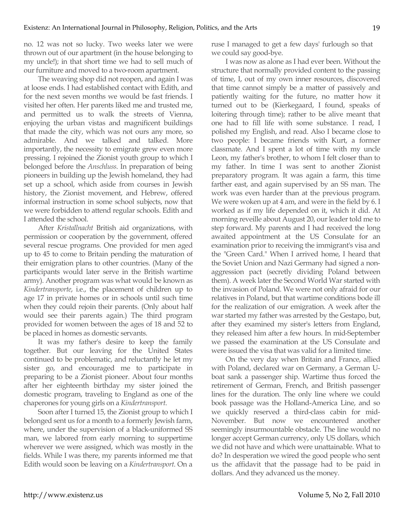no. 12 was not so lucky. Two weeks later we were thrown out of our apartment (in the house belonging to my uncle!); in that short time we had to sell much of our furniture and moved to a two-room apartment.

The weaving shop did not reopen, and again I was at loose ends. I had established contact with Edith, and for the next seven months we would be fast friends. I visited her often. Her parents liked me and trusted me, and permitted us to walk the streets of Vienna, enjoying the urban vistas and magnificent buildings that made the city, which was not ours any more, so admirable. And we talked and talked. More importantly, the necessity to emigrate grew even more pressing. I rejoined the Zionist youth group to which I belonged before the *Anschluss*. In preparation of being pioneers in building up the Jewish homeland, they had set up a school, which aside from courses in Jewish history, the Zionist movement, and Hebrew, offered informal instruction in some school subjects, now that we were forbidden to attend regular schools. Edith and I attended the school.

After *Kristallnacht* British aid organizations, with permission or cooperation by the government, offered several rescue programs. One provided for men aged up to 45 to come to Britain pending the maturation of their emigration plans to other countries. (Many of the participants would later serve in the British wartime army). Another program was what would be known as *Kindertransporte*, i.e., the placement of children up to age 17 in private homes or in schools until such time when they could rejoin their parents. (Only about half would see their parents again.) The third program provided for women between the ages of 18 and 52 to be placed in homes as domestic servants.

It was my father's desire to keep the family together. But our leaving for the United States continued to be problematic, and reluctantly he let my sister go, and encouraged me to participate in preparing to be a Zionist pioneer. About four months after her eighteenth birthday my sister joined the domestic program, traveling to England as one of the chaperones for young girls on a *Kindertransport*.

Soon after I turned 15, the Zionist group to which I belonged sent us for a month to a formerly Jewish farm, where, under the supervision of a black-uniformed SS man, we labored from early morning to suppertime wherever we were assigned, which was mostly in the fields. While I was there, my parents informed me that Edith would soon be leaving on a *Kindertransport*. On a

ruse I managed to get a few days' furlough so that we could say good-bye.

I was now as alone as I had ever been. Without the structure that normally provided content to the passing of time, I, out of my own inner resources, discovered that time cannot simply be a matter of passively and patiently waiting for the future, no matter how it turned out to be (Kierkegaard, I found, speaks of loitering through time); rather to be alive meant that one had to fill life with some substance. I read, I polished my English, and read. Also I became close to two people: I became friends with Kurt, a former classmate. And I spent a lot of time with my uncle Leon, my father's brother, to whom I felt closer than to my father. In time I was sent to another Zionist preparatory program. It was again a farm, this time farther east, and again supervised by an SS man. The work was even harder than at the previous program. We were woken up at 4 am, and were in the field by 6. I worked as if my life depended on it, which it did. At morning reveille about August 20, our leader told me to step forward. My parents and I had received the long awaited appointment at the US Consulate for an examination prior to receiving the immigrant's visa and the "Green Card." When I arrived home, I heard that the Soviet Union and Nazi Germany had signed a nonaggression pact (secretly dividing Poland between them). A week later the Second World War started with the invasion of Poland. We were not only afraid for our relatives in Poland, but that wartime conditions bode ill for the realization of our emigration. A week after the war started my father was arrested by the Gestapo, but, after they examined my sister's letters from England, they released him after a few hours. In mid-September we passed the examination at the US Consulate and were issued the visa that was valid for a limited time.

On the very day when Britain and France, allied with Poland, declared war on Germany, a German Uboat sank a passenger ship. Wartime thus forced the retirement of German, French, and British passenger lines for the duration. The only line where we could book passage was the Holland-America Line, and so we quickly reserved a third-class cabin for mid-November. But now we encountered another seemingly insurmountable obstacle. The line would no longer accept German currency, only US dollars, which we did not have and which were unattainable. What to do? In desperation we wired the good people who sent us the affidavit that the passage had to be paid in dollars. And they advanced us the money.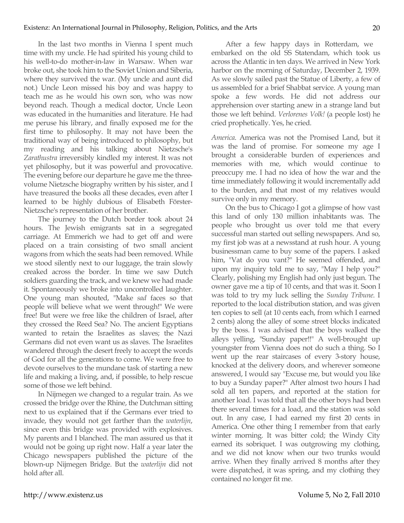In the last two months in Vienna I spent much time with my uncle. He had spirited his young child to his well-to-do mother-in-law in Warsaw. When war broke out, she took him to the Soviet Union and Siberia, where they survived the war. (My uncle and aunt did not.) Uncle Leon missed his boy and was happy to teach me as he would his own son, who was now beyond reach. Though a medical doctor, Uncle Leon was educated in the humanities and literature. He had me peruse his library, and finally exposed me for the first time to philosophy. It may not have been the traditional way of being introduced to philosophy, but my reading and his talking about Nietzsche's *Zarathustra* irreversibly kindled my interest. It was not yet philosophy, but it was powerful and provocative. The evening before our departure he gave me the threevolume Nietzsche biography written by his sister, and I have treasured the books all these decades, even after I learned to be highly dubious of Elisabeth Förster-Nietzsche's representation of her brother.

The journey to the Dutch border took about 24 hours. The Jewish emigrants sat in a segregated carriage. At Emmerich we had to get off and were placed on a train consisting of two small ancient wagons from which the seats had been removed. While we stood silently next to our luggage, the train slowly creaked across the border. In time we saw Dutch soldiers guarding the track, and we knew we had made it. Spontaneously we broke into uncontrolled laughter. One young man shouted, "Make *sad* faces so that people will believe what we went through!" We were free! But were we free like the children of Israel, after they crossed the Reed Sea? No. The ancient Egyptians wanted to retain the Israelites as slaves; the Nazi Germans did not even want us as slaves. The Israelites wandered through the desert freely to accept the words of God for all the generations to come. We were free to devote ourselves to the mundane task of starting a new life and making a living, and, if possible, to help rescue some of those we left behind.

In Nijmegen we changed to a regular train. As we crossed the bridge over the Rhine, the Dutchman sitting next to us explained that if the Germans ever tried to invade, they would not get farther than the *waterlijn*, since even this bridge was provided with explosives. My parents and I blanched. The man assured us that it would not be going up right now. Half a year later the Chicago newspapers published the picture of the blown-up Nijmegen Bridge. But the *waterlijn* did not hold after all.

After a few happy days in Rotterdam, we embarked on the old SS Statendam, which took us across the Atlantic in ten days. We arrived in New York harbor on the morning of Saturday, December 2, 1939. As we slowly sailed past the Statue of Liberty, a few of us assembled for a brief Shabbat service. A young man spoke a few words. He did not address our apprehension over starting anew in a strange land but those we left behind. *Verlorenes Volk!* (a people lost) he cried prophetically. Yes, he cried.

*America*. America was not the Promised Land, but it was the land of promise. For someone my age I brought a considerable burden of experiences and memories with me, which would continue to preoccupy me. I had no idea of how the war and the time immediately following it would incrementally add to the burden, and that most of my relatives would survive only in my memory.

On the bus to Chicago I got a glimpse of how vast this land of only 130 million inhabitants was. The people who brought us over told me that every successful man started out selling newspapers. And so, my first job was at a newsstand at rush hour. A young businessman came to buy some of the papers. I asked him, "Vat do you vant?" He seemed offended, and upon my inquiry told me to say, "May I help you?" Clearly, polishing my English had only just begun. The owner gave me a tip of 10 cents, and that was it. Soon I was told to try my luck selling the *Sunday Tribune*. I reported to the local distribution station, and was given ten copies to sell (at 10 cents each, from which I earned 2 cents) along the alley of some street blocks indicated by the boss. I was advised that the boys walked the alleys yelling, "Sunday paper!!" A well-brought up youngster from Vienna does not do such a thing. So I went up the rear staircases of every 3-story house, knocked at the delivery doors, and wherever someone answered, I would say "Excuse me, but would you like to buy a Sunday paper?" After almost two hours I had sold all ten papers, and reported at the station for another load. I was told that all the other boys had been there several times for a load, and the station was sold out. In any case, I had earned my first 20 cents in America. One other thing I remember from that early winter morning. It was bitter cold; the Windy City earned its sobriquet. I was outgrowing my clothing, and we did not know when our two trunks would arrive. When they finally arrived 8 months after they were dispatched, it was spring, and my clothing they contained no longer fit me.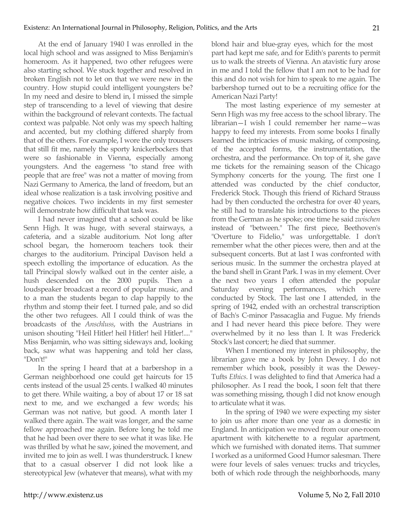At the end of January 1940 I was enrolled in the local high school and was assigned to Miss Benjamin's homeroom. As it happened, two other refugees were also starting school. We stuck together and resolved in broken English not to let on that we were new in the country. How stupid could intelligent youngsters be? In my need and desire to blend in, I missed the simple step of transcending to a level of viewing that desire within the background of relevant contexts. The factual context was palpable. Not only was my speech halting and accented, but my clothing differed sharply from that of the others. For example, I wore the only trousers that still fit me, namely the sporty knickerbockers that were so fashionable in Vienna, especially among youngsters. And the eagerness "to stand free with people that are free" was not a matter of moving from Nazi Germany to America, the land of freedom, but an ideal whose realization is a task involving positive and negative choices. Two incidents in my first semester will demonstrate how difficult that task was.

I had never imagined that a school could be like Senn High. It was huge, with several stairways, a cafeteria, and a sizable auditorium. Not long after school began, the homeroom teachers took their charges to the auditorium. Principal Davison held a speech extolling the importance of education. As the tall Principal slowly walked out in the center aisle, a hush descended on the 2000 pupils. Then a loudspeaker broadcast a record of popular music, and to a man the students began to clap happily to the rhythm and stomp their feet. I turned pale, and so did the other two refugees. All I could think of was the broadcasts of the *Anschluss*, with the Austrians in unison shouting "Heil Hitler! heil Hitler! heil Hitler!...." Miss Benjamin, who was sitting sideways and, looking back, saw what was happening and told her class, "Don't!"

In the spring I heard that at a barbershop in a German neighborhood one could get haircuts for 15 cents instead of the usual 25 cents. I walked 40 minutes to get there. While waiting, a boy of about 17 or 18 sat next to me, and we exchanged a few words; his German was not native, but good. A month later I walked there again. The wait was longer, and the same fellow approached me again. Before long he told me that he had been over there to see what it was like. He was thrilled by what he saw, joined the movement, and invited me to join as well. I was thunderstruck. I knew that to a casual observer I did not look like a stereotypical Jew (whatever that means), what with my blond hair and blue-gray eyes, which for the most part had kept me safe, and for Edith's parents to permit us to walk the streets of Vienna. An atavistic fury arose in me and I told the fellow that I am not to be had for this and do not wish for him to speak to me again. The barbershop turned out to be a recruiting office for the American Nazi Party!

The most lasting experience of my semester at Senn High was my free access to the school library. The librarian—I wish I could remember her name—was happy to feed my interests. From some books I finally learned the intricacies of music making, of composing, of the accepted forms, the instrumentation, the orchestra, and the performance. On top of it, she gave me tickets for the remaining season of the Chicago Symphony concerts for the young. The first one I attended was conducted by the chief conductor, Frederick Stock. Though this friend of Richard Strauss had by then conducted the orchestra for over 40 years, he still had to translate his introductions to the pieces from the German as he spoke; one time he said *zwischen* instead of "between." The first piece, Beethoven's "Overture to Fidelio," was unforgettable. I don't remember what the other pieces were, then and at the subsequent concerts. But at last I was confronted with serious music. In the summer the orchestra played at the band shell in Grant Park. I was in my element. Over the next two years I often attended the popular Saturday evening performances, which were conducted by Stock. The last one I attended, in the spring of 1942, ended with an orchestral transcription of Bach's C-minor Passacaglia and Fugue. My friends and I had never heard this piece before. They were overwhelmed by it no less than I. It was Frederick Stock's last concert; he died that summer.

When I mentioned my interest in philosophy, the librarian gave me a book by John Dewey. I do not remember which book, possibly it was the Dewey-Tufts *Ethics*. I was delighted to find that America had a philosopher. As I read the book, I soon felt that there was something missing, though I did not know enough to articulate what it was.

In the spring of 1940 we were expecting my sister to join us after more than one year as a domestic in England. In anticipation we moved from our one-room apartment with kitchenette to a regular apartment, which we furnished with donated items. That summer I worked as a uniformed Good Humor salesman. There were four levels of sales venues: trucks and tricycles, both of which rode through the neighborhoods, many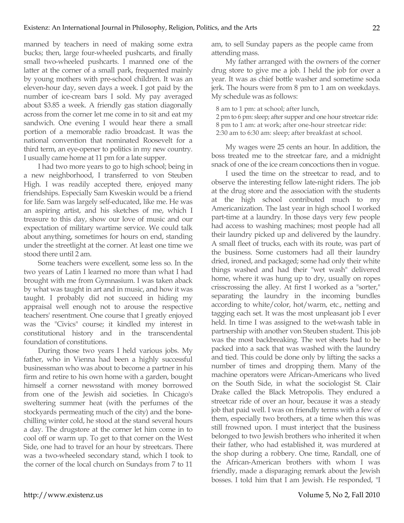manned by teachers in need of making some extra bucks; then, large four-wheeled pushcarts, and finally small two-wheeled pushcarts. I manned one of the latter at the corner of a small park, frequented mainly by young mothers with pre-school children. It was an eleven-hour day, seven days a week. I got paid by the number of ice-cream bars I sold. My pay averaged about \$3.85 a week. A friendly gas station diagonally across from the corner let me come in to sit and eat my sandwich. One evening I would hear there a small portion of a memorable radio broadcast. It was the national convention that nominated Roosevelt for a third term, an eye-opener to politics in my new country. I usually came home at 11 pm for a late supper.

I had two more years to go to high school; being in a new neighborhood, I transferred to von Steuben High. I was readily accepted there, enjoyed many friendships. Especially Sam Kweskin would be a friend for life. Sam was largely self-educated, like me. He was an aspiring artist, and his sketches of me, which I treasure to this day, show our love of music and our expectation of military wartime service. We could talk about anything, sometimes for hours on end, standing under the streetlight at the corner. At least one time we stood there until 2 am.

Some teachers were excellent, some less so. In the two years of Latin I learned no more than what I had brought with me from Gymnasium. I was taken aback by what was taught in art and in music, and how it was taught. I probably did not succeed in hiding my appraisal well enough not to arouse the respective teachers' resentment. One course that I greatly enjoyed was the "Civics" course; it kindled my interest in constitutional history and in the transcendental foundation of constitutions.

During those two years I held various jobs. My father, who in Vienna had been a highly successful businessman who was about to become a partner in his firm and retire to his own home with a garden, bought himself a corner newsstand with money borrowed from one of the Jewish aid societies. In Chicago's sweltering summer heat (with the perfumes of the stockyards permeating much of the city) and the bonechilling winter cold, he stood at the stand several hours a day. The drugstore at the corner let him come in to cool off or warm up. To get to that corner on the West Side, one had to travel for an hour by streetcars. There was a two-wheeled secondary stand, which I took to the corner of the local church on Sundays from 7 to 11

am, to sell Sunday papers as the people came from attending mass.

My father arranged with the owners of the corner drug store to give me a job. I held the job for over a year. It was as chief bottle washer and sometime soda jerk. The hours were from 8 pm to 1 am on weekdays. My schedule was as follows:

8 am to 1 pm: at school; after lunch,

2 pm to 6 pm: sleep; after supper and one hour streetcar ride: 8 pm to 1 am: at work; after one-hour streetcar ride:

2:30 am to 6:30 am: sleep; after breakfast at school.

My wages were 25 cents an hour. In addition, the boss treated me to the streetcar fare, and a midnight snack of one of the ice cream concoctions then in vogue.

I used the time on the streetcar to read, and to observe the interesting fellow late-night riders. The job at the drug store and the association with the students at the high school contributed much to my Americanization. The last year in high school I worked part-time at a laundry. In those days very few people had access to washing machines; most people had all their laundry picked up and delivered by the laundry. A small fleet of trucks, each with its route, was part of the business. Some customers had all their laundry dried, ironed, and packaged; some had only their white things washed and had their "wet wash" delivered home, where it was hung up to dry, usually on ropes crisscrossing the alley. At first I worked as a "sorter," separating the laundry in the incoming bundles according to white/color, hot/warm, etc., netting and tagging each set. It was the most unpleasant job I ever held. In time I was assigned to the wet-wash table in partnership with another von Steuben student. This job was the most backbreaking. The wet sheets had to be packed into a sack that was washed with the laundry and tied. This could be done only by lifting the sacks a number of times and dropping them. Many of the machine operators were African-Americans who lived on the South Side, in what the sociologist St. Clair Drake called the Black Metropolis. They endured a streetcar ride of over an hour, because it was a steady job that paid well. I was on friendly terms with a few of them, especially two brothers, at a time when this was still frowned upon. I must interject that the business belonged to two Jewish brothers who inherited it when their father, who had established it, was murdered at the shop during a robbery. One time, Randall, one of the African-American brothers with whom I was friendly, made a disparaging remark about the Jewish bosses. I told him that I am Jewish. He responded, "I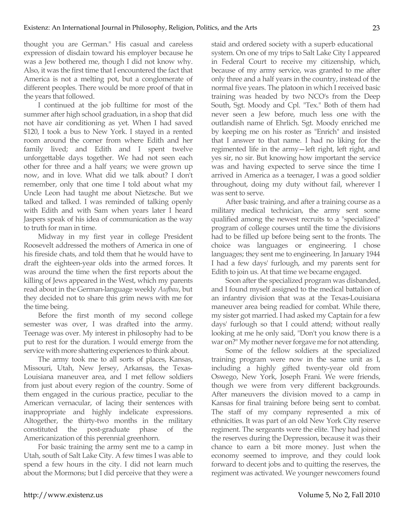thought you are German." His casual and careless expression of disdain toward his employer because he was a Jew bothered me, though I did not know why. Also, it was the first time that I encountered the fact that America is not a melting pot, but a conglomerate of different peoples. There would be more proof of that in the years that followed.

I continued at the job fulltime for most of the summer after high school graduation, in a shop that did not have air conditioning as yet. When I had saved \$120, I took a bus to New York. I stayed in a rented room around the corner from where Edith and her family lived; and Edith and I spent twelve unforgettable days together. We had not seen each other for three and a half years; we were grown up now, and in love. What did we talk about? I don't remember, only that one time I told about what my Uncle Leon had taught me about Nietzsche. But we talked and talked. I was reminded of talking openly with Edith and with Sam when years later I heard Jaspers speak of his idea of communication as the way to truth for man in time.

Midway in my first year in college President Roosevelt addressed the mothers of America in one of his fireside chats, and told them that he would have to draft the eighteen-year olds into the armed forces. It was around the time when the first reports about the killing of Jews appeared in the West, which my parents read about in the German-language weekly *Aufbau*, but they decided not to share this grim news with me for the time being.

Before the first month of my second college semester was over, I was drafted into the army. Teenage was over. My interest in philosophy had to be put to rest for the duration. I would emerge from the service with more shattering experiences to think about.

The army took me to all sorts of places, Kansas, Missouri, Utah, New Jersey, Arkansas, the Texas-Louisiana maneuver area, and I met fellow soldiers from just about every region of the country. Some of them engaged in the curious practice, peculiar to the American vernacular, of lacing their sentences with inappropriate and highly indelicate expressions. Altogether, the thirty-two months in the military constituted the post-graduate phase of the Americanization of this perennial greenhorn.

For basic training the army sent me to a camp in Utah, south of Salt Lake City. A few times I was able to spend a few hours in the city. I did not learn much about the Mormons; but I did perceive that they were a staid and ordered society with a superb educational system. On one of my trips to Salt Lake City I appeared in Federal Court to receive my citizenship, which, because of my army service, was granted to me after only three and a half years in the country, instead of the normal five years. The platoon in which I received basic training was headed by two NCO's from the Deep South, Sgt. Moody and Cpl. "Tex." Both of them had never seen a Jew before, much less one with the outlandish name of Ehrlich. Sgt. Moody enriched me by keeping me on his roster as "Enrich" and insisted that I answer to that name. I had no liking for the regimented life in the army—left right, left right, and yes sir, no sir. But knowing how important the service was and having expected to serve since the time I arrived in America as a teenager, I was a good soldier throughout, doing my duty without fail, wherever I was sent to serve.

After basic training, and after a training course as a military medical technician, the army sent some qualified among the newest recruits to a "specialized" program of college courses until the time the divisions had to be filled up before being sent to the fronts. The choice was languages or engineering. I chose languages; they sent me to engineering. In January 1944 I had a few days' furlough, and my parents sent for Edith to join us. At that time we became engaged.

Soon after the specialized program was disbanded, and I found myself assigned to the medical battalion of an infantry division that was at the Texas-Louisiana maneuver area being readied for combat. While there, my sister got married. I had asked my Captain for a few days' furlough so that I could attend; without really looking at me he only said, "Don't you know there is a war on?" My mother never forgave me for not attending.

Some of the fellow soldiers at the specialized training program were now in the same unit as I, including a highly gifted twenty-year old from Oswego, New York, Joseph Frani. We were friends, though we were from very different backgrounds. After maneuvers the division moved to a camp in Kansas for final training before being sent to combat. The staff of my company represented a mix of ethnicities. It was part of an old New York City reserve regiment. The sergeants were the elite. They had joined the reserves during the Depression, because it was their chance to earn a bit more money. Just when the economy seemed to improve, and they could look forward to decent jobs and to quitting the reserves, the regiment was activated. We younger newcomers found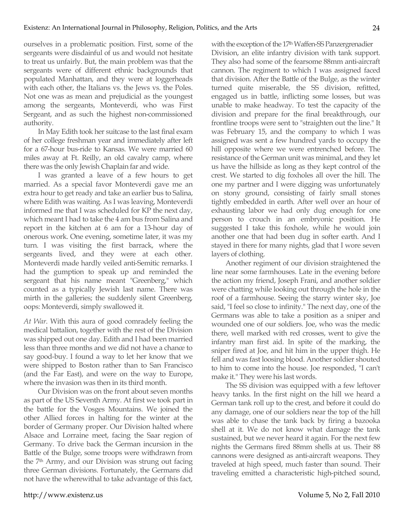ourselves in a problematic position. First, some of the sergeants were disdainful of us and would not hesitate to treat us unfairly. But, the main problem was that the sergeants were of different ethnic backgrounds that populated Manhattan, and they were at loggerheads with each other, the Italians vs. the Jews vs. the Poles. Not one was as mean and prejudicial as the youngest among the sergeants, Monteverdi, who was First Sergeant, and as such the highest non-commissioned authority.

In May Edith took her suitcase to the last final exam of her college freshman year and immediately after left for a 67-hour bus-ride to Kansas. We were married 60 miles away at Ft. Reilly, an old cavalry camp, where there was the only Jewish Chaplain far and wide.

I was granted a leave of a few hours to get married. As a special favor Monteverdi gave me an extra hour to get ready and take an earlier bus to Salina, where Edith was waiting. As I was leaving, Monteverdi informed me that I was scheduled for KP the next day, which meant I had to take the 4 am bus from Salina and report in the kitchen at 6 am for a 13-hour day of onerous work. One evening, sometime later, it was my turn. I was visiting the first barrack, where the sergeants lived, and they were at each other. Monteverdi made hardly veiled anti-Semitic remarks. I had the gumption to speak up and reminded the sergeant that his name meant "Greenberg," which counted as a typically Jewish last name. There was mirth in the galleries; the suddenly silent Greenberg, oops: Monteverdi, simply swallowed it.

*At War*. With this aura of good comradely feeling the medical battalion, together with the rest of the Division was shipped out one day. Edith and I had been married less than three months and we did not have a chance to say good-buy. I found a way to let her know that we were shipped to Boston rather than to San Francisco (and the Far East), and were on the way to Europe, where the invasion was then in its third month.

Our Division was on the front about seven months as part of the US Seventh Army. At first we took part in the battle for the Vosges Mountains. We joined the other Allied forces in halting for the winter at the border of Germany proper. Our Division halted where Alsace and Lorraine meet, facing the Saar region of Germany. To drive back the German incursion in the Battle of the Bulge, some troops were withdrawn from the 7th Army, and our Division was strung out facing three German divisions. Fortunately, the Germans did not have the wherewithal to take advantage of this fact,

with the exception of the 17<sup>th</sup> Waffen-SS Panzergrenadier Division, an elite infantry division with tank support. They also had some of the fearsome 88mm anti-aircraft cannon. The regiment to which I was assigned faced that division. After the Battle of the Bulge, as the winter turned quite miserable, the SS division, refitted, engaged us in battle, inflicting some losses, but was unable to make headway. To test the capacity of the division and prepare for the final breakthrough, our frontline troops were sent to "straighten out the line." It was February 15, and the company to which I was assigned was sent a few hundred yards to occupy the hill opposite where we were entrenched before. The resistance of the German unit was minimal, and they let us have the hillside as long as they kept control of the crest. We started to dig foxholes all over the hill. The one my partner and I were digging was unfortunately on stony ground, consisting of fairly small stones tightly embedded in earth. After well over an hour of exhausting labor we had only dug enough for one person to crouch in an embryonic position. He suggested I take this foxhole, while he would join another one that had been dug in softer earth. And I stayed in there for many nights, glad that I wore seven layers of clothing.

Another regiment of our division straightened the line near some farmhouses. Late in the evening before the action my friend, Joseph Frani, and another soldier were chatting while looking out through the hole in the roof of a farmhouse. Seeing the starry winter sky, Joe said, "I feel so close to infinity." The next day, one of the Germans was able to take a position as a sniper and wounded one of our soldiers. Joe, who was the medic there, well marked with red crosses, went to give the infantry man first aid. In spite of the marking, the sniper fired at Joe, and hit him in the upper thigh. He fell and was fast loosing blood. Another soldier shouted to him to come into the house. Joe responded, "I can't make it." They were his last words.

The SS division was equipped with a few leftover heavy tanks. In the first night on the hill we heard a German tank roll up to the crest, and before it could do any damage, one of our soldiers near the top of the hill was able to chase the tank back by firing a bazooka shell at it. We do not know what damage the tank sustained, but we never heard it again. For the next few nights the Germans fired 88mm shells at us. Their 88 cannons were designed as anti-aircraft weapons. They traveled at high speed, much faster than sound. Their traveling emitted a characteristic high-pitched sound,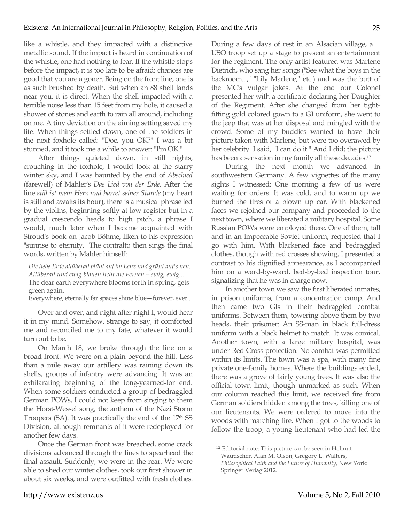like a whistle, and they impacted with a distinctive metallic sound. If the impact is heard in continuation of the whistle, one had nothing to fear. If the whistle stops before the impact, it is too late to be afraid: chances are good that you are a goner. Being on the front line, one is as such brushed by death. But when an 88 shell lands near you, it is direct. When the shell impacted with a terrible noise less than 15 feet from my hole, it caused a shower of stones and earth to rain all around, including on me. A tiny deviation on the aiming setting saved my life. When things settled down, one of the soldiers in the next foxhole called: "Doc, you OK?" I was a bit stunned, and it took me a while to answer: "I'm OK."

After things quieted down, in still nights, crouching in the foxhole, I would look at the starry winter sky, and I was haunted by the end of *Abschied* (farewell) of Mahler's *Das Lied von der Erde*. After the line *still ist mein Herz und harret seiner Stunde* (my heart is still and awaits its hour), there is a musical phrase led by the violins, beginning softly at low register but in a gradual crescendo heads to high pitch, a phrase I would, much later when I became acquainted with Stroud's book on Jacob Böhme, liken to his expression "sunrise to eternity." The contralto then sings the final words, written by Mahler himself:

*Die liebe Erde allüberall blüht auf im Lenz und grünt auf's neu. Allüberall und ewig blauen licht die Fernen—ewig, ewig...* The dear earth everywhere blooms forth in spring, gets green again.

Everywhere, eternally far spaces shine blue—forever, ever...

Over and over, and night after night I, would hear it in my mind. Somehow, strange to say, it comforted me and reconciled me to my fate, whatever it would turn out to be.

On March 18, we broke through the line on a broad front. We were on a plain beyond the hill. Less than a mile away our artillery was raining down its shells, groups of infantry were advancing. It was an exhilarating beginning of the long-yearned-for end. When some soldiers conducted a group of bedraggled German POWs, I could not keep from singing to them the Horst-Wessel song, the anthem of the Nazi Storm Troopers (SA). It was practically the end of the 17th SS Division, although remnants of it were redeployed for another few days.

Once the German front was breached, some crack divisions advanced through the lines to spearhead the final assault. Suddenly, we were in the rear. We were able to shed our winter clothes, took our first shower in about six weeks, and were outfitted with fresh clothes.

During a few days of rest in an Alsacian village, a USO troop set up a stage to present an entertainment for the regiment. The only artist featured was Marlene Dietrich, who sang her songs ("See what the boys in the backroom...," "Lily Marlene," etc.) and was the butt of the MC's vulgar jokes. At the end our Colonel presented her with a certificate declaring her Daughter of the Regiment. After she changed from her tightfitting gold colored gown to a GI uniform, she went to the jeep that was at her disposal and mingled with the crowd. Some of my buddies wanted to have their picture taken with Marlene, but were too overawed by her celebrity. I said, "I can do it." And I did; the picture has been a sensation in my family all these decades.12

During the next month we advanced in southwestern Germany. A few vignettes of the many sights I witnessed: One morning a few of us were waiting for orders. It was cold, and to warm up we burned the tires of a blown up car. With blackened faces we rejoined our company and proceeded to the next town, where we liberated a military hospital. Some Russian POWs were employed there. One of them, tall and in an impeccable Soviet uniform, requested that I go with him. With blackened face and bedraggled clothes, though with red crosses showing, I presented a contrast to his dignified appearance, as I accompanied him on a ward-by-ward, bed-by-bed inspection tour, signalizing that he was in charge now.

In another town we saw the first liberated inmates, in prison uniforms, from a concentration camp. And then came two GIs in their bedraggled combat uniforms. Between them, towering above them by two heads, their prisoner: An SS-man in black full-dress uniform with a black helmet to match. It was comical. Another town, with a large military hospital, was under Red Cross protection. No combat was permitted within its limits. The town was a spa, with many fine private one-family homes. Where the buildings ended, there was a grove of fairly young trees. It was also the official town limit, though unmarked as such. When our column reached this limit, we received fire from German soldiers hidden among the trees, killing one of our lieutenants. We were ordered to move into the woods with marching fire. When I got to the woods to follow the troop, a young lieutenant who had led the

<sup>12</sup> Editorial note: This picture can be seen in Helmut Wautischer, Alan M. Olson, Gregory L. Walters, *Philosophical Faith and the Future of Humanity*, New York: Springer Verlag 2012.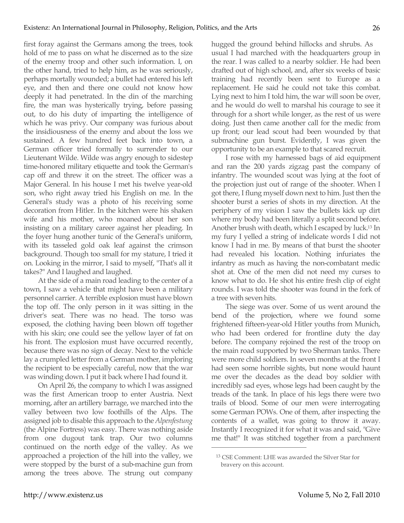first foray against the Germans among the trees, took hold of me to pass on what he discerned as to the size of the enemy troop and other such information. I, on the other hand, tried to help him, as he was seriously, perhaps mortally wounded; a bullet had entered his left eye, and then and there one could not know how deeply it had penetrated. In the din of the marching fire, the man was hysterically trying, before passing out, to do his duty of imparting the intelligence of which he was privy. Our company was furious about the insidiousness of the enemy and about the loss we sustained. A few hundred feet back into town, a German officer tried formally to surrender to our Lieutenant Wilde. Wilde was angry enough to sidestep time-honored military etiquette and took the German's cap off and threw it on the street. The officer was a Major General. In his house I met his twelve year-old son, who right away tried his English on me. In the General's study was a photo of his receiving some decoration from Hitler. In the kitchen were his shaken wife and his mother, who moaned about her son insisting on a military career against her pleading. In the foyer hung another tunic of the General's uniform, with its tasseled gold oak leaf against the crimson background. Though too small for my stature, I tried it on. Looking in the mirror, I said to myself, "That's all it takes?" And I laughed and laughed.

At the side of a main road leading to the center of a town, I saw a vehicle that might have been a military personnel carrier. A terrible explosion must have blown the top off. The only person in it was sitting in the driver's seat. There was no head. The torso was exposed, the clothing having been blown off together with his skin; one could see the yellow layer of fat on his front. The explosion must have occurred recently, because there was no sign of decay. Next to the vehicle lay a crumpled letter from a German mother, imploring the recipient to be especially careful, now that the war was winding down. I put it back where I had found it.

On April 26, the company to which I was assigned was the first American troop to enter Austria. Next morning, after an artillery barrage, we marched into the valley between two low foothills of the Alps. The assigned job to disable this approach to the *Alpenfestung* (the Alpine Fortress) was easy. There was nothing aside from one dugout tank trap. Our two columns continued on the north edge of the valley. As we approached a projection of the hill into the valley, we were stopped by the burst of a sub-machine gun from among the trees above. The strung out company

hugged the ground behind hillocks and shrubs. As usual I had marched with the headquarters group in the rear. I was called to a nearby soldier. He had been drafted out of high school, and, after six weeks of basic training had recently been sent to Europe as a replacement. He said he could not take this combat. Lying next to him I told him, the war will soon be over, and he would do well to marshal his courage to see it through for a short while longer, as the rest of us were doing. Just then came another call for the medic from up front; our lead scout had been wounded by that submachine gun burst. Evidently, I was given the opportunity to be an example to that scared recruit.

I rose with my harnessed bags of aid equipment and ran the 200 yards zigzag past the company of infantry. The wounded scout was lying at the foot of the projection just out of range of the shooter. When I got there, I flung myself down next to him. Just then the shooter burst a series of shots in my direction. At the periphery of my vision I saw the bullets kick up dirt where my body had been literally a split second before. Another brush with death, which I escaped by luck.13 In my fury I yelled a string of indelicate words I did not know I had in me. By means of that burst the shooter had revealed his location. Nothing infuriates the infantry as much as having the non-combatant medic shot at. One of the men did not need my curses to know what to do. He shot his entire fresh clip of eight rounds. I was told the shooter was found in the fork of a tree with seven hits.

The siege was over. Some of us went around the bend of the projection, where we found some frightened fifteen-year-old Hitler youths from Munich, who had been ordered for frontline duty the day before. The company rejoined the rest of the troop on the main road supported by two Sherman tanks. There were more child soldiers. In seven months at the front I had seen some horrible sights, but none would haunt me over the decades as the dead boy soldier with incredibly sad eyes, whose legs had been caught by the treads of the tank. In place of his legs there were two trails of blood. Some of our men were interrogating some German POWs. One of them, after inspecting the contents of a wallet, was going to throw it away. Instantly I recognized it for what it was and said, "Give me that!" It was stitched together from a parchment

<sup>13</sup> CSE Comment: LHE was awarded the Silver Star for bravery on this account.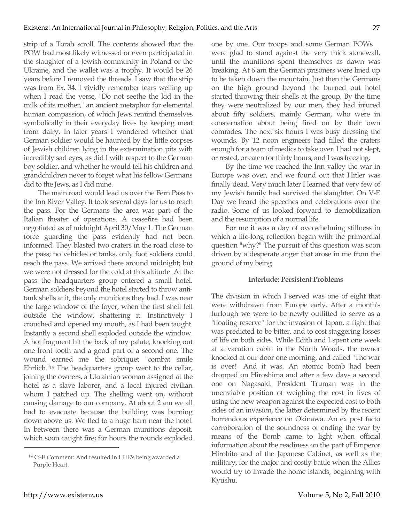strip of a Torah scroll. The contents showed that the POW had most likely witnessed or even participated in the slaughter of a Jewish community in Poland or the Ukraine, and the wallet was a trophy. It would be 26 years before I removed the threads. I saw that the strip was from Ex. 34. I vividly remember tears welling up when I read the verse, "Do not seethe the kid in the milk of its mother," an ancient metaphor for elemental human compassion, of which Jews remind themselves symbolically in their everyday lives by keeping meat from dairy. In later years I wondered whether that German soldier would be haunted by the little corpses of Jewish children lying in the extermination pits with incredibly sad eyes, as did I with respect to the German boy soldier, and whether he would tell his children and grandchildren never to forget what his fellow Germans did to the Jews, as I did mine.

The main road would lead us over the Fern Pass to the Inn River Valley. It took several days for us to reach the pass. For the Germans the area was part of the Italian theater of operations. A ceasefire had been negotiated as of midnight April 30/May 1. The German force guarding the pass evidently had not been informed. They blasted two craters in the road close to the pass; no vehicles or tanks, only foot soldiers could reach the pass. We arrived there around midnight; but we were not dressed for the cold at this altitude. At the pass the headquarters group entered a small hotel. German soldiers beyond the hotel started to throw antitank shells at it, the only munitions they had. I was near the large window of the foyer, when the first shell fell outside the window, shattering it. Instinctively I crouched and opened my mouth, as I had been taught. Instantly a second shell exploded outside the window. A hot fragment hit the back of my palate, knocking out one front tooth and a good part of a second one. The wound earned me the sobriquet "combat smile Ehrlich."14 The headquarters group went to the cellar, joining the owners, a Ukrainian woman assigned at the hotel as a slave laborer, and a local injured civilian whom I patched up. The shelling went on, without causing damage to our company. At about 2 am we all had to evacuate because the building was burning down above us. We fled to a huge barn near the hotel. In between there was a German munitions deposit, which soon caught fire; for hours the rounds exploded one by one. Our troops and some German POWs were glad to stand against the very thick stonewall, until the munitions spent themselves as dawn was breaking. At 6 am the German prisoners were lined up to be taken down the mountain. Just then the Germans on the high ground beyond the burned out hotel started throwing their shells at the group. By the time they were neutralized by our men, they had injured about fifty soldiers, mainly German, who were in consternation about being fired on by their own comrades. The next six hours I was busy dressing the wounds. By 12 noon engineers had filled the craters enough for a team of medics to take over. I had not slept, or rested, or eaten for thirty hours, and I was freezing.

By the time we reached the Inn valley the war in Europe was over, and we found out that Hitler was finally dead. Very much later I learned that very few of my Jewish family had survived the slaughter. On V-E Day we heard the speeches and celebrations over the radio. Some of us looked forward to demobilization and the resumption of a normal life.

For me it was a day of overwhelming stillness in which a life-long reflection began with the primordial question "why?" The pursuit of this question was soon driven by a desperate anger that arose in me from the ground of my being.

## **Interlude: Persistent Problems**

The division in which I served was one of eight that were withdrawn from Europe early. After a month's furlough we were to be newly outfitted to serve as a "floating reserve" for the invasion of Japan, a fight that was predicted to be bitter, and to cost staggering losses of life on both sides. While Edith and I spent one week at a vacation cabin in the North Woods, the owner knocked at our door one morning, and called "The war is over!" And it was. An atomic bomb had been dropped on Hiroshima and after a few days a second one on Nagasaki. President Truman was in the unenviable position of weighing the cost in lives of using the new weapon against the expected cost to both sides of an invasion, the latter determined by the recent horrendous experience on Okinawa. An ex post facto corroboration of the soundness of ending the war by means of the Bomb came to light when official information about the readiness on the part of Emperor Hirohito and of the Japanese Cabinet, as well as the military, for the major and costly battle when the Allies would try to invade the home islands, beginning with Kyushu.

<sup>14</sup> CSE Comment: And resulted in LHE's being awarded a Purple Heart.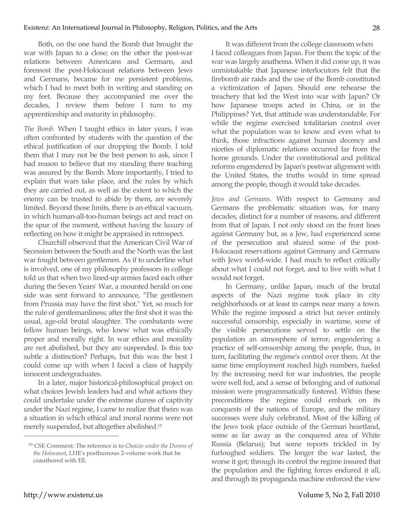Both, on the one hand the Bomb that brought the war with Japan to a close; on the other the post-war relations between Americans and Germans, and foremost the post-Holocaust relations between Jews and Germans, became for me persistent problems, which I had to meet both in writing and standing on my feet. Because they accompanied me over the decades, I review them before I turn to my apprenticeship and maturity in philosophy.

*The Bomb*. When I taught ethics in later years, I was often confronted by students with the question of the ethical justification of our dropping the Bomb. I told them that I may not be the best person to ask, since I had reason to believe that my standing there teaching was assured by the Bomb. More importantly, I tried to explain that wars take place, and the rules by which they are carried out, as well as the extent to which the enemy can be trusted to abide by them, are severely limited. Beyond those limits, there is an ethical vacuum, in which human-all-too-human beings act and react on the spur of the moment, without having the luxury of reflecting on how it might be appraised in retrospect.

Churchill observed that the American Civil War of Secession between the South and the North was the last war fought between gentlemen. As if to underline what is involved, one of my philosophy professors in college told us that when two lined-up armies faced each other during the Seven Years' War, a mounted herald on one side was sent forward to announce, "The gentlemen from Prussia may have the first shot." Yet, so much for the rule of gentlemanliness; after the first shot it was the usual, age-old brutal slaughter. The combatants were fellow human beings, who knew what was ethically proper and morally right. In war ethics and morality are not abolished, but they are suspended. Is this too subtle a distinction? Perhaps, but this was the best I could come up with when I faced a class of happily innocent undergraduates.

In a later, major historical-philosophical project on what choices Jewish leaders had and what actions they could undertake under the extreme duress of captivity under the Nazi regime, I came to realize that theirs was a situation in which ethical and moral norms were not merely suspended, but altogether abolished.15

It was different from the college classroom when I faced colleagues from Japan. For them the topic of the war was largely anathema. When it did come up, it was unmistakable that Japanese interlocutors felt that the firebomb air raids and the use of the Bomb constituted a victimization of Japan. Should one rehearse the treachery that led the West into war with Japan? Or how Japanese troops acted in China, or in the Philippines? Yet, that attitude was understandable. For while the regime exercised totalitarian control over what the population was to know and even what to think, those infractions against human decency and niceties of diplomatic relations occurred far from the home grounds. Under the constitutional and political reforms engendered by Japan's postwar alignment with the United States, the truths would in time spread among the people, though it would take decades.

*Jews and Germans*. With respect to Germany and Germans the problematic situation was, for many decades, distinct for a number of reasons, and different from that of Japan. I not only stood on the front lines against Germany but, as a Jew, had experienced some of the persecution and shared some of the post-Holocaust reservations against Germany and Germans with Jews world-wide. I had much to reflect critically about what I could not forget, and to live with what I would not forget.

In Germany, unlike Japan, much of the brutal aspects of the Nazi regime took place in city neighborhoods or at least in camps near many a town. While the regime imposed a strict but never entirely successful censorship, especially in wartime, some of the visible persecutions served to settle on the population an atmosphere of terror, engendering a practice of self-censorship among the people, thus, in turn, facilitating the regime's control over them. At the same time employment reached high numbers, fueled by the increasing need for war industries, the people were well fed, and a sense of belonging and of national mission were programmatically fostered. Within these preconditions the regime could embark on its conquests of the nations of Europe, and the military successes were duly celebrated. Most of the killing of the Jews took place outside of the German heartland, some as far away as the conquered area of White Russia (Belarus); but some reports trickled in by furloughed soldiers. The longer the war lasted, the worse it got; through its control the regime insured that the population and the fighting forces endured it all, and through its propaganda machine enforced the view

<sup>15</sup> CSE Comment: The reference is to *Choices under the Duress of the Holocaust*, LHE's posthumous 2-volume work that he coauthored with EE.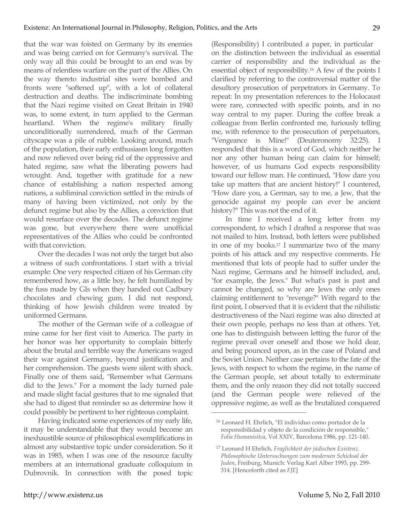that the war was foisted on Germany by its enemies and was being carried on for Germany's survival. The only way all this could be brought to an end was by means of relentless warfare on the part of the Allies. On the way thereto industrial sites were bombed and fronts were "softened up", with a lot of collateral destruction and deaths. The indiscriminate bombing that the Nazi regime visited on Great Britain in 1940 was, to some extent, in turn applied to the German heartland. When the regime's military finally unconditionally surrendered, much of the German cityscape was a pile of rubble. Looking around, much of the population, their early enthusiasm long forgotten and now relieved over being rid of the oppressive and hated regime, saw what the liberating powers had wrought. And, together with gratitude for a new chance of establishing a nation respected among nations, a subliminal conviction settled in the minds of many of having been victimized, not only by the defunct regime but also by the Allies, a conviction that would resurface over the decades. The defunct regime was gone, but everywhere there were unofficial representatives of the Allies who could be confronted with that conviction.

Over the decades I was not only the target but also a witness of such confrontations. I start with a trivial example: One very respected citizen of his German city remembered how, as a little boy, he felt humiliated by the fuss made by GIs when they handed out Cadbury chocolates and chewing gum. I did not respond, thinking of how Jewish children were treated by uniformed Germans.

The mother of the German wife of a colleague of mine came for her first visit to America. The party in her honor was her opportunity to complain bitterly about the brutal and terrible way the Americans waged their war against Germany, beyond justification and her comprehension. The guests were silent with shock. Finally one of them said, "Remember what Germans did to the Jews." For a moment the lady turned pale and made slight facial gestures that to me signaled that she had to digest that reminder so as determine how it could possibly be pertinent to her righteous complaint.

Having indicated some experiences of my early life, it may be understandable that they would become an inexhaustible source of philosophical exemplifications in almost any substantive topic under consideration. So it was in 1985, when I was one of the resource faculty members at an international graduate colloquium in Dubrovnik. In connection with the posed topic (Responsibility) I contributed a paper, in particular on the distinction between the individual as essential carrier of responsibility and the individual as the essential object of responsibility.16 A few of the points I clarified by referring to the controversial matter of the desultory prosecution of perpetrators in Germany. To repeat: In my presentation references to the Holocaust were rare, connected with specific points, and in no way central to my paper. During the coffee break a colleague from Berlin confronted me, furiously telling me, with reference to the prosecution of perpetuators, "Vengeance is Mine!" (Deuteronomy 32:25). I responded that this is a word of God, which neither he nor any other human being can claim for himself; however, of us humans God expects responsibility toward our fellow man. He continued, "How dare you take up matters that are ancient history!" I countered, "How dare you, a German, say to me, a Jew, that the genocide against my people can ever be ancient history?" This was not the end of it.

In time I received a long letter from my correspondent, to which I drafted a response that was not mailed to him. Instead, both letters were published in one of my books.17 I summarize two of the many points of his attack and my respective comments. He mentioned that lots of people had to suffer under the Nazi regime, Germans and he himself included, and, "for example, the Jews." But what's past is past and cannot be changed, so why are Jews the only ones claiming entitlement to "revenge?" With regard to the first point, I observed that it is evident that the nihilistic destructiveness of the Nazi regime was also directed at their own people, perhaps no less than at others. Yet, one has to distinguish between letting the furor of the regime prevail over oneself and those we hold dear, and being pounced upon, as in the case of Poland and the Soviet Union. Neither case pertains to the fate of the Jews, with respect to whom the regime, in the name of the German people, set about totally to exterminate them, and the only reason they did not totally succeed (and the German people were relieved of the oppressive regime, as well as the brutalized conquered

<sup>16</sup> Leonard H. Ehrlich, "El individuo como portador de la responsibilidad y objeto de la condición de responsible," *Folia Humanisitca*, Vol XXIV, Barcelona 1986, pp. 121-140.

<sup>17</sup> Leonard H Ehrlich, *Fraglichkeit der jüdischen Existenz. Philosophische Untersuchungen zum modernen Schicksal der Juden*, Freiburg, Munich: Verlag Karl Alber 1993, pp. 299- 314. [Henceforth cited as *FJE*]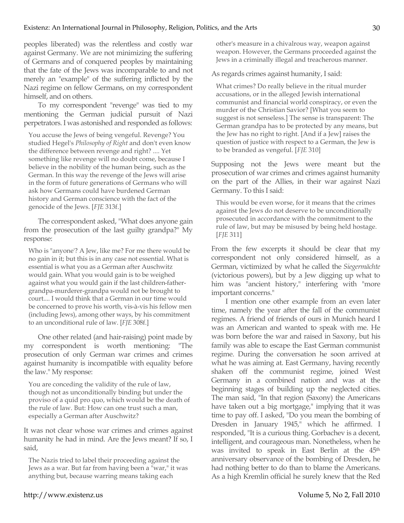peoples liberated) was the relentless and costly war against Germany. We are not minimizing the suffering of Germans and of conquered peoples by maintaining that the fate of the Jews was incomparable to and not merely an "example" of the suffering inflicted by the Nazi regime on fellow Germans, on my correspondent himself, and on others.

To my correspondent "revenge" was tied to my mentioning the German judicial pursuit of Nazi perpetrators. I was astonished and responded as follows:

You accuse the Jews of being vengeful. Revenge? You studied Hegel's *Philosophy of Right* and don't even know the difference between revenge and right? .... Yet something like revenge will no doubt come, because I believe in the nobility of the human being, such as the German. In this way the revenge of the Jews will arise in the form of future generations of Germans who will ask how Germans could have burdened German history and German conscience with the fact of the genocide of the Jews. [*FJE* 313f.]

The correspondent asked, "What does anyone gain from the prosecution of the last guilty grandpa?" My response:

Who is "anyone'? A Jew, like me? For me there would be no gain in it; but this is in any case not essential. What is essential is what you as a German after Auschwitz would gain. What you would gain is to be weighed against what you would gain if the last children-fathergrandpa-murderer-grandpa would not be brought to court.... I would think that a German in our time would be concerned to prove his worth, vis-à-vis his fellow men (including Jews), among other ways, by his commitment to an unconditional rule of law. [*FJE* 308f.]

One other related (and hair-raising) point made by my correspondent is worth mentioning: "The prosecution of only German war crimes and crimes against humanity is incompatible with equality before the law." My response:

You are conceding the validity of the rule of law, though not as unconditionally binding but under the proviso of a quid pro quo, which would be the death of the rule of law. But: How can one trust such a man, especially a German after Auschwitz?

It was not clear whose war crimes and crimes against humanity he had in mind. Are the Jews meant? If so, I said,

The Nazis tried to label their proceeding against the Jews as a war. But far from having been a "war," it was anything but, because warring means taking each

other's measure in a chivalrous way, weapon against weapon. However, the Germans proceeded against the Jews in a criminally illegal and treacherous manner.

As regards crimes against humanity, I said:

What crimes? Do really believe in the ritual murder accusations, or in the alleged Jewish international communist and financial world conspiracy, or even the murder of the Christian Savior? [What you seem to suggest is not senseless.] The sense is transparent: The German grandpa has to be protected by any means, but the Jew has no right to right. [And if a Jew] raises the question of justice with respect to a German, the Jew is to be branded as vengeful. [*FJE* 310]

Supposing not the Jews were meant but the prosecution of war crimes and crimes against humanity on the part of the Allies, in their war against Nazi Germany. To this I said:

This would be even worse, for it means that the crimes against the Jews do not deserve to be unconditionally prosecuted in accordance with the commitment to the rule of law, but may be misused by being held hostage. [*FJE* 311]

From the few excerpts it should be clear that my correspondent not only considered himself, as a German, victimized by what he called the *Siegermächte* (victorious powers), but by a Jew digging up what to him was "ancient history," interfering with "more important concerns."

I mention one other example from an even later time, namely the year after the fall of the communist regimes. A friend of friends of ours in Munich heard I was an American and wanted to speak with me. He was born before the war and raised in Saxony, but his family was able to escape the East German communist regime. During the conversation he soon arrived at what he was aiming at. East Germany, having recently shaken off the communist regime, joined West Germany in a combined nation and was at the beginning stages of building up the neglected cities. The man said, "In that region (Saxony) the Americans have taken out a big mortgage," implying that it was time to pay off. I asked, "Do you mean the bombing of Dresden in January 1945," which he affirmed. I responded, "It is a curious thing. Gorbachev is a decent, intelligent, and courageous man. Nonetheless, when he was invited to speak in East Berlin at the 45th anniversary observance of the bombing of Dresden, he had nothing better to do than to blame the Americans. As a high Kremlin official he surely knew that the Red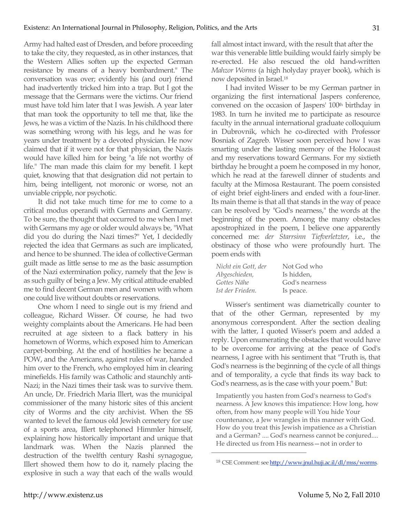Army had halted east of Dresden, and before proceeding to take the city, they requested, as in other instances, that the Western Allies soften up the expected German resistance by means of a heavy bombardment." The conversation was over; evidently his (and our) friend had inadvertently tricked him into a trap. But I got the message that the Germans were the victims. Our friend must have told him later that I was Jewish. A year later that man took the opportunity to tell me that, like the Jews, he was a victim of the Nazis. In his childhood there was something wrong with his legs, and he was for years under treatment by a devoted physician. He now claimed that if it were not for that physician, the Nazis would have killed him for being "a life not worthy of life." The man made this claim for my benefit. I kept quiet, knowing that that designation did not pertain to him, being intelligent, not moronic or worse, not an unviable cripple, nor psychotic.

It did not take much time for me to come to a critical modus operandi with Germans and Germany. To be sure, the thought that occurred to me when I met with Germans my age or older would always be, "What did you do during the Nazi times?" Yet, I decidedly rejected the idea that Germans as such are implicated, and hence to be shunned. The idea of collective German guilt made as little sense to me as the basic assumption of the Nazi extermination policy, namely that the Jew is as such guilty of being a Jew. My critical attitude enabled me to find decent German men and women with whom one could live without doubts or reservations.

One whom I need to single out is my friend and colleague, Richard Wisser. Of course, he had two weighty complaints about the Americans. He had been recruited at age sixteen to a flack battery in his hometown of Worms, which exposed him to American carpet-bombing. At the end of hostilities he became a POW, and the Americans, against rules of war, handed him over to the French, who employed him in clearing minefields. His family was Catholic and staunchly anti-Nazi; in the Nazi times their task was to survive them. An uncle, Dr. Friedrich Maria Illert, was the municipal commissioner of the many historic sites of this ancient city of Worms and the city archivist. When the SS wanted to level the famous old Jewish cemetery for use of a sports area, Illert telephoned Himmler himself, explaining how historically important and unique that landmark was. When the Nazis planned the destruction of the twelfth century Rashi synagogue, Illert showed them how to do it, namely placing the explosive in such a way that each of the walls would fall almost intact inward, with the result that after the war this venerable little building would fairly simply be re-erected. He also rescued the old hand-written *Mahzor Worms* (a high holyday prayer book), which is now deposited in Israel.18

I had invited Wisser to be my German partner in organizing the first international Jaspers conference, convened on the occasion of Jaspers' 100th birthday in 1983. In turn he invited me to participate as resource faculty in the annual international graduate colloquium in Dubrovnik, which he co-directed with Professor Bosniak of Zagreb. Wisser soon perceived how I was smarting under the lasting memory of the Holocaust and my reservations toward Germans. For my sixtieth birthday he brought a poem he composed in my honor, which he read at the farewell dinner of students and faculty at the Mimosa Restaurant. The poem consisted of eight brief eight-liners and ended with a four-liner. Its main theme is that all that stands in the way of peace can be resolved by "God's nearness," the words at the beginning of the poem. Among the many obstacles apostrophized in the poem, I believe one apparently concerned me: *der Starrsinn Tiefverletzter*, i.e., the obstinacy of those who were profoundly hurt. The poem ends with

| Nicht ein Gott, der | Not God who    |
|---------------------|----------------|
| Abgeschieden,       | Is hidden.     |
| Gottes Nähe         | God's nearness |
| Ist der Frieden.    | Is peace.      |

Wisser's sentiment was diametrically counter to that of the other German, represented by my anonymous correspondent. After the section dealing with the latter, I quoted Wisser's poem and added a reply. Upon enumerating the obstacles that would have to be overcome for arriving at the peace of God's nearness, I agree with his sentiment that "Truth is, that God's nearness is the beginning of the cycle of all things and of temporality, a cycle that finds its way back to God's nearness, as is the case with your poem." But:

Impatiently you hasten from God's nearness to God's nearness. A Jew knows this impatience: How long, how often, from how many people will You hide Your countenance, a Jew wrangles in this manner with God. How do you treat this Jewish impatience as a Christian and a German? .... God's nearness cannot be conjured.... He directed us from His nearness—not in order to

<sup>18</sup> CSE Comment: see http://www.jnul.huji.ac.il/dl/mss/worms.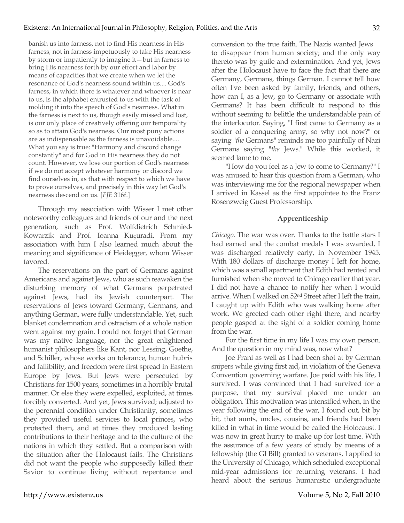banish us into farness, not to find His nearness in His farness, not in farness impetuously to take His nearness by storm or impatiently to imagine it—but in farness to bring His nearness forth by our effort and labor by means of capacities that we create when we let the resonance of God's nearness sound within us.... God's farness, in which there is whatever and whoever is near to us, is the alphabet entrusted to us with the task of molding it into the speech of God's nearness. What in the farness is next to us, though easily missed and lost, is our only place of creatively offering our temporality so as to attain God's nearness. Our most puny actions are as indispensable as the farness is unavoidable.... What you say is true: "Harmony and discord change constantly" and for God in His nearness they do not count. However, we lose our portion of God's nearness if we do not accept whatever harmony or discord we find ourselves in, as that with respect to which we have to prove ourselves, and precisely in this way let God's nearness descend on us. [*FJE* 316f.]

Through my association with Wisser I met other noteworthy colleagues and friends of our and the next generation, such as Prof. Wolfdietrich Schmied-Kowarzik and Prof. Ioanna Kuçuradi. From my association with him I also learned much about the meaning and significance of Heidegger, whom Wisser favored.

The reservations on the part of Germans against Americans and against Jews, who as such reawaken the disturbing memory of what Germans perpetrated against Jews, had its Jewish counterpart. The reservations of Jews toward Germany, Germans, and anything German, were fully understandable. Yet, such blanket condemnation and ostracism of a whole nation went against my grain. I could not forget that German was my native language, nor the great enlightened humanist philosophers like Kant, nor Lessing, Goethe, and Schiller, whose works on tolerance, human hubris and fallibility, and freedom were first spread in Eastern Europe by Jews. But Jews were persecuted by Christians for 1500 years, sometimes in a horribly brutal manner. Or else they were expelled, exploited, at times forcibly converted. And yet, Jews survived; adjusted to the perennial condition under Christianity, sometimes they provided useful services to local princes, who protected them, and at times they produced lasting contributions to their heritage and to the culture of the nations in which they settled. But a comparison with the situation after the Holocaust fails. The Christians did not want the people who supposedly killed their Savior to continue living without repentance and

conversion to the true faith. The Nazis wanted Jews to disappear from human society; and the only way thereto was by guile and extermination. And yet, Jews after the Holocaust have to face the fact that there are Germany, Germans, things German. I cannot tell how often I've been asked by family, friends, and others, how can I, as a Jew, go to Germany or associate with Germans? It has been difficult to respond to this without seeming to belittle the understandable pain of the interlocutor. Saying, "I first came to Germany as a soldier of a conquering army, so why not now?" or saying "*the* Germans" reminds me too painfully of Nazi Germans saying "*the* Jews." While this worked, it seemed lame to me.

"How do you feel as a Jew to come to Germany?" I was amused to hear this question from a German, who was interviewing me for the regional newspaper when I arrived in Kassel as the first appointee to the Franz Rosenzweig Guest Professorship.

## **Apprenticeship**

*Chicago*. The war was over. Thanks to the battle stars I had earned and the combat medals I was awarded, I was discharged relatively early, in November 1945. With 180 dollars of discharge money I left for home, which was a small apartment that Edith had rented and furnished when she moved to Chicago earlier that year. I did not have a chance to notify her when I would arrive. When I walked on 52nd Street after I left the train, I caught up with Edith who was walking home after work. We greeted each other right there, and nearby people gasped at the sight of a soldier coming home from the war.

For the first time in my life I was my own person. And the question in my mind was, now what?

Joe Frani as well as I had been shot at by German snipers while giving first aid, in violation of the Geneva Convention governing warfare. Joe paid with his life, I survived. I was convinced that I had survived for a purpose, that my survival placed me under an obligation. This motivation was intensified when, in the year following the end of the war, I found out, bit by bit, that aunts, uncles, cousins, and friends had been killed in what in time would be called the Holocaust. I was now in great hurry to make up for lost time. With the assurance of a few years of study by means of a fellowship (the GI Bill) granted to veterans, I applied to the University of Chicago, which scheduled exceptional mid-year admissions for returning veterans. I had heard about the serious humanistic undergraduate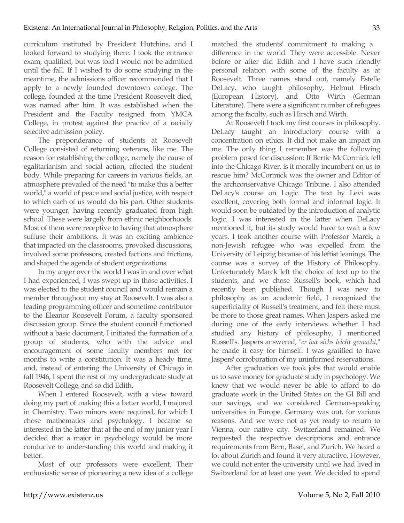curriculum instituted by President Hutchins, and I looked forward to studying there. I took the entrance exam, qualified, but was told I would not be admitted until the fall. If I wished to do some studying in the meantime, the admissions officer recommended that I apply to a newly founded downtown college. The college, founded at the time President Roosevelt died, was named after him. It was established when the President and the Faculty resigned from YMCA College, in protest against the practice of a racially selective admission policy.

The preponderance of students at Roosevelt College consisted of returning veterans, like me. The reason for establishing the college, namely the cause of egalitarianism and social action, affected the student body. While preparing for careers in various fields, an atmosphere prevailed of the need "to make this a better world," a world of peace and social justice, with respect to which each of us would do his part. Other students were younger, having recently graduated from high school. These were largely from ethnic neighborhoods. Most of them were receptive to having that atmosphere suffuse their ambitions. It was an exciting ambience that impacted on the classrooms, provoked discussions, involved some professors, created factions and frictions, and shaped the agenda of student organizations.

In my anger over the world I was in and over what I had experienced, I was swept up in those activities. I was elected to the student council and would remain a member throughout my stay at Roosevelt. I was also a leading programming officer and sometime contributor to the Eleanor Roosevelt Forum, a faculty sponsored discussion group. Since the student council functioned without a basic document, I initiated the formation of a group of students, who with the advice and encouragement of some faculty members met for months to write a constitution. It was a heady time, and, instead of entering the University of Chicago in fall 1946, I spent the rest of my undergraduate study at Roosevelt College, and so did Edith.

When I entered Roosevelt, with a view toward doing my part of making this a better world, I majored in Chemistry. Two minors were required, for which I chose mathematics and psychology. I became so interested in the latter that at the end of my junior year I decided that a major in psychology would be more conducive to understanding this world and making it better.

Most of our professors were excellent. Their enthusiastic sense of pioneering a new idea of a college matched the students' commitment to making a difference in the world. They were accessible. Never before or after did Edith and I have such friendly personal relation with some of the faculty as at Roosevelt. Three names stand out, namely Estelle DeLacy, who taught philosophy, Helmut Hirsch (European History), and Otto Wirth (German Literature). There were a significant number of refugees among the faculty, such as Hirsch and Wirth.

At Roosevelt I took my first courses in philosophy. DeLacy taught an introductory course with a concentration on ethics. It did not make an impact on me. The only thing I remember was the following problem posed for discussion: If Bertie McCormick fell into the Chicago River, is it morally incumbent on us to rescue him? McCormick was the owner and Editor of the archconservative Chicago Tribune. I also attended DeLacy's course on Logic. The text by Levi was excellent, covering both formal and informal logic. It would soon be outdated by the introduction of analytic logic. I was interested in the latter when DeLacy mentioned it, but its study would have to wait a few years. I took another course with Professor Marck, a non-Jewish refugee who was expelled from the University of Leipzig because of his leftist leanings. The course was a survey of the History of Philosophy. Unfortunately Marck left the choice of text up to the students, and we chose Russell's book, which had recently been published. Though I was new to philosophy as an academic field, I recognized the superficiality of Russell's treatment, and felt there must be more to those great names. When Jaspers asked me during one of the early interviews whether I had studied any history of philosophy, I mentioned Russell's. Jaspers answered, "*er hat sichs leicht gemacht*," he made it easy for himself. I was gratified to have Jaspers' corroboration of my uninformed reservations.

After graduation we took jobs that would enable us to save money for graduate study in psychology. We knew that we would never be able to afford to do graduate work in the United States on the GI Bill and our savings, and we considered German-speaking universities in Europe. Germany was out, for various reasons. And we were not as yet ready to return to Vienna, our native city. Switzerland remained. We requested the respective descriptions and entrance requirements from Bern, Basel, and Zurich. We heard a lot about Zurich and found it very attractive. However, we could not enter the university until we had lived in Switzerland for at least one year. We decided to spend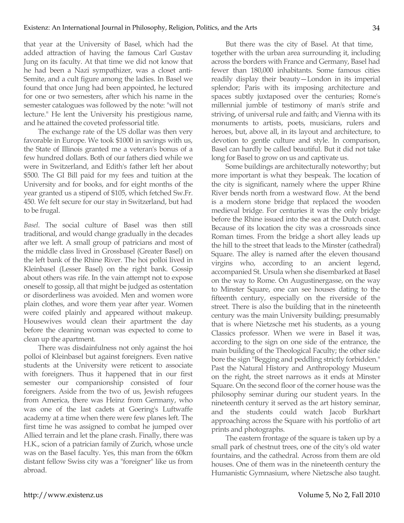that year at the University of Basel, which had the added attraction of having the famous Carl Gustav Jung on its faculty. At that time we did not know that he had been a Nazi sympathizer, was a closet anti-Semite, and a cult figure among the ladies. In Basel we found that once Jung had been appointed, he lectured for one or two semesters, after which his name in the semester catalogues was followed by the note: "will not lecture." He lent the University his prestigious name, and he attained the coveted professorial title.

The exchange rate of the US dollar was then very favorable in Europe. We took \$1000 in savings with us, the State of Illinois granted me a veteran's bonus of a few hundred dollars. Both of our fathers died while we were in Switzerland, and Edith's father left her about \$500. The GI Bill paid for my fees and tuition at the University and for books, and for eight months of the year granted us a stipend of \$105, which fetched Sw.Fr. 450. We felt secure for our stay in Switzerland, but had to be frugal.

*Basel*. The social culture of Basel was then still traditional, and would change gradually in the decades after we left. A small group of patricians and most of the middle class lived in Grossbasel (Greater Basel) on the left bank of the Rhine River. The hoi polloi lived in Kleinbasel (Lesser Basel) on the right bank. Gossip about others was rife. In the vain attempt not to expose oneself to gossip, all that might be judged as ostentation or disorderliness was avoided. Men and women wore plain clothes, and wore them year after year. Women were coifed plainly and appeared without makeup. Housewives would clean their apartment the day before the cleaning woman was expected to come to clean up the apartment.

There was disdainfulness not only against the hoi polloi of Kleinbasel but against foreigners. Even native students at the University were reticent to associate with foreigners. Thus it happened that in our first semester our companionship consisted of four foreigners. Aside from the two of us, Jewish refugees from America, there was Heinz from Germany, who was one of the last cadets at Goering's Luftwaffe academy at a time when there were few planes left. The first time he was assigned to combat he jumped over Allied terrain and let the plane crash. Finally, there was H.K., scion of a patrician family of Zurich, whose uncle was on the Basel faculty. Yes, this man from the 60km distant fellow Swiss city was a "foreigner" like us from abroad.

But there was the city of Basel. At that time, together with the urban area surrounding it, including across the borders with France and Germany, Basel had fewer than 180,000 inhabitants. Some famous cities readily display their beauty—London in its imperial splendor; Paris with its imposing architecture and spaces subtly juxtaposed over the centuries; Rome's millennial jumble of testimony of man's strife and striving, of universal rule and faith; and Vienna with its monuments to artists, poets, musicians, rulers and heroes, but, above all, in its layout and architecture, to devotion to gentle culture and style. In comparison, Basel can hardly be called beautiful. But it did not take long for Basel to grow on us and captivate us.

Some buildings are architecturally noteworthy; but more important is what they bespeak. The location of the city is significant, namely where the upper Rhine River bends north from a westward flow. At the bend is a modern stone bridge that replaced the wooden medieval bridge. For centuries it was the only bridge before the Rhine issued into the sea at the Dutch coast. Because of its location the city was a crossroads since Roman times. From the bridge a short alley leads up the hill to the street that leads to the Minster (cathedral) Square. The alley is named after the eleven thousand virgins who, according to an ancient legend, accompanied St. Ursula when she disembarked at Basel on the way to Rome. On Augustinergasse, on the way to Minster Square, one can see houses dating to the fifteenth century, especially on the riverside of the street. There is also the building that in the nineteenth century was the main University building; presumably that is where Nietzsche met his students, as a young Classics professor. When we were in Basel it was, according to the sign on one side of the entrance, the main building of the Theological Faculty; the other side bore the sign "Begging and peddling strictly forbidden." Past the Natural History and Anthropology Museum on the right, the street narrows as it ends at Minster Square. On the second floor of the corner house was the philosophy seminar during our student years. In the nineteenth century it served as the art history seminar, and the students could watch Jacob Burkhart approaching across the Square with his portfolio of art prints and photographs.

The eastern frontage of the square is taken up by a small park of chestnut trees, one of the city's old water fountains, and the cathedral. Across from them are old houses. One of them was in the nineteenth century the Humanistic Gymnasium, where Nietzsche also taught.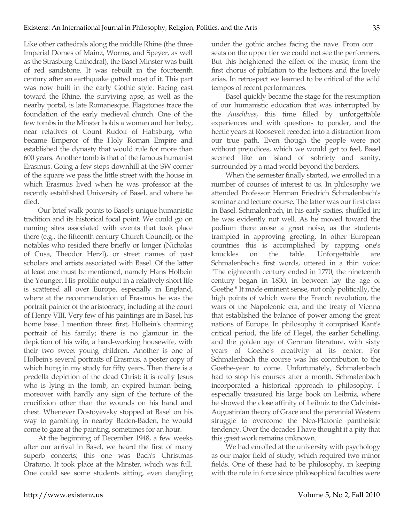Like other cathedrals along the middle Rhine (the three Imperial Domes of Mainz, Worms, and Speyer, as well as the Strasburg Cathedral), the Basel Minster was built of red sandstone. It was rebuilt in the fourteenth century after an earthquake gutted most of it. This part was now built in the early Gothic style. Facing east toward the Rhine, the surviving apse, as well as the nearby portal, is late Romanesque. Flagstones trace the foundation of the early medieval church. One of the few tombs in the Minster holds a woman and her baby, near relatives of Count Rudolf of Habsburg, who became Emperor of the Holy Roman Empire and established the dynasty that would rule for more than 600 years. Another tomb is that of the famous humanist Erasmus. Going a few steps downhill at the SW corner of the square we pass the little street with the house in which Erasmus lived when he was professor at the recently established University of Basel, and where he died.

Our brief walk points to Basel's unique humanistic tradition and its historical focal point. We could go on naming sites associated with events that took place there (e.g., the fifteenth century Church Council), or the notables who resided there briefly or longer (Nicholas of Cusa, Theodor Herzl), or street names of past scholars and artists associated with Basel. Of the latter at least one must be mentioned, namely Hans Holbein the Younger. His prolific output in a relatively short life is scattered all over Europe, especially in England, where at the recommendation of Erasmus he was the portrait painter of the aristocracy, including at the court of Henry VIII. Very few of his paintings are in Basel, his home base. I mention three: first, Holbein's charming portrait of his family; there is no glamour in the depiction of his wife, a hard-working housewife, with their two sweet young children. Another is one of Holbein's several portraits of Erasmus, a poster copy of which hung in my study for fifty years. Then there is a predella depiction of the dead Christ; it is really Jesus who is lying in the tomb, an expired human being, moreover with hardly any sign of the torture of the crucifixion other than the wounds on his hand and chest. Whenever Dostoyevsky stopped at Basel on his way to gambling in nearby Baden-Baden, he would come to gaze at the painting, sometimes for an hour.

At the beginning of December 1948, a few weeks after our arrival in Basel, we heard the first of many superb concerts; this one was Bach's Christmas Oratorio. It took place at the Minster, which was full. One could see some students sitting, even dangling under the gothic arches facing the nave. From our seats on the upper tier we could not see the performers. But this heightened the effect of the music, from the first chorus of jubilation to the lections and the lovely arias. In retrospect we learned to be critical of the wild tempos of recent performances.

Basel quickly became the stage for the resumption of our humanistic education that was interrupted by the *Anschluss*, this time filled by unforgettable experiences and with questions to ponder, and the hectic years at Roosevelt receded into a distraction from our true path. Even though the people were not without prejudices, which we would get to feel, Basel seemed like an island of sobriety and sanity, surrounded by a mad world beyond the borders.

When the semester finally started, we enrolled in a number of courses of interest to us. In philosophy we attended Professor Herman Friedrich Schmalenbach's seminar and lecture course. The latter was our first class in Basel. Schmalenbach, in his early sixties, shuffled in; he was evidently not well. As he moved toward the podium there arose a great noise, as the students trampled in approving greeting. In other European countries this is accomplished by rapping one's knuckles on the table. Unforgettable are Schmalenbach's first words, uttered in a thin voice: "The eighteenth century ended in 1770, the nineteenth century began in 1830, in between lay the age of Goethe." It made eminent sense, not only politically, the high points of which were the French revolution, the wars of the Napoleonic era, and the treaty of Vienna that established the balance of power among the great nations of Europe. In philosophy it comprised Kant's critical period, the life of Hegel, the earlier Schelling, and the golden age of German literature, with sixty years of Goethe's creativity at its center. For Schmalenbach the course was his contribution to the Goethe-year to come. Unfortunately, Schmalenbach had to stop his courses after a month. Schmalenbach incorporated a historical approach to philosophy. I especially treasured his large book on Leibniz, where he showed the close affinity of Leibniz to the Calvinist-Augustinian theory of Grace and the perennial Western struggle to overcome the Neo-Platonic pantheistic tendency. Over the decades I have thought it a pity that this great work remains unknown.

We had enrolled at the university with psychology as our major field of study, which required two minor fields. One of these had to be philosophy, in keeping with the rule in force since philosophical faculties were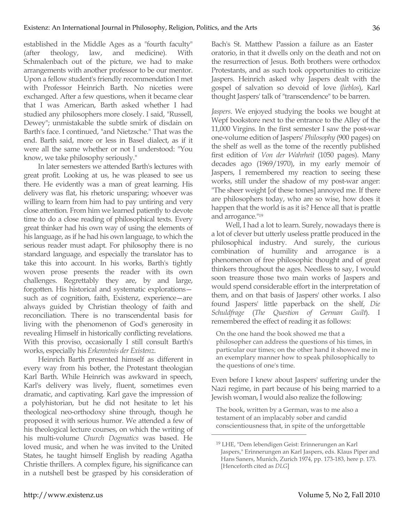established in the Middle Ages as a "fourth faculty" (after theology, law, and medicine). With Schmalenbach out of the picture, we had to make arrangements with another professor to be our mentor. Upon a fellow student's friendly recommendation I met with Professor Heinrich Barth. No niceties were exchanged. After a few questions, when it became clear that I was American, Barth asked whether I had studied any philosophers more closely. I said, "Russell, Dewey"; unmistakable the subtle smirk of disdain on Barth's face. I continued, "and Nietzsche." That was the end. Barth said, more or less in Basel dialect, as if it were all the same whether or not I understood: "You know, we take philosophy seriously."

In later semesters we attended Barth's lectures with great profit. Looking at us, he was pleased to see us there. He evidently was a man of great learning. His delivery was flat, his rhetoric unsparing; whoever was willing to learn from him had to pay untiring and very close attention. From him we learned patiently to devote time to do a close reading of philosophical texts. Every great thinker had his own way of using the elements of his language, as if he had his own language, to which the serious reader must adapt. For philosophy there is no standard language, and especially the translator has to take this into account. In his works, Barth's tightly woven prose presents the reader with its own challenges. Regrettably they are, by and large, forgotten. His historical and systematic explorations such as of cognition, faith, Existenz, experience—are always guided by Christian theology of faith and reconciliation. There is no transcendental basis for living with the phenomenon of God's generosity in revealing Himself in historically conflicting revelations. With this proviso, occasionally I still consult Barth's works, especially his *Erkenntnis der Existenz*.

Heinrich Barth presented himself as different in every way from his bother, the Protestant theologian Karl Barth. While Heinrich was awkward in speech, Karl's delivery was lively, fluent, sometimes even dramatic, and captivating. Karl gave the impression of a polyhistorian, but he did not hesitate to let his theological neo-orthodoxy shine through, though he proposed it with serious humor. We attended a few of his theological lecture courses, on which the writing of his multi-volume *Church Dogmatics* was based. He loved music, and when he was invited to the United States, he taught himself English by reading Agatha Christie thrillers. A complex figure, his significance can in a nutshell best be grasped by his consideration of

Bach's St. Matthew Passion a failure as an Easter oratorio, in that it dwells only on the death and not on the resurrection of Jesus. Both brothers were orthodox Protestants, and as such took opportunities to criticize Jaspers. Heinrich asked why Jaspers dealt with the gospel of salvation so devoid of love (*lieblos*), Karl thought Jaspers' talk of "transcendence" to be barren.

*Jaspers*. We enjoyed studying the books we bought at Wepf bookstore next to the entrance to the Alley of the 11,000 Virgins. In the first semester I saw the post-war one-volume edition of Jaspers' *Philosophy* (900 pages) on the shelf as well as the tome of the recently published first edition of *Von der Wahrheit* (1050 pages). Many decades ago (1969/1970), in my early memoir of Jaspers, I remembered my reaction to seeing these works, still under the shadow of my post-war anger: "The sheer weight [of these tomes] annoyed me. If there are philosophers today, who are so wise, how does it happen that the world is as it is? Hence all that is prattle and arrogance."19

Well, I had a lot to learn. Surely, nowadays there is a lot of clever but utterly useless prattle produced in the philosophical industry. And surely, the curious combination of humility and arrogance is a phenomenon of free philosophic thought and of great thinkers throughout the ages. Needless to say, I would soon treasure those two main works of Jaspers and would spend considerable effort in the interpretation of them, and on that basis of Jaspers' other works. I also found Jaspers' little paperback on the shelf, *Die Schuldfrage* (*The Question of German Guilt*). I remembered the effect of reading it as follows:

On the one hand the book showed me that a philosopher can address the questions of his times, in particular our times; on the other hand it showed me in an exemplary manner how to speak philosophically to the questions of one's time.

Even before I knew about Jaspers' suffering under the Nazi regime, in part because of his being married to a Jewish woman, I would also realize the following:

The book, written by a German, was to me also a testament of an implacably sober and candid conscientiousness that, in spite of the unforgettable

<sup>19</sup> LHE, "Dem lebendigen Geist: Erinnerungen an Karl Jaspers," Erinnerungen an Karl Jaspers, eds. Klaus Piper and Hans Saners, Munich, Zurich 1974, pp. 173-183, here p. 173. [Henceforth cited as *DLG*]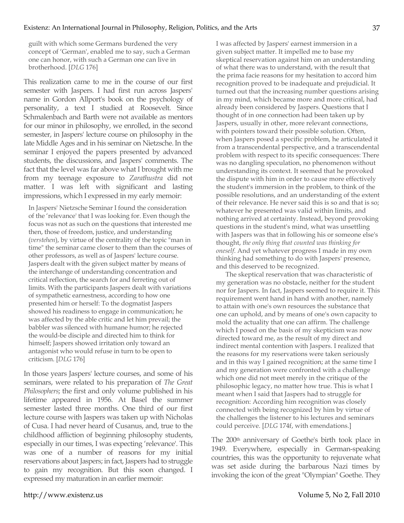guilt with which some Germans burdened the very concept of 'German', enabled me to say, such a German one can honor, with such a German one can live in brotherhood. [*DLG* 176]

This realization came to me in the course of our first semester with Jaspers. I had first run across Jaspers' name in Gordon Allport's book on the psychology of personality, a text I studied at Roosevelt. Since Schmalenbach and Barth were not available as mentors for our minor in philosophy, we enrolled, in the second semester, in Jaspers' lecture course on philosophy in the late Middle Ages and in his seminar on Nietzsche. In the seminar I enjoyed the papers presented by advanced students, the discussions, and Jaspers' comments. The fact that the level was far above what I brought with me from my teenage exposure to *Zarathustra* did not matter. I was left with significant and lasting impressions, which I expressed in my early memoir:

In Jaspers' Nietzsche Seminar I found the consideration of the 'relevance' that I was looking for. Even though the focus was not as such on the questions that interested me then, those of freedom, justice, and understanding (*verstehen*), by virtue of the centrality of the topic "man in time" the seminar came closer to them than the courses of other professors, as well as of Jaspers' lecture course. Jaspers dealt with the given subject matter by means of the interchange of understanding concentration and critical reflection, the search for and ferreting out of limits. With the participants Jaspers dealt with variations of sympathetic earnestness, according to how one presented him or herself: To the dogmatist Jaspers showed his readiness to engage in communication; he was affected by the able critic and let him prevail; the babbler was silenced with humane humor; he rejected the would-be disciple and directed him to think for himself; Jaspers showed irritation only toward an antagonist who would refuse in turn to be open to criticism. [*DLG* 176]

In those years Jaspers' lecture courses, and some of his seminars, were related to his preparation of *The Great Philosophers*; the first and only volume published in his lifetime appeared in 1956. At Basel the summer semester lasted three months. One third of our first lecture course with Jaspers was taken up with Nicholas of Cusa. I had never heard of Cusanus, and, true to the childhood affliction of beginning philosophy students, especially in our times, I was expecting 'relevance'. This was one of a number of reasons for my initial reservations about Jaspers; in fact, Jaspers had to struggle to gain my recognition. But this soon changed. I expressed my maturation in an earlier memoir:

I was affected by Jaspers' earnest immersion in a given subject matter. It impelled me to base my skeptical reservation against him on an understanding of what there was to understand, with the result that the prima facie reasons for my hesitation to accord him recognition proved to be inadequate and prejudicial. It turned out that the increasing number questions arising in my mind, which became more and more critical, had already been considered by Jaspers. Questions that I thought of in one connection had been taken up by Jaspers, usually in other, more relevant connections, with pointers toward their possible solution. Often, when Jaspers posed a specific problem, he articulated it from a transcendental perspective, and a transcendental problem with respect to its specific consequences: There was no dangling speculation, no phenomenon without understanding its context. It seemed that he provoked the dispute with him in order to cause more effectively the student's immersion in the problem, to think of the possible resolutions, and an understanding of the extent of their relevance. He never said this is so and that is so; whatever he presented was valid within limits, and nothing arrived at certainty. Instead, beyond provoking questions in the student's mind, what was unsettling with Jaspers was that in following his or someone else's thought, *the only thing that counted was thinking for oneself*. And yet whatever progress I made in my own thinking had something to do with Jaspers' presence, and this deserved to be recognized.

The skeptical reservation that was characteristic of my generation was no obstacle, neither for the student nor for Jaspers. In fact, Jaspers seemed to require it. This requirement went hand in hand with another, namely to attain with one's own resources the substance that one can uphold, and by means of one's own capacity to mold the actuality that one can affirm. The challenge which I posed on the basis of my skepticism was now directed toward me, as the result of my direct and indirect mental contention with Jaspers. I realized that the reasons for my reservations were taken seriously and in this way I gained recognition; at the same time I and my generation were confronted with a challenge which one did not meet merely in the critique of the philosophic legacy, no matter how true. This is what I meant when I said that Jaspers had to struggle for recognition: According him recognition was closely connected with being recognized by him by virtue of the challenges the listener to his lectures and seminars could perceive. [*DLG* 174f, with emendations.]

The 200th anniversary of Goethe's birth took place in 1949. Everywhere, especially in German-speaking countries, this was the opportunity to rejuvenate what was set aside during the barbarous Nazi times by invoking the icon of the great "Olympian" Goethe. They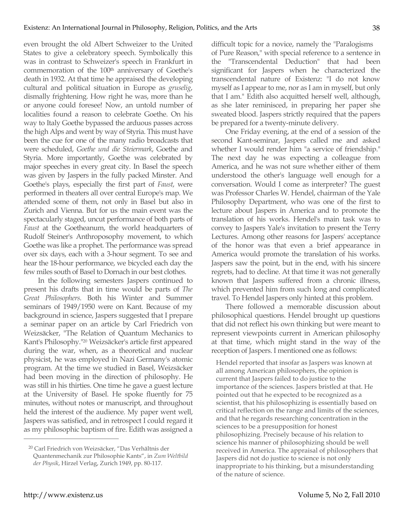even brought the old Albert Schweizer to the United States to give a celebratory speech. Symbolically this was in contrast to Schweizer's speech in Frankfurt in commemoration of the 100<sup>th</sup> anniversary of Goethe's death in 1932. At that time he appraised the developing cultural and political situation in Europe as *gruselig*, dismally frightening. How right he was, more than he or anyone could foresee! Now, an untold number of localities found a reason to celebrate Goethe. On his way to Italy Goethe bypassed the arduous passes across the high Alps and went by way of Styria. This must have been the cue for one of the many radio broadcasts that were scheduled, *Goethe und die Steiermark*, Goethe and Styria. More importantly, Goethe was celebrated by major speeches in every great city. In Basel the speech was given by Jaspers in the fully packed Minster. And Goethe's plays, especially the first part of *Faust*, were performed in theaters all over central Europe's map. We attended some of them, not only in Basel but also in Zurich and Vienna. But for us the main event was the spectacularly staged, uncut performance of both parts of *Faust* at the Goetheanum, the world headquarters of Rudolf Steiner's Anthroposophy movement, to which Goethe was like a prophet. The performance was spread over six days, each with a 3-hour segment. To see and hear the 18-hour performance, we bicycled each day the few miles south of Basel to Dornach in our best clothes.

In the following semesters Jaspers continued to present his drafts that in time would be parts of *The Great Philosophers*. Both his Winter and Summer seminars of 1949/1950 were on Kant. Because of my background in science, Jaspers suggested that I prepare a seminar paper on an article by Carl Friedrich von Weizsäcker, "The Relation of Quantum Mechanics to Kant's Philosophy."20 Weizsäcker's article first appeared during the war, when, as a theoretical and nuclear physicist, he was employed in Nazi Germany's atomic program. At the time we studied in Basel, Weizsäcker had been moving in the direction of philosophy. He was still in his thirties. One time he gave a guest lecture at the University of Basel. He spoke fluently for 75 minutes, without notes or manuscript, and throughout held the interest of the audience. My paper went well, Jaspers was satisfied, and in retrospect I could regard it as my philosophic baptism of fire. Edith was assigned a difficult topic for a novice, namely the "Paralogisms of Pure Reason," with special reference to a sentence in the "Transcendental Deduction" that had been significant for Jaspers when he characterized the transcendental nature of Existenz: "I do not know myself as I appear to me, nor as I am in myself, but only that I am." Edith also acquitted herself well, although, as she later reminisced, in preparing her paper she sweated blood. Jaspers strictly required that the papers be prepared for a twenty-minute delivery.

One Friday evening, at the end of a session of the second Kant-seminar, Jaspers called me and asked whether I would render him "a service of friendship." The next day he was expecting a colleague from America, and he was not sure whether either of them understood the other's language well enough for a conversation. Would I come as interpreter? The guest was Professor Charles W. Hendel, chairman of the Yale Philosophy Department, who was one of the first to lecture about Jaspers in America and to promote the translation of his works. Hendel's main task was to convey to Jaspers Yale's invitation to present the Terry Lectures. Among other reasons for Jaspers' acceptance of the honor was that even a brief appearance in America would promote the translation of his works. Jaspers saw the point, but in the end, with his sincere regrets, had to decline. At that time it was not generally known that Jaspers suffered from a chronic illness, which prevented him from such long and complicated travel. To Hendel Jaspers only hinted at this problem.

There followed a memorable discussion about philosophical questions. Hendel brought up questions that did not reflect his own thinking but were meant to represent viewpoints current in American philosophy at that time, which might stand in the way of the reception of Jaspers. I mentioned one as follows:

Hendel reported that insofar as Jaspers was known at all among American philosophers, the opinion is current that Jaspers failed to do justice to the importance of the sciences. Jaspers bristled at that. He pointed out that he expected to be recognized as a scientist, that his philosophizing is essentially based on critical reflection on the range and limits of the sciences, and that he regards researching concentration in the sciences to be a presupposition for honest philosophizing. Precisely because of his relation to science his manner of philosophizing should be well received in America. The appraisal of philosophers that Jaspers did not do justice to science is not only inappropriate to his thinking, but a misunderstanding of the nature of science.

<sup>20</sup> Carl Friedrich von Weizsäcker, "Das Verhältnis der Quantenmechanik zur Philosophie Kants", in *Zum Weltbild der Physik*, Hirzel Verlag, Zurich 1949, pp. 80-117.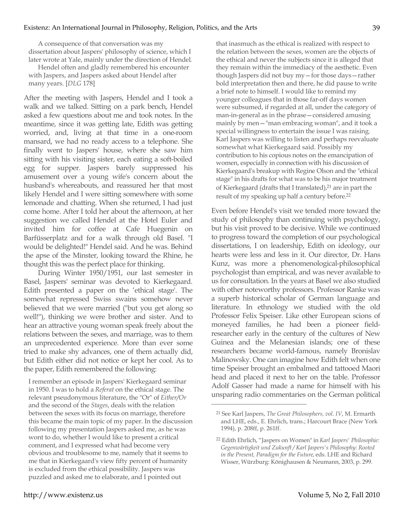A consequence of that conversation was my dissertation about Jaspers' philosophy of science, which I later wrote at Yale, mainly under the direction of Hendel.

Hendel often and gladly remembered his encounter with Jaspers, and Jaspers asked about Hendel after many years. [*DLG* 178]

After the meeting with Jaspers, Hendel and I took a walk and we talked. Sitting on a park bench, Hendel asked a few questions about me and took notes. In the meantime, since it was getting late, Edith was getting worried, and, living at that time in a one-room mansard, we had no ready access to a telephone. She finally went to Jaspers' house, where she saw him sitting with his visiting sister, each eating a soft-boiled egg for supper. Jaspers barely suppressed his amusement over a young wife's concern about the husband's whereabouts, and reassured her that most likely Hendel and I were sitting somewhere with some lemonade and chatting. When she returned, I had just come home. After I told her about the afternoon, at her suggestion we called Hendel at the Hotel Euler and invited him for coffee at Cafe Huegenin on Barfüsserplatz and for a walk through old Basel. "I would be delighted!" Hendel said. And he was. Behind the apse of the Minster, looking toward the Rhine, he thought this was the perfect place for thinking.

During Winter 1950/1951, our last semester in Basel, Jaspers' seminar was devoted to Kierkegaard. Edith presented a paper on the 'ethical stage'. The somewhat repressed Swiss swains somehow never believed that we were married ("but you get along so well!"), thinking we were brother and sister. And to hear an attractive young woman speak freely about the relations between the sexes, and marriage, was to them an unprecedented experience. More than ever some tried to make shy advances, one of them actually did, but Edith either did not notice or kept her cool. As to the paper, Edith remembered the following:

I remember an episode in Jaspers' Kierkegaard seminar in 1950. I was to hold a *Referat* on the ethical stage. The relevant pseudonymous literature, the "Or" of *Either/Or* and the second of the *Stages*, deals with the relation between the sexes with its focus on marriage, therefore this became the main topic of my paper. In the discussion following my presentation Jaspers asked me, as he was wont to do, whether I would like to present a critical comment, and I expressed what had become very obvious and troublesome to me, namely that it seems to me that in Kierkegaard's view fifty percent of humanity is excluded from the ethical possibility. Jaspers was puzzled and asked me to elaborate, and I pointed out

that inasmuch as the ethical is realized with respect to the relation between the sexes, women are the objects of the ethical and never the subjects since it is alleged that they remain within the immediacy of the aesthetic. Even though Jaspers did not buy my—for those days—rather bold interpretation then and there, he did pause to write a brief note to himself. I would like to remind my younger colleagues that in those far-off days women were subsumed, if regarded at all, under the category of man-in-general as in the phrase—considered amusing mainly by men—"man embracing woman", and it took a special willingness to entertain the issue I was raising. Karl Jaspers was willing to listen and perhaps reevaluate somewhat what Kierkegaard said. Possibly my contribution to his copious notes on the emancipation of women, especially in connection with his discussion of Kierkegaard's breakup with Regine Olson and the "ethical stage" in his drafts for what was to be his major treatment of Kierkegaard (drafts that I translated),<sup>21</sup> are in part the result of my speaking up half a century before.<sup>22</sup>

Even before Hendel's visit we tended more toward the study of philosophy than continuing with psychology, but his visit proved to be decisive. While we continued to progress toward the completion of our psychological dissertations, I on leadership, Edith on ideology, our hearts were less and less in it. Our director, Dr. Hans Kunz, was more a phenomenological-philosophical psychologist than empirical, and was never available to us for consultation. In the years at Basel we also studied with other noteworthy professors. Professor Ranke was a superb historical scholar of German language and literature. In ethnology we studied with the old Professor Felix Speiser. Like other European scions of moneyed families, he had been a pioneer fieldresearcher early in the century of the cultures of New Guinea and the Melanesian islands; one of these researchers became world-famous, namely Bronislav Malinowsky. One can imagine how Edith felt when one time Speiser brought an embalmed and tattooed Maori head and placed it next to her on the table. Professor Adolf Gasser had made a name for himself with his unsparing radio commentaries on the German political

<sup>21</sup> See Karl Jaspers, *The Great Philosophers, vol. IV*, M. Ermarth and LHE, eds., E. Ehrlich, trans.; Harcourt Brace (New York 1994), p. 208ff, p. 261ff.

<sup>22</sup> Edith Ehrlich, "Jaspers on Women" in *Karl Jaspers' Philosophie: Gegenwärtigkeit und Zukunft / Karl Jaspers's Philosophy: Rooted in the Present, Paradigm for the Future*, eds. LHE and Richard Wisser, Würzburg: Könighausen & Neumann, 2003, p. 299.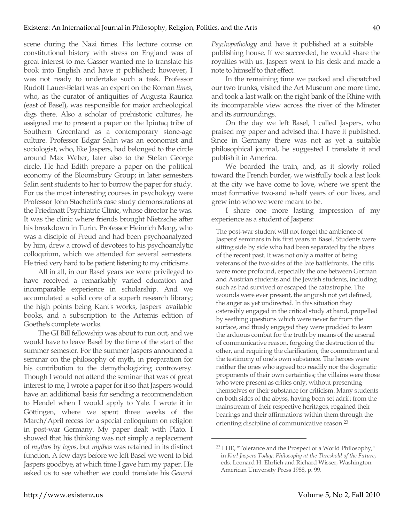scene during the Nazi times. His lecture course on constitutional history with stress on England was of great interest to me. Gasser wanted me to translate his book into English and have it published; however, I was not ready to undertake such a task. Professor Rudolf Lauer-Belart was an expert on the Roman *limes*, who, as the curator of antiquities of Augusta Raurica (east of Basel), was responsible for major archeological digs there. Also a scholar of prehistoric cultures, he assigned me to present a paper on the Ipiutaq tribe of Southern Greenland as a contemporary stone-age culture. Professor Edgar Salin was an economist and sociologist, who, like Jaspers, had belonged to the circle around Max Weber, later also to the Stefan George circle. He had Edith prepare a paper on the political economy of the Bloomsbury Group; in later semesters Salin sent students to her to borrow the paper for study. For us the most interesting courses in psychology were Professor John Staehelin's case study demonstrations at the Friedmatt Psychiatric Clinic, whose director he was. It was the clinic where friends brought Nietzsche after his breakdown in Turin. Professor Heinrich Meng, who was a disciple of Freud and had been psychoanalyzed by him, drew a crowd of devotees to his psychoanalytic colloquium, which we attended for several semesters. He tried very hard to be patient listening to my criticisms.

All in all, in our Basel years we were privileged to have received a remarkably varied education and incomparable experience in scholarship. And we accumulated a solid core of a superb research library; the high points being Kant's works, Jaspers' available books, and a subscription to the Artemis edition of Goethe's complete works.

The GI Bill fellowship was about to run out, and we would have to leave Basel by the time of the start of the summer semester. For the summer Jaspers announced a seminar on the philosophy of myth, in preparation for his contribution to the demythologizing controversy. Though I would not attend the seminar that was of great interest to me, I wrote a paper for it so that Jaspers would have an additional basis for sending a recommendation to Hendel when I would apply to Yale. I wrote it in Göttingen, where we spent three weeks of the March/April recess for a special colloquium on religion in post-war Germany. My paper dealt with Plato. I showed that his thinking was not simply a replacement of *mythos* by *logos*, but *mythos* was retained in its distinct function. A few days before we left Basel we went to bid Jaspers goodbye, at which time I gave him my paper. He asked us to see whether we could translate his *General* 

*Psychopathology* and have it published at a suitable publishing house. If we succeeded, he would share the royalties with us. Jaspers went to his desk and made a note to himself to that effect.

In the remaining time we packed and dispatched our two trunks, visited the Art Museum one more time, and took a last walk on the right bank of the Rhine with its incomparable view across the river of the Minster and its surroundings.

On the day we left Basel, I called Jaspers, who praised my paper and advised that I have it published. Since in Germany there was not as yet a suitable philosophical journal, he suggested I translate it and publish it in America.

We boarded the train, and, as it slowly rolled toward the French border, we wistfully took a last look at the city we have come to love, where we spent the most formative two-and a-half years of our lives, and grew into who we were meant to be.

I share one more lasting impression of my experience as a student of Jaspers:

The post-war student will not forget the ambience of Jaspers' seminars in his first years in Basel. Students were sitting side by side who had been separated by the abyss of the recent past. It was not only a matter of being veterans of the two sides of the late battlefronts. The rifts were more profound, especially the one between German and Austrian students and the Jewish students, including such as had survived or escaped the catastrophe. The wounds were ever present, the anguish not yet defined, the anger as yet undirected. In this situation they ostensibly engaged in the critical study at hand, propelled by seething questions which were never far from the surface, and thusly engaged they were prodded to learn the arduous combat for the truth by means of the arsenal of communicative reason, forgoing the destruction of the other, and requiring the clarification, the commitment and the testimony of one's own substance. The heroes were neither the ones who agreed too readily nor the dogmatic proponents of their own certainties; the villains were those who were present as critics only, without presenting themselves or their substance for criticism. Many students on both sides of the abyss, having been set adrift from the mainstream of their respective heritages, regained their bearings and their affirmations within them through the orienting discipline of communicative reason.23

<sup>23</sup> LHE, "Tolerance and the Prospect of a World Philosophy," in *Karl Jaspers Today: Philosophy at the Threshold of the Future*, eds. Leonard H. Ehrlich and Richard Wisser, Washington: American University Press 1988, p. 99.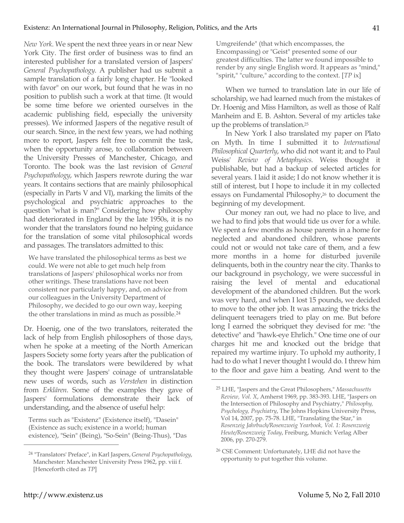*New York*. We spent the next three years in or near New York City. The first order of business was to find an interested publisher for a translated version of Jaspers' *General Psychopathology*. A publisher had us submit a sample translation of a fairly long chapter. He "looked with favor" on our work, but found that he was in no position to publish such a work at that time. (It would be some time before we oriented ourselves in the academic publishing field, especially the university presses). We informed Jaspers of the negative result of our search. Since, in the next few years, we had nothing more to report, Jaspers felt free to commit the task, when the opportunity arose, to collaboration between the University Presses of Manchester, Chicago, and Toronto. The book was the last revision of *General Psychopathology*, which Jaspers rewrote during the war years. It contains sections that are mainly philosophical (especially in Parts V and VI), marking the limits of the psychological and psychiatric approaches to the question "what is man?" Considering how philosophy had deteriorated in England by the late 1950s, it is no wonder that the translators found no helping guidance for the translation of some vital philosophical words and passages. The translators admitted to this:

We have translated the philosophical terms as best we could. We were not able to get much help from translations of Jaspers' philosophical works nor from other writings. These translations have not been consistent nor particularly happy, and, on advice from our colleagues in the University Department of Philosophy, we decided to go our own way, keeping the other translations in mind as much as possible.24

Dr. Hoenig, one of the two translators, reiterated the lack of help from English philosophers of those days, when he spoke at a meeting of the North American Jaspers Society some forty years after the publication of the book. The translators were bewildered by what they thought were Jaspers' coinage of untranslatable new uses of words, such as *Verstehen* in distinction from *Erklären*. Some of the examples they gave of Jaspers' formulations demonstrate their lack of understanding, and the absence of useful help:

Terms such as "Existenz" (Existence itself), "Dasein" (Existence as such; existence in a world; human existence), "Sein" (Being), "So-Sein" (Being-Thus), "Das Umgreifende" (that which encompasses, the Encompassing) or "Geist" presented some of our greatest difficulties. The latter we found impossible to render by any single English word. It appears as "mind," "spirit," "culture," according to the context. [*TP* ix]

When we turned to translation late in our life of scholarship, we had learned much from the mistakes of Dr. Hoenig and Miss Hamilton, as well as those of Ralf Manheim and E. B. Ashton. Several of my articles take up the problems of translation.25

In New York I also translated my paper on Plato on Myth. In time I submitted it to *International Philosophical Quarterly*, who did not want it; and to Paul Weiss' *Review of Metaphysics*. Weiss thought it publishable, but had a backup of selected articles for several years. I laid it aside; I do not know whether it is still of interest, but I hope to include it in my collected essays on Fundamental Philosophy,<sup>26</sup> to document the beginning of my development.

Our money ran out, we had no place to live, and we had to find jobs that would tide us over for a while. We spent a few months as house parents in a home for neglected and abandoned children, whose parents could not or would not take care of them, and a few more months in a home for disturbed juvenile delinquents, both in the country near the city. Thanks to our background in psychology, we were successful in raising the level of mental and educational development of the abandoned children. But the work was very hard, and when I lost 15 pounds, we decided to move to the other job. It was amazing the tricks the delinquent teenagers tried to play on me. But before long I earned the sobriquet they devised for me: "the detective" and "hawk-eye Ehrlich." One time one of our charges hit me and knocked out the bridge that repaired my wartime injury. To uphold my authority, I had to do what I never thought I would do. I threw him to the floor and gave him a beating. And went to the

 $\overline{a}$ 

<sup>24</sup> "Translators' Preface", in Karl Jaspers, *General Psychopathology*, Manchester: Manchester University Press 1962, pp. viii f. [Henceforth cited as *TP*]

<sup>25</sup> LHE, "Jaspers and the Great Philosophers," *Massachusetts Review, Vol. X*, Amherst 1969, pp. 383-393. LHE, "Jaspers on the Intersection of Philosophy and Psychiatry," *Philosophy, Psychology, Psychiatry*, The Johns Hopkins University Press, Vol 14, 2007, pp. 75-78. LHE, "Translating the Star," in *Rosenzeig Jahrbuch/Rosenzweig Yearbook, Vol. 1: Rosenzweig Heute/Rosenzweig Today*, Freiburg, Munich: Verlag Alber 2006, pp. 270-279.

<sup>26</sup> CSE Comment: Unfortunately, LHE did not have the opportunity to put together this volume.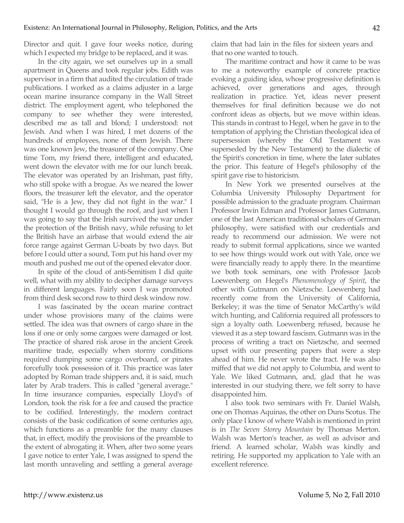Director and quit. I gave four weeks notice, during which I expected my bridge to be replaced, and it was.

In the city again, we set ourselves up in a small apartment in Queens and took regular jobs. Edith was supervisor in a firm that audited the circulation of trade publications. I worked as a claims adjuster in a large ocean marine insurance company in the Wall Street district. The employment agent, who telephoned the company to see whether they were interested, described me as tall and blond; I understood: not Jewish. And when I was hired, I met dozens of the hundreds of employees, none of them Jewish. There was one known Jew, the treasurer of the company. One time Tom, my friend there, intelligent and educated, went down the elevator with me for our lunch break. The elevator was operated by an Irishman, past fifty, who still spoke with a brogue. As we neared the lower floors, the treasurer left the elevator, and the operator said, "He is a Jew, they did not fight in the war." I thought I would go through the roof, and just when I was going to say that the Irish survived the war under the protection of the British navy, while refusing to let the British have an airbase that would extend the air force range against German U-boats by two days. But before I could utter a sound, Tom put his hand over my mouth and pushed me out of the opened elevator door.

In spite of the cloud of anti-Semitism I did quite well, what with my ability to decipher damage surveys in different languages. Fairly soon I was promoted from third desk second row to third desk window row.

I was fascinated by the ocean marine contract under whose provisions many of the claims were settled. The idea was that owners of cargo share in the loss if one or only some cargoes were damaged or lost. The practice of shared risk arose in the ancient Greek maritime trade, especially when stormy conditions required dumping some cargo overboard, or pirates forcefully took possession of it. This practice was later adopted by Roman trade shippers and, it is said, much later by Arab traders. This is called "general average." In time insurance companies, especially Lloyd's of London, took the risk for a fee and caused the practice to be codified. Interestingly, the modern contract consists of the basic codification of some centuries ago, which functions as a preamble for the many clauses that, in effect, modify the provisions of the preamble to the extent of abrogating it. When, after two some years I gave notice to enter Yale, I was assigned to spend the last month unraveling and settling a general average claim that had lain in the files for sixteen years and that no one wanted to touch.

The maritime contract and how it came to be was to me a noteworthy example of concrete practice evoking a guiding idea, whose progressive definition is achieved, over generations and ages, through realization in practice. Yet, ideas never present themselves for final definition because we do not confront ideas as objects, but we move within ideas. This stands in contrast to Hegel, when he gave in to the temptation of applying the Christian theological idea of supersession (whereby the Old Testament was superseded by the New Testament) to the dialectic of the Spirit's concretion in time, where the later sublates the prior. This feature of Hegel's philosophy of the spirit gave rise to historicism.

In New York we presented ourselves at the Columbia University Philosophy Department for possible admission to the graduate program. Chairman Professor Irwin Edman and Professor James Gutmann, one of the last American traditional scholars of German philosophy, were satisfied with our credentials and ready to recommend our admission. We were not ready to submit formal applications, since we wanted to see how things would work out with Yale, once we were financially ready to apply there. In the meantime we both took seminars, one with Professor Jacob Loewenberg on Hegel's *Phenomenology of Spirit*, the other with Gutmann on Nietzsche. Loewenberg had recently come from the University of California, Berkeley; it was the time of Senator McCarthy's wild witch hunting, and California required all professors to sign a loyalty oath. Loewenberg refused, because he viewed it as a step toward fascism. Gutmann was in the process of writing a tract on Nietzsche, and seemed upset with our presenting papers that were a step ahead of him. He never wrote the tract. He was also miffed that we did not apply to Columbia, and went to Yale. We liked Gutmann, and, glad that he was interested in our studying there, we felt sorry to have disappointed him.

I also took two seminars with Fr. Daniel Walsh, one on Thomas Aquinas, the other on Duns Scotus. The only place I know of where Walsh is mentioned in print is in *The Seven Storey Mountain* by Thomas Merton. Walsh was Merton's teacher, as well as advisor and friend. A learned scholar, Walsh was kindly and retiring. He supported my application to Yale with an excellent reference.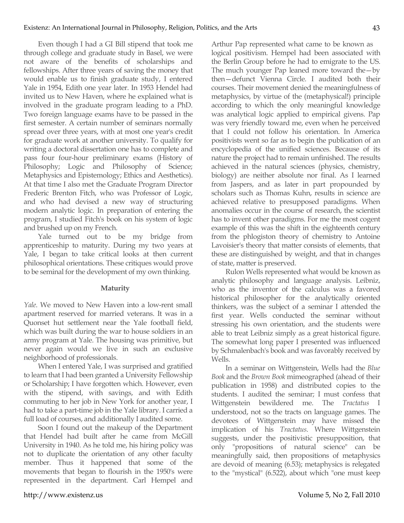Even though I had a GI Bill stipend that took me through college and graduate study in Basel, we were not aware of the benefits of scholarships and fellowships. After three years of saving the money that would enable us to finish graduate study, I entered Yale in 1954, Edith one year later. In 1953 Hendel had invited us to New Haven, where he explained what is involved in the graduate program leading to a PhD. Two foreign language exams have to be passed in the first semester. A certain number of seminars normally spread over three years, with at most one year's credit for graduate work at another university. To qualify for writing a doctoral dissertation one has to complete and pass four four-hour preliminary exams (History of Philosophy; Logic and Philosophy of Science; Metaphysics and Epistemology; Ethics and Aesthetics). At that time I also met the Graduate Program Director Frederic Brenton Fitch, who was Professor of Logic, and who had devised a new way of structuring modern analytic logic. In preparation of entering the program, I studied Fitch's book on his system of logic and brushed up on my French.

Yale turned out to be my bridge from apprenticeship to maturity. During my two years at Yale, I began to take critical looks at then current philosophical orientations. These critiques would prove to be seminal for the development of my own thinking.

# **Maturity**

*Yale*. We moved to New Haven into a low-rent small apartment reserved for married veterans. It was in a Quonset hut settlement near the Yale football field, which was built during the war to house soldiers in an army program at Yale. The housing was primitive, but never again would we live in such an exclusive neighborhood of professionals.

When I entered Yale, I was surprised and gratified to learn that I had been granted a University Fellowship or Scholarship; I have forgotten which. However, even with the stipend, with savings, and with Edith commuting to her job in New York for another year, I had to take a part-time job in the Yale library. I carried a full load of courses, and additionally I audited some.

Soon I found out the makeup of the Department that Hendel had built after he came from McGill University in 1940. As he told me, his hiring policy was not to duplicate the orientation of any other faculty member. Thus it happened that some of the movements that began to flourish in the 1950's were represented in the department. Carl Hempel and Arthur Pap represented what came to be known as logical positivism. Hempel had been associated with the Berlin Group before he had to emigrate to the US. The much younger Pap leaned more toward the—by then—defunct Vienna Circle. I audited both their courses. Their movement denied the meaningfulness of metaphysics, by virtue of the (metaphysical!) principle according to which the only meaningful knowledge was analytical logic applied to empirical givens. Pap was very friendly toward me, even when he perceived that I could not follow his orientation. In America positivists went so far as to begin the publication of an encyclopedia of the unified sciences. Because of its nature the project had to remain unfinished. The results achieved in the natural sciences (physics, chemistry, biology) are neither absolute nor final. As I learned from Jaspers, and as later in part propounded by scholars such as Thomas Kuhn, results in science are achieved relative to presupposed paradigms. When anomalies occur in the course of research, the scientist has to invent other paradigms. For me the most cogent example of this was the shift in the eighteenth century from the phlogiston theory of chemistry to Antoine Lavoisier's theory that matter consists of elements, that these are distinguished by weight, and that in changes of state, matter is preserved.

Rulon Wells represented what would be known as analytic philosophy and language analysis. Leibniz, who as the inventor of the calculus was a favored historical philosopher for the analytically oriented thinkers, was the subject of a seminar I attended the first year. Wells conducted the seminar without stressing his own orientation, and the students were able to treat Leibniz simply as a great historical figure. The somewhat long paper I presented was influenced by Schmalenbach's book and was favorably received by Wells.

In a seminar on Wittgenstein, Wells had the *Blue Book* and the *Brown Book* mimeographed (ahead of their publication in 1958) and distributed copies to the students. I audited the seminar; I must confess that Wittgenstein bewildered me. The *Tractatus* I understood, not so the tracts on language games. The devotees of Wittgenstein may have missed the implication of his *Tractatus*. Where Wittgenstein suggests, under the positivistic presupposition, that only "propositions of natural science" can be meaningfully said, then propositions of metaphysics are devoid of meaning (6.53); metaphysics is relegated to the "mystical" (6.522), about which "one must keep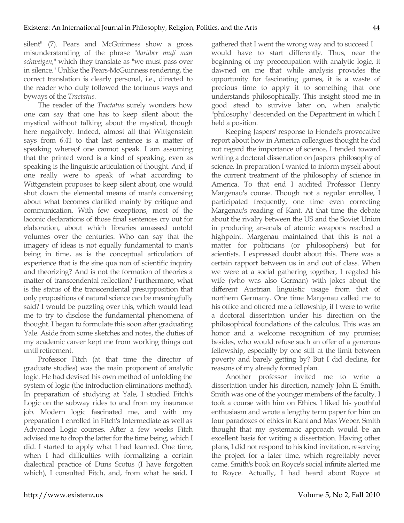silent" (7). Pears and McGuinness show a gross misunderstanding of the phrase "*darüber muß man schweigen*," which they translate as "we must pass over in silence." Unlike the Pears-McGuinness rendering, the correct translation is clearly personal, i.e., directed to the reader who duly followed the tortuous ways and byways of the *Tractatus*.

The reader of the *Tractatus* surely wonders how one can say that one has to keep silent about the mystical without talking about the mystical, though here negatively. Indeed, almost all that Wittgenstein says from 6.41 to that last sentence is a matter of speaking whereof one cannot speak. I am assuming that the printed word is a kind of speaking, even as speaking is the linguistic articulation of thought. And, if one really were to speak of what according to Wittgenstein proposes to keep silent about, one would shut down the elemental means of man's conversing about what becomes clarified mainly by critique and communication. With few exceptions, most of the laconic declarations of those final sentences cry out for elaboration, about which libraries amassed untold volumes over the centuries. Who can say that the imagery of ideas is not equally fundamental to man's being in time, as is the conceptual articulation of experience that is the sine qua non of scientific inquiry and theorizing? And is not the formation of theories a matter of transcendental reflection? Furthermore, what is the status of the transcendental presupposition that only propositions of natural science can be meaningfully said? I would be puzzling over this, which would lead me to try to disclose the fundamental phenomena of thought. I began to formulate this soon after graduating Yale. Aside from some sketches and notes, the duties of my academic career kept me from working things out until retirement.

Professor Fitch (at that time the director of graduate studies) was the main proponent of analytic logic. He had devised his own method of unfolding the system of logic (the introduction-eliminations method). In preparation of studying at Yale, I studied Fitch's Logic on the subway rides to and from my insurance job. Modern logic fascinated me, and with my preparation I enrolled in Fitch's Intermediate as well as Advanced Logic courses. After a few weeks Fitch advised me to drop the latter for the time being, which I did. I started to apply what I had learned. One time, when I had difficulties with formalizing a certain dialectical practice of Duns Scotus (I have forgotten which), I consulted Fitch, and, from what he said, I gathered that I went the wrong way and to succeed I would have to start differently. Thus, near the beginning of my preoccupation with analytic logic, it dawned on me that while analysis provides the opportunity for fascinating games, it is a waste of precious time to apply it to something that one understands philosophically. This insight stood me in good stead to survive later on, when analytic "philosophy" descended on the Department in which I held a position.

Keeping Jaspers' response to Hendel's provocative report about how in America colleagues thought he did not regard the importance of science, I tended toward writing a doctoral dissertation on Jaspers' philosophy of science. In preparation I wanted to inform myself about the current treatment of the philosophy of science in America. To that end I audited Professor Henry Margenau's course. Though not a regular enrollee, I participated frequently, one time even correcting Margenau's reading of Kant. At that time the debate about the rivalry between the US and the Soviet Union in producing arsenals of atomic weapons reached a highpoint. Margenau maintained that this is not a matter for politicians (or philosophers) but for scientists. I expressed doubt about this. There was a certain rapport between us in and out of class. When we were at a social gathering together, I regaled his wife (who was also German) with jokes about the different Austrian linguistic usage from that of northern Germany. One time Margenau called me to his office and offered me a fellowship, if I were to write a doctoral dissertation under his direction on the philosophical foundations of the calculus. This was an honor and a welcome recognition of my promise; besides, who would refuse such an offer of a generous fellowship, especially by one still at the limit between poverty and barely getting by? But I did decline, for reasons of my already formed plan.

Another professor invited me to write a dissertation under his direction, namely John E. Smith. Smith was one of the younger members of the faculty. I took a course with him on Ethics. I liked his youthful enthusiasm and wrote a lengthy term paper for him on four paradoxes of ethics in Kant and Max Weber. Smith thought that my systematic approach would be an excellent basis for writing a dissertation. Having other plans, I did not respond to his kind invitation, reserving the project for a later time, which regrettably never came. Smith's book on Royce's social infinite alerted me to Royce. Actually, I had heard about Royce at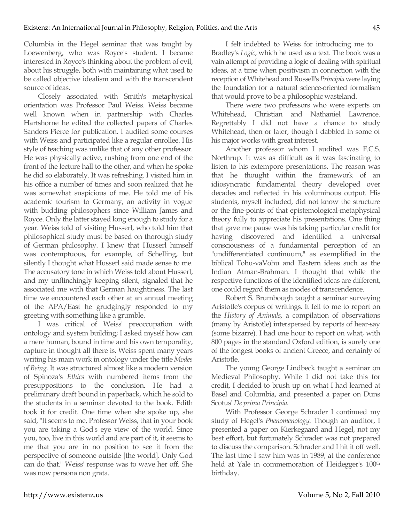Columbia in the Hegel seminar that was taught by Loewenberg, who was Royce's student. I became interested in Royce's thinking about the problem of evil, about his struggle, both with maintaining what used to be called objective idealism and with the transcendent source of ideas.

Closely associated with Smith's metaphysical orientation was Professor Paul Weiss. Weiss became well known when in partnership with Charles Hartshorne he edited the collected papers of Charles Sanders Pierce for publication. I audited some courses with Weiss and participated like a regular enrollee. His style of teaching was unlike that of any other professor. He was physically active, rushing from one end of the front of the lecture hall to the other, and when he spoke he did so elaborately. It was refreshing. I visited him in his office a number of times and soon realized that he was somewhat suspicious of me. He told me of his academic tourism to Germany, an activity in vogue with budding philosophers since William James and Royce. Only the latter stayed long enough to study for a year. Weiss told of visiting Husserl, who told him that philosophical study must be based on thorough study of German philosophy. I knew that Husserl himself was contemptuous, for example, of Schelling, but silently I thought what Husserl said made sense to me. The accusatory tone in which Weiss told about Husserl, and my unflinchingly keeping silent, signaled that he associated me with that German haughtiness. The last time we encountered each other at an annual meeting of the APA/East he grudgingly responded to my greeting with something like a grumble.

I was critical of Weiss' preoccupation with ontology and system building; I asked myself how can a mere human, bound in time and his own temporality, capture in thought all there is. Weiss spent many years writing his main work in ontology under the title *Modes of Being*. It was structured almost like a modern version of Spinoza's *Ethics* with numbered items from the presuppositions to the conclusion. He had a preliminary draft bound in paperback, which he sold to the students in a seminar devoted to the book. Edith took it for credit. One time when she spoke up, she said, "It seems to me, Professor Weiss, that in your book you are taking a God's eye view of the world. Since you, too, live in this world and are part of it, it seems to me that you are in no position to see it from the perspective of someone outside [the world]. Only God can do that." Weiss' response was to wave her off. She was now persona non grata.

I felt indebted to Weiss for introducing me to Bradley's *Logic*, which he used as a text. The book was a vain attempt of providing a logic of dealing with spiritual ideas, at a time when positivism in connection with the reception of Whitehead and Russell's *Principia* were laying the foundation for a natural science-oriented formalism that would prove to be a philosophic wasteland.

There were two professors who were experts on Whitehead, Christian and Nathaniel Lawrence. Regrettably I did not have a chance to study Whitehead, then or later, though I dabbled in some of his major works with great interest.

Another professor whom I audited was F.C.S. Northrup. It was as difficult as it was fascinating to listen to his extempore presentations. The reason was that he thought within the framework of an idiosyncratic fundamental theory developed over decades and reflected in his voluminous output. His students, myself included, did not know the structure or the fine-points of that epistemological-metaphysical theory fully to appreciate his presentations. One thing that gave me pause was his taking particular credit for having discovered and identified a universal consciousness of a fundamental perception of an "undifferentiated continuum," as exemplified in the biblical Tohu-vaVohu and Eastern ideas such as the Indian Atman-Brahman. I thought that while the respective functions of the identified ideas are different, one could regard them as modes of transcendence.

Robert S. Brumbough taught a seminar surveying Aristotle's corpus of writings. It fell to me to report on the *History of Animals*, a compilation of observations (many by Aristotle) interspersed by reports of hear-say (some bizarre). I had one hour to report on what, with 800 pages in the standard Oxford edition, is surely one of the longest books of ancient Greece, and certainly of Aristotle.

The young George Lindbeck taught a seminar on Medieval Philosophy. While I did not take this for credit, I decided to brush up on what I had learned at Basel and Columbia, and presented a paper on Duns Scotus' *De prima Principia.*

With Professor George Schrader I continued my study of Hegel's *Phenomenology*. Though an auditor, I presented a paper on Kierkegaard and Hegel, not my best effort, but fortunately Schrader was not prepared to discuss the comparison. Schrader and I hit it off well. The last time I saw him was in 1989, at the conference held at Yale in commemoration of Heidegger's 100<sup>th</sup> birthday.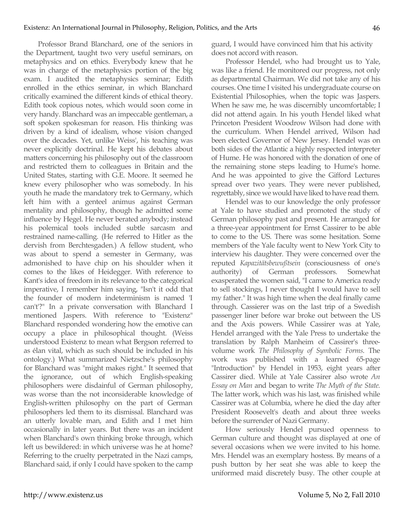Professor Brand Blanchard, one of the seniors in the Department, taught two very useful seminars, on metaphysics and on ethics. Everybody knew that he was in charge of the metaphysics portion of the big exam. I audited the metaphysics seminar; Edith enrolled in the ethics seminar, in which Blanchard critically examined the different kinds of ethical theory. Edith took copious notes, which would soon come in very handy. Blanchard was an impeccable gentleman, a soft spoken spokesman for reason. His thinking was driven by a kind of idealism, whose vision changed over the decades. Yet, unlike Weiss', his teaching was never explicitly doctrinal. He kept his debates about matters concerning his philosophy out of the classroom and restricted them to colleagues in Britain and the United States, starting with G.E. Moore. It seemed he knew every philosopher who was somebody. In his youth he made the mandatory trek to Germany, which left him with a genteel animus against German mentality and philosophy, though he admitted some influence by Hegel. He never berated anybody; instead his polemical tools included subtle sarcasm and restrained name-calling. (He referred to Hitler as the dervish from Berchtesgaden.) A fellow student, who was about to spend a semester in Germany, was admonished to have chip on his shoulder when it comes to the likes of Heidegger. With reference to Kant's idea of freedom in its relevance to the categorical imperative, I remember him saying, "Isn't it odd that the founder of modern indeterminism is named 'I can't'?" In a private conversation with Blanchard I mentioned Jaspers. With reference to "Existenz" Blanchard responded wondering how the emotive can occupy a place in philosophical thought. (Weiss understood Existenz to mean what Bergson referred to as élan vital, which as such should be included in his ontology.) What summarized Nietzsche's philosophy for Blanchard was "might makes right." It seemed that the ignorance, out of which English-speaking philosophers were disdainful of German philosophy, was worse than the not inconsiderable knowledge of English-written philosophy on the part of German philosophers led them to its dismissal. Blanchard was an utterly lovable man, and Edith and I met him occasionally in later years. But there was an incident when Blanchard's own thinking broke through, which left us bewildered: in which universe was he at home? Referring to the cruelty perpetrated in the Nazi camps, Blanchard said, if only I could have spoken to the camp guard, I would have convinced him that his activity does not accord with reason.

Professor Hendel, who had brought us to Yale, was like a friend. He monitored our progress, not only as departmental Chairman. We did not take any of his courses. One time I visited his undergraduate course on Existential Philosophies, when the topic was Jaspers. When he saw me, he was discernibly uncomfortable; I did not attend again. In his youth Hendel liked what Princeton President Woodrow Wilson had done with the curriculum. When Hendel arrived, Wilson had been elected Governor of New Jersey. Hendel was on both sides of the Atlantic a highly respected interpreter of Hume. He was honored with the donation of one of the remaining stone steps leading to Hume's home. And he was appointed to give the Gifford Lectures spread over two years. They were never published, regrettably, since we would have liked to have read them.

Hendel was to our knowledge the only professor at Yale to have studied and promoted the study of German philosophy past and present. He arranged for a three-year appointment for Ernst Cassirer to be able to come to the US. There was some hesitation. Some members of the Yale faculty went to New York City to interview his daughter. They were concerned over the reputed *Kapazitätsbewußtsein* (consciousness of one's authority) of German professors. Somewhat exasperated the women said, "I came to America ready to sell stockings, I never thought I would have to sell my father." It was high time when the deal finally came through. Cassierer was on the last trip of a Swedish passenger liner before war broke out between the US and the Axis powers. While Cassirer was at Yale, Hendel arranged with the Yale Press to undertake the translation by Ralph Manheim of Cassirer's threevolume work *The Philosophy of Symbolic Forms*. The work was published with a learned 65-page "Introduction" by Hendel in 1953, eight years after Cassirer died. While at Yale Cassirer also wrote *An Essay on Man* and began to write *The Myth of the State.* The latter work, which was his last, was finished while Cassirer was at Columbia, where he died the day after President Roosevelt's death and about three weeks before the surrender of Nazi Germany.

How seriously Hendel pursued openness to German culture and thought was displayed at one of several occasions when we were invited to his home. Mrs. Hendel was an exemplary hostess. By means of a push button by her seat she was able to keep the uniformed maid discretely busy. The other couple at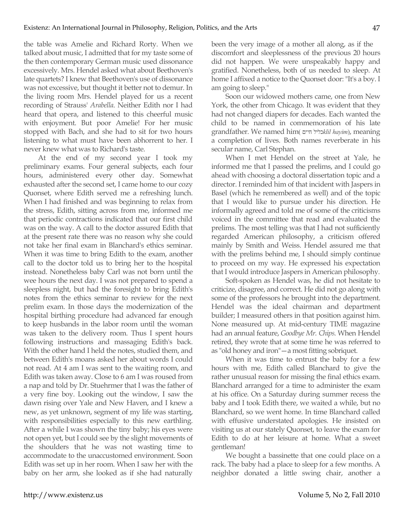the table was Amelie and Richard Rorty. When we talked about music, I admitted that for my taste some of the then contemporary German music used dissonance excessively. Mrs. Hendel asked what about Beethoven's late quartets? I knew that Beethoven's use of dissonance was not excessive, but thought it better not to demur. In the living room Mrs. Hendel played for us a recent recording of Strauss' *Arabella*. Neither Edith nor I had heard that opera, and listened to this cheerful music with enjoyment. But poor Amelie! For her music stopped with Bach, and she had to sit for two hours listening to what must have been abhorrent to her. I never knew what was to Richard's taste.

At the end of my second year I took my preliminary exams. Four general subjects, each four hours, administered every other day. Somewhat exhausted after the second set, I came home to our cozy Quonset, where Edith served me a refreshing lunch. When I had finished and was beginning to relax from the stress, Edith, sitting across from me, informed me that periodic contractions indicated that our first child was on the way. A call to the doctor assured Edith that at the present rate there was no reason why she could not take her final exam in Blanchard's ethics seminar. When it was time to bring Edith to the exam, another call to the doctor told us to bring her to the hospital instead. Nonetheless baby Carl was not born until the wee hours the next day. I was not prepared to spend a sleepless night, but had the foresight to bring Edith's notes from the ethics seminar to review for the next prelim exam. In those days the modernization of the hospital birthing procedure had advanced far enough to keep husbands in the labor room until the woman was taken to the delivery room. Thus I spent hours following instructions and massaging Edith's back. With the other hand I held the notes, studied them, and between Edith's moans asked her about words I could not read. At 4 am I was sent to the waiting room, and Edith was taken away. Close to 6 am I was roused from a nap and told by Dr. Stuehrmer that I was the father of a very fine boy. Looking out the window, I saw the dawn rising over Yale and New Haven, and I knew a new, as yet unknown, segment of my life was starting, with responsibilities especially to this new earthling. After a while I was shown the tiny baby; his eyes were not open yet, but I could see by the slight movements of the shoulders that he was not wasting time to accommodate to the unaccustomed environment. Soon Edith was set up in her room. When I saw her with the baby on her arm, she looked as if she had naturally been the very image of a mother all along, as if the discomfort and sleeplessness of the previous 20 hours did not happen. We were unspeakably happy and gratified. Nonetheless, both of us needed to sleep. At home I affixed a notice to the Quonset door: "It's a boy. I am going to sleep."

Soon our widowed mothers came, one from New York, the other from Chicago. It was evident that they had not changed diapers for decades. Each wanted the child to be named in commemoration of his late grandfather. We named him( חײם כליל*klil hayim*), meaning a completion of lives. Both names reverberate in his secular name, Carl Stephan.

When I met Hendel on the street at Yale, he informed me that I passed the prelims, and I could go ahead with choosing a doctoral dissertation topic and a director. I reminded him of that incident with Jaspers in Basel (which he remembered as well) and of the topic that I would like to pursue under his direction. He informally agreed and told me of some of the criticisms voiced in the committee that read and evaluated the prelims. The most telling was that I had not sufficiently regarded American philosophy, a criticism offered mainly by Smith and Weiss. Hendel assured me that with the prelims behind me, I should simply continue to proceed on my way. He expressed his expectation that I would introduce Jaspers in American philosophy.

Soft-spoken as Hendel was, he did not hesitate to criticize, disagree, and correct. He did not go along with some of the professors he brought into the department. Hendel was the ideal chairman and department builder; I measured others in that position against him. None measured up. At mid-century TIME magazine had an annual feature, *Goodbye Mr. Chips*. When Hendel retired, they wrote that at some time he was referred to as "old honey and iron"—a most fitting sobriquet.

When it was time to entrust the baby for a few hours with me, Edith called Blanchard to give the rather unusual reason for missing the final ethics exam. Blanchard arranged for a time to administer the exam at his office. On a Saturday during summer recess the baby and I took Edith there, we waited a while, but no Blanchard, so we went home. In time Blanchard called with effusive understated apologies. He insisted on visiting us at our stately Quonset, to leave the exam for Edith to do at her leisure at home. What a sweet gentleman!

We bought a bassinette that one could place on a rack. The baby had a place to sleep for a few months. A neighbor donated a little swing chair, another a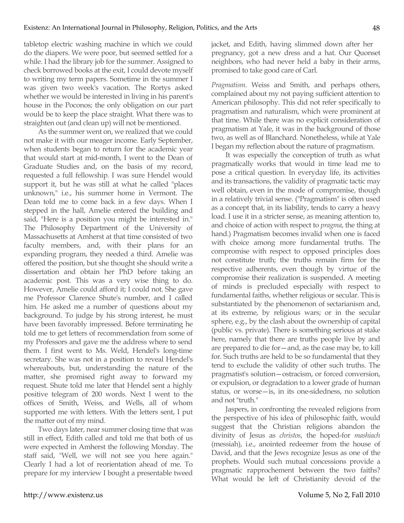tabletop electric washing machine in which we could do the diapers. We were poor, but seemed settled for a while. I had the library job for the summer. Assigned to check borrowed books at the exit, I could devote myself to writing my term papers. Sometime in the summer I was given two week's vacation. The Rortys asked whether we would be interested in living in his parent's house in the Poconos; the only obligation on our part would be to keep the place straight. What there was to straighten out (and clean up) will not be mentioned.

As the summer went on, we realized that we could not make it with our meager income. Early September, when students began to return for the academic year that would start at mid-month, I went to the Dean of Graduate Studies and, on the basis of my record, requested a full fellowship. I was sure Hendel would support it, but he was still at what he called "places unknown," i.e., his summer home in Vermont. The Dean told me to come back in a few days. When I stepped in the hall, Amelie entered the building and said, "Here is a position you might be interested in." The Philosophy Department of the University of Massachusetts at Amherst at that time consisted of two faculty members, and, with their plans for an expanding program, they needed a third. Amelie was offered the position, but she thought she should write a dissertation and obtain her PhD before taking an academic post. This was a very wise thing to do. However, Amelie could afford it; I could not. She gave me Professor Clarence Shute's number, and I called him. He asked me a number of questions about my background. To judge by his strong interest, he must have been favorably impressed. Before terminating he told me to get letters of recommendation from some of my Professors and gave me the address where to send them. I first went to Ms. Weld, Hendel's long-time secretary. She was not in a position to reveal Hendel's whereabouts, but, understanding the nature of the matter, she promised right away to forward my request. Shute told me later that Hendel sent a highly positive telegram of 200 words. Next I went to the offices of Smith, Weiss, and Wells, all of whom supported me with letters. With the letters sent, I put the matter out of my mind.

Two days later, near summer closing time that was still in effect, Edith called and told me that both of us were expected in Amherst the following Monday. The staff said, "Well, we will not see you here again." Clearly I had a lot of reorientation ahead of me. To prepare for my interview I bought a presentable tweed jacket, and Edith, having slimmed down after her pregnancy, got a new dress and a hat. Our Quonset neighbors, who had never held a baby in their arms, promised to take good care of Carl.

*Pragmatism*. Weiss and Smith, and perhaps others, complained about my not paying sufficient attention to American philosophy. This did not refer specifically to pragmatism and naturalism, which were prominent at that time. While there was no explicit consideration of pragmatism at Yale, it was in the background of those two, as well as of Blanchard. Nonetheless, while at Yale I began my reflection about the nature of pragmatism.

It was especially the conception of truth as what pragmatically works that would in time lead me to pose a critical question. In everyday life, its activities and its transactions, the validity of pragmatic tactic may well obtain, even in the mode of compromise, though in a relatively trivial sense. ("Pragmatism" is often used as a concept that, in its liability, tends to carry a heavy load. I use it in a stricter sense, as meaning attention to, and choice of action with respect to *pragma*, the thing at hand.) Pragmatism becomes invalid when one is faced with choice among more fundamental truths. The compromise with respect to opposed principles does not constitute truth; the truths remain firm for the respective adherents, even though by virtue of the compromise their realization is suspended. A meeting of minds is precluded especially with respect to fundamental faiths, whether religious or secular. This is substantiated by the phenomenon of sectarianism and, at its extreme, by religious wars; or in the secular sphere, e.g., by the clash about the ownership of capital (public vs. private). There is something serious at stake here, namely that there are truths people live by and are prepared to die for—and, as the case may be, to kill for. Such truths are held to be so fundamental that they tend to exclude the validity of other such truths. The pragmatist's solution—ostracism, or forced conversion, or expulsion, or degradation to a lower grade of human status, or worse—is, in its one-sidedness, no solution and not "truth."

Jaspers, in confronting the revealed religions from the perspective of his idea of philosophic faith, would suggest that the Christian religions abandon the divinity of Jesus as *christos*, the hoped-for *mashiach* (messiah), i.e., anointed redeemer from the house of David, and that the Jews recognize Jesus as one of the prophets. Would such mutual concessions provide a pragmatic rapprochement between the two faiths? What would be left of Christianity devoid of the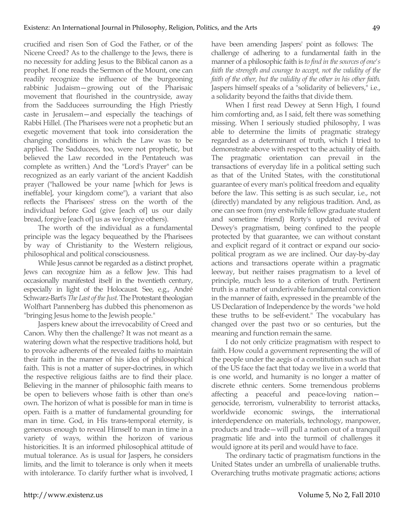crucified and risen Son of God the Father, or of the Nicene Creed? As to the challenge to the Jews, there is no necessity for adding Jesus to the Biblical canon as a prophet. If one reads the Sermon of the Mount, one can readily recognize the influence of the burgeoning rabbinic Judaism—growing out of the Pharisaic movement that flourished in the countryside, away from the Sadducees surrounding the High Priestly caste in Jerusalem—and especially the teachings of Rabbi Hillel. (The Pharisees were not a prophetic but an exegetic movement that took into consideration the changing conditions in which the Law was to be applied. The Sadducees, too, were not prophetic, but believed the Law recorded in the Pentateuch was complete as written.) And the "Lord's Prayer" can be recognized as an early variant of the ancient Kaddish prayer ("hallowed be your name [which for Jews is ineffable], your kingdom come"), a variant that also reflects the Pharisees' stress on the worth of the individual before God (give [each of] us our daily bread, forgive [each of] us as we forgive others).

The worth of the individual as a fundamental principle was the legacy bequeathed by the Pharisees by way of Christianity to the Western religious, philosophical and political consciousness.

While Jesus cannot be regarded as a distinct prophet, Jews can recognize him as a fellow Jew. This had occasionally manifested itself in the twentieth century, especially in light of the Holocaust. See, e.g., André Schwarz-Bart's *The Last of the Just*. The Protestant theologian Wolfhart Pannenberg has dubbed this phenomenon as "bringing Jesus home to the Jewish people."

Jaspers knew about the irrevocability of Creed and Canon. Why then the challenge? It was not meant as a watering down what the respective traditions hold, but to provoke adherents of the revealed faiths to maintain their faith in the manner of his idea of philosophical faith. This is not a matter of super-doctrines, in which the respective religious faiths are to find their place. Believing in the manner of philosophic faith means to be open to believers whose faith is other than one's own. The horizon of what is possible for man in time is open. Faith is a matter of fundamental grounding for man in time. God, in His trans-temporal eternity, is generous enough to reveal Himself to man in time in a variety of ways, within the horizon of various historicities. It is an informed philosophical attitude of mutual tolerance. As is usual for Jaspers, he considers limits, and the limit to tolerance is only when it meets with intolerance. To clarify further what is involved, I

have been amending Jaspers' point as follows: The challenge of adhering to a fundamental faith in the manner of a philosophic faith is *to find in the sources of one's faith the strength and courage to accept, not the validity of the faith of the other, but the validity of the other in his other faith*. Jaspers himself speaks of a "solidarity of believers," i.e., a solidarity beyond the faiths that divide them.

When I first read Dewey at Senn High, I found him comforting and, as I said, felt there was something missing. When I seriously studied philosophy, I was able to determine the limits of pragmatic strategy regarded as a determinant of truth, which I tried to demonstrate above with respect to the actuality of faith. The pragmatic orientation can prevail in the transactions of everyday life in a political setting such as that of the United States, with the constitutional guarantee of every man's political freedom and equality before the law. This setting is as such secular, i.e., not (directly) mandated by any religious tradition. And, as one can see from (my erstwhile fellow graduate student and sometime friend) Rorty's updated revival of Dewey's pragmatism, being confined to the people protected by that guarantee, we can without constant and explicit regard of it contract or expand our sociopolitical program as we are inclined. Our day-by-day actions and transactions operate within a pragmatic leeway, but neither raises pragmatism to a level of principle, much less to a criterion of truth. Pertinent truth is a matter of underivable fundamental conviction in the manner of faith, expressed in the preamble of the US Declaration of Independence by the words "we hold these truths to be self-evident." The vocabulary has changed over the past two or so centuries, but the meaning and function remain the same.

I do not only criticize pragmatism with respect to faith. How could a government representing the will of the people under the aegis of a constitution such as that of the US face the fact that today we live in a world that is one world, and humanity is no longer a matter of discrete ethnic centers. Some tremendous problems affecting a peaceful and peace-loving nation genocide, terrorism, vulnerability to terrorist attacks, worldwide economic swings, the international interdependence on materials, technology, manpower, products and trade—will pull a nation out of a tranquil pragmatic life and into the turmoil of challenges it would ignore at its peril and would have to face.

The ordinary tactic of pragmatism functions in the United States under an umbrella of unalienable truths. Overarching truths motivate pragmatic actions; actions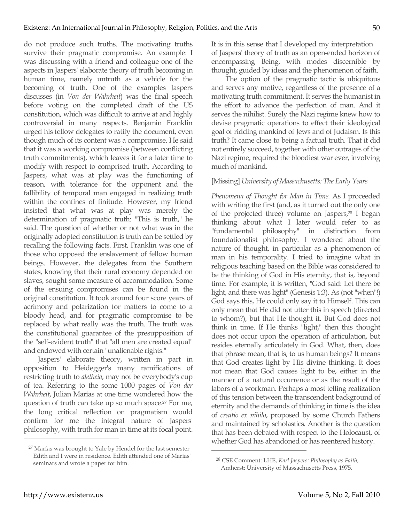do not produce such truths. The motivating truths survive their pragmatic compromise. An example: I was discussing with a friend and colleague one of the aspects in Jaspers' elaborate theory of truth becoming in human time, namely untruth as a vehicle for the becoming of truth. One of the examples Jaspers discusses (in *Von der Wahrheit*) was the final speech before voting on the completed draft of the US constitution, which was difficult to arrive at and highly controversial in many respects. Benjamin Franklin urged his fellow delegates to ratify the document, even though much of its content was a compromise. He said that it was a working compromise (between conflicting truth commitments), which leaves it for a later time to modify with respect to comprised truth. According to Jaspers, what was at play was the functioning of reason, with tolerance for the opponent and the fallibility of temporal man engaged in realizing truth within the confines of finitude. However, my friend insisted that what was at play was merely the determination of pragmatic truth: "This is truth," he said. The question of whether or not what was in the originally adopted constitution is truth can be settled by recalling the following facts. First, Franklin was one of those who opposed the enslavement of fellow human beings. However, the delegates from the Southern states, knowing that their rural economy depended on slaves, sought some measure of accommodation. Some of the ensuing compromises can be found in the original constitution. It took around four score years of acrimony and polarization for matters to come to a bloody head, and for pragmatic compromise to be replaced by what really was the truth. The truth was the constitutional guarantee of the presupposition of the "self-evident truth" that "all men are created equal" and endowed with certain "unalienable rights."

Jaspers' elaborate theory, written in part in opposition to Heidegger's many ramifications of restricting truth to *aletheia*, may not be everybody's cup of tea. Referring to the some 1000 pages of *Von der Wahrheit*, Julian Marías at one time wondered how the question of truth can take up so much space.27 For me, the long critical reflection on pragmatism would confirm for me the integral nature of Jaspers' philosophy, with truth for man in time at its focal point. It is in this sense that I developed my interpretation of Jaspers' theory of truth as an open-ended horizon of encompassing Being, with modes discernible by thought, guided by ideas and the phenomenon of faith.

The option of the pragmatic tactic is ubiquitous and serves any motive, regardless of the presence of a motivating truth commitment. It serves the humanist in the effort to advance the perfection of man. And it serves the nihilist. Surely the Nazi regime knew how to devise pragmatic operations to effect their ideological goal of ridding mankind of Jews and of Judaism. Is this truth? It came close to being a factual truth. That it did not entirely succeed, together with other outrages of the Nazi regime, required the bloodiest war ever, involving much of mankind.

## [Missing] *University of Massachusetts: The Early Years*

*Phenomena of Thought for Man in Time*. As I proceeded with writing the first (and, as it turned out the only one of the projected three) volume on Jaspers,28 I began thinking about what I later would refer to as "fundamental philosophy" in distinction from foundationalist philosophy. I wondered about the nature of thought, in particular as a phenomenon of man in his temporality. I tried to imagine what in religious teaching based on the Bible was considered to be the thinking of God in His eternity, that is, beyond time. For example, it is written, "God said: Let there be light, and there was light" (Genesis 1:3). As (not "when"!) God says this, He could only say it to Himself. This can only mean that He did not utter this in speech (directed to whom?), but that He thought it. But God does not think in time. If He thinks "light," then this thought does not occur upon the operation of articulation, but resides eternally articulately in God. What, then, does that phrase mean, that is, to us human beings? It means that God creates light by His divine thinking. It does not mean that God causes light to be, either in the manner of a natural occurrence or as the result of the labors of a workman. Perhaps a most telling realization of this tension between the transcendent background of eternity and the demands of thinking in time is the idea of *creatio ex nihilo*, proposed by some Church Fathers and maintained by scholastics*.* Another is the question that has been debated with respect to the Holocaust, of whether God has abandoned or has reentered history.

 $\overline{a}$ 

<sup>&</sup>lt;sup>27</sup> Marías was brought to Yale by Hendel for the last semester Edith and I were in residence. Edith attended one of Marías' seminars and wrote a paper for him.

<sup>28</sup> CSE Comment: LHE, *Karl Jaspers: Philosophy as Faith*, Amherst: University of Massachusetts Press, 1975.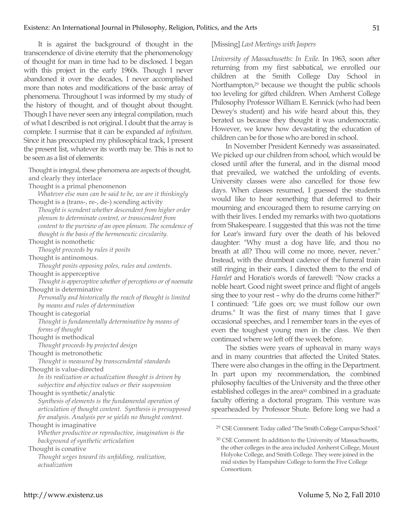It is against the background of thought in the transcendence of divine eternity that the phenomenology of thought for man in time had to be disclosed. I began with this project in the early 1960s. Though I never abandoned it over the decades, I never accomplished more than notes and modifications of the basic array of phenomena. Throughout I was informed by my study of the history of thought, and of thought about thought. Though I have never seen any integral compilation, much of what I described is not original. I doubt that the array is complete. I surmise that it can be expanded *ad infinitum*. Since it has preoccupied my philosophical track, I present the present list, whatever its worth may be. This is not to be seen as a list of elements:

Thought is integral, these phenomena are aspects of thought, and clearly they interlace

Thought is a primal phenomenon

*Whatever else man can be said to be, we are it thinkingly* Thought is a (trans-, re-, de-) scending activity

*Thought is scendent whether descendent from higher order plenum to determinate content, or transcendent from content to the purview of an open plenum. The scendence of thought is the basis of the hermeneutic circularity.*

Thought is nomothetic

*Thought proceeds by rules it posits*

Thought is antinomous.

*Thought posits opposing poles, rules and contents*.

Thought is apperceptive

*Thought is apperceptive whether of perceptions or of noemata* Thought is determinative

*Personally and historically the reach of thought is limited by means and rules of determination* 

Thought is categorial

*Thought is fundamentally determinative by means of forms of thought*

Thought is methodical

*Thought proceeds by projected design* 

Thought is metronothetic

*Thought is measured by transcendental standards* Thought is value-directed

*In its realization or actualization thought is driven by subjective and objective values or their suspension*

Thought is synthetic/analytic

*Synthesis of elements is the fundamental operation of articulation of thought content. Synthesis is presupposed for analysis. Analysis per se yields no thought content.*

Thought is imaginative

*Whether productive or reproductive, imagination is the background of synthetic articulation* 

Thought is conative

*Thought urges toward its unfolding, realization, actualization*

#### [Missing] *Last Meetings with Jaspers*

*University of Massachusetts: In Exile*. In 1963, soon after returning from my first sabbatical, we enrolled our children at the Smith College Day School in Northampton,29 because we thought the public schools too leveling for gifted children. When Amherst College Philosophy Professor William E. Kennick (who had been Dewey's student) and his wife heard about this, they berated us because they thought it was undemocratic. However, we knew how devastating the education of children can be for those who are bored in school.

In November President Kennedy was assassinated. We picked up our children from school, which would be closed until after the funeral, and in the dismal mood that prevailed, we watched the unfolding of events. University classes were also cancelled for those few days. When classes resumed, I guessed the students would like to hear something that deferred to their mourning and encouraged them to resume carrying on with their lives. I ended my remarks with two quotations from Shakespeare. I suggested that this was not the time for Lear's inward fury over the death of his beloved daughter: "Why must a dog have life, and thou no breath at all? Thou will come no more, never, never." Instead, with the drumbeat cadence of the funeral train still ringing in their ears, I directed them to the end of *Hamlet* and Horatio's words of farewell: "Now cracks a noble heart. Good night sweet prince and flight of angels sing thee to your rest – why do the drums come hither?" I continued: "Life goes on; we must follow our own drums." It was the first of many times that I gave occasional speeches, and I remember tears in the eyes of even the toughest young men in the class. We then continued where we left off the week before.

The sixties were years of upheaval in many ways and in many countries that affected the United States. There were also changes in the offing in the Department. In part upon my recommendation, the combined philosophy faculties of the University and the three other established colleges in the area<sup>30</sup> combined in a graduate faculty offering a doctoral program. This venture was spearheaded by Professor Shute. Before long we had a

<sup>29</sup> CSE Comment: Today called "The Smith College Campus School."

<sup>30</sup> CSE Comment: In addition to the University of Massachusetts, the other colleges in the area included Amherst College, Mount Holyoke College, and Smith College. They were joined in the mid sixties by Hampshire College to form the Five College Consortium.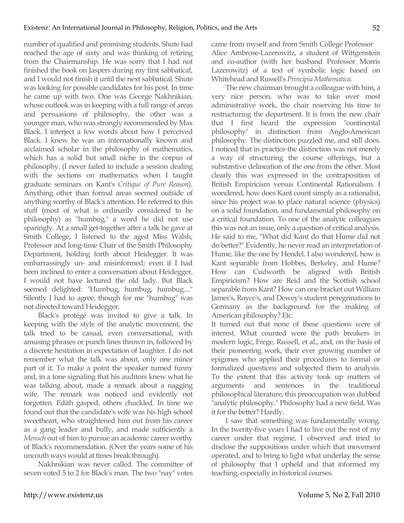number of qualified and promising students. Shute had reached the age of sixty and was thinking of retiring from the Chairmanship. He was sorry that I had not finished the book on Jaspers during my first sabbatical, and I would not finish it until the next sabbatical. Shute was looking for possible candidates for his post. In time he came up with two. One was George Nakhnikian, whose outlook was in keeping with a full range of areas and persuasions of philosophy, the other was a younger man, who was strongly recommended by Max Black. I interject a few words about how I perceived Black. I knew he was an internationally known and acclaimed scholar in the philosophy of mathematics, which has a solid but small niche in the corpus of philosophy. (I never failed to include a session dealing with the sections on mathematics when I taught graduate seminars on Kant's *Critique of Pure Reason*). Anything other than formal areas seemed outside of anything worthy of Black's attention. He referred to this stuff (most of what is ordinarily considered to be philosophy) as "humbug," a word he did not use sparingly. At a small get-together after a talk he gave at Smith College, I listened to the aged Miss Walsh, Professor and long-time Chair of the Smith Philosophy Department, holding forth about Heidegger. It was embarrassingly un- and misinformed; even if I had been inclined to enter a conversation about Heidegger, I would not have lectured the old lady. But Black seemed delighted: "Humbug, humbug, humbug...." Silently I had to agree, though for me "humbug" was not directed toward Heidegger.

Black's protégé was invited to give a talk. In keeping with the style of the analytic movement, the talk tried to be casual, even conversational, with amusing phrases or punch lines thrown in, followed by a discrete hesitation in expectation of laughter. I do not remember what the talk was about, only one minor part of it. To make a point the speaker turned funny and, in a tone signaling that his auditors knew what he was talking about, made a remark about a nagging wife. The remark was noticed and evidently not forgotten. Edith gasped, others chuckled. In time we found out that the candidate's wife was his high school sweetheart, who straightened him out from his career as a gang leader and bully, and made sufficiently a *Mensch* out of him to pursue an academic career worthy of Black's recommendation. (Over the years some of his uncouth ways would at times break through).

Nakhnikian was never called. The committee of seven voted 5 to 2 for Black's man. The two "nay" votes came from myself and from Smith College Professor Alice Ambrose-Lazerowitz, a student of Wittgenstein and co-author (with her husband Professor Morris Lazerowitz) of a text of symbolic logic based on Whitehead and Russell's *Principia Mathematica*.

The new chairman brought a colleague with him, a very nice person, who was to take over most administrative work, the chair reserving his time to restructuring the department. It is from the new chair that I first heard the expression "continental philosophy" in distinction from Anglo-American philosophy. The distinction puzzled me, and still does. I noticed that in practice the distinction was not merely a way of structuring the course offerings, but a substantive delineation of the one from the other. Most clearly this was expressed in the contraposition of British Empiricism versus Continental Rationalism. I wondered, how does Kant count simply as a rationalist, since his project was to place natural science (physics) on a solid foundation, and fundamental philosophy on a critical foundation. To one of the analytic colleagues this was not an issue, only a question of critical analysis. He said to me, "What did Kant do that Hume did not do better?" Evidently, he never read an interpretation of Hume, like the one by Hendel. I also wondered, how is Kant separable from Hobbes, Berkeley, and Hume? How can Cudworth be aligned with British Empiricism? How are Reid and the Scottish school separable from Kant? How can one bracket out William James's, Royce's, and Dewey's student peregrinations to Germany as the background for the making of American philosophy? Etc.

It turned out that none of these questions were of interest. What counted were the path breakers in modern logic, Frege, Russell, et al., and, on the basis of their pioneering work, their ever growing number of epigones who applied their procedures to formal or formalized questions and subjected them to analysis. To the extent that this activity took up matters of arguments and sentences in the traditional philosophical literature, this preoccupation was dubbed "analytic philosophy." Philosophy had a new field. Was it for the better? Hardly.

I saw that something was fundamentally wrong. In the twenty-five years I had to live out the rest of my career under that regime, I observed and tried to disclose the suppositions under which that movement operated, and to bring to light what underlay the sense of philosophy that I upheld and that informed my teaching, especially in historical courses.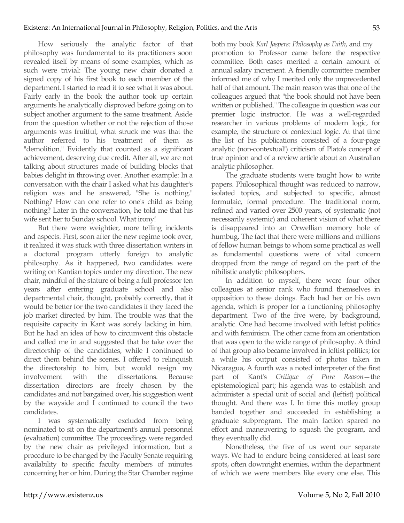How seriously the analytic factor of that philosophy was fundamental to its practitioners soon revealed itself by means of some examples, which as such were trivial: The young new chair donated a signed copy of his first book to each member of the department. I started to read it to see what it was about. Fairly early in the book the author took up certain arguments he analytically disproved before going on to subject another argument to the same treatment. Aside from the question whether or not the rejection of those arguments was fruitful, what struck me was that the author referred to his treatment of them as "demolition." Evidently that counted as a significant achievement, deserving due credit. After all, we are not talking about structures made of building blocks that babies delight in throwing over. Another example: In a conversation with the chair I asked what his daughter's religion was and he answered, "She is nothing." Nothing? How can one refer to one's child as being nothing? Later in the conversation, he told me that his wife sent her to Sunday school. What irony!

But there were weightier, more telling incidents and aspects. First, soon after the new regime took over, it realized it was stuck with three dissertation writers in a doctoral program utterly foreign to analytic philosophy. As it happened, two candidates were writing on Kantian topics under my direction. The new chair, mindful of the stature of being a full professor ten years after entering graduate school and also departmental chair, thought, probably correctly, that it would be better for the two candidates if they faced the job market directed by him. The trouble was that the requisite capacity in Kant was sorely lacking in him. But he had an idea of how to circumvent this obstacle and called me in and suggested that he take over the directorship of the candidates, while I continued to direct them behind the scenes. I offered to relinquish the directorship to him, but would resign my involvement with the dissertations. Because dissertation directors are freely chosen by the candidates and not bargained over, his suggestion went by the wayside and I continued to council the two candidates.

I was systematically excluded from being nominated to sit on the department's annual personnel (evaluation) committee. The proceedings were regarded by the new chair as privileged information, but a procedure to be changed by the Faculty Senate requiring availability to specific faculty members of minutes concerning her or him. During the Star Chamber regime both my book *Karl Jaspers: Philosophy as Faith*, and my promotion to Professor came before the respective committee. Both cases merited a certain amount of annual salary increment. A friendly committee member informed me of why I merited only the unprecedented half of that amount. The main reason was that one of the colleagues argued that "the book should not have been written or published." The colleague in question was our premier logic instructor. He was a well-regarded researcher in various problems of modern logic, for example, the structure of contextual logic. At that time the list of his publications consisted of a four-page analytic (non-contextual!) criticism of Plato's concept of true opinion and of a review article about an Australian analytic philosopher.

The graduate students were taught how to write papers. Philosophical thought was reduced to narrow, isolated topics, and subjected to specific, almost formulaic, formal procedure. The traditional norm, refined and varied over 2500 years, of systematic (not necessarily systemic) and coherent vision of what there is disappeared into an Orwellian memory hole of humbug. The fact that there were millions and millions of fellow human beings to whom some practical as well as fundamental questions were of vital concern dropped from the range of regard on the part of the nihilistic analytic philosophers.

In addition to myself, there were four other colleagues at senior rank who found themselves in opposition to these doings. Each had her or his own agenda, which is proper for a functioning philosophy department. Two of the five were, by background, analytic. One had become involved with leftist politics and with feminism. The other came from an orientation that was open to the wide range of philosophy. A third of that group also became involved in leftist politics; for a while his output consisted of photos taken in Nicaragua, A fourth was a noted interpreter of the first part of Kant's *Critique of Pure Reason*—the epistemological part; his agenda was to establish and administer a special unit of social and (leftist) political thought*.* And there was I. In time this motley group banded together and succeeded in establishing a graduate subprogram. The main faction spared no effort and maneuvering to squash the program, and they eventually did.

Nonetheless, the five of us went our separate ways. We had to endure being considered at least sore spots, often downright enemies, within the department of which we were members like every one else. This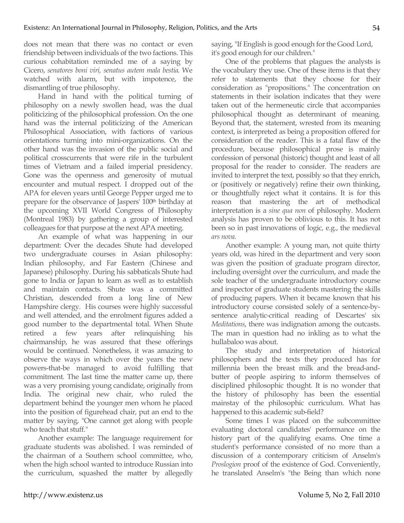does not mean that there was no contact or even friendship between individuals of the two factions. This curious cohabitation reminded me of a saying by Cicero, *senatores boni viri, senatus autem mala bestia*. We watched with alarm, but with impotence, the dismantling of true philosophy.

Hand in hand with the political turning of philosophy on a newly swollen head, was the dual politicizing of the philosophical profession. On the one hand was the internal politicizing of the American Philosophical Association, with factions of various orientations turning into mini-organizations. On the other hand was the invasion of the public social and political crosscurrents that were rife in the turbulent times of Vietnam and a failed imperial presidency. Gone was the openness and generosity of mutual encounter and mutual respect. I dropped out of the APA for eleven years until George Pepper urged me to prepare for the observance of Jaspers' 100<sup>th</sup> birthday at the upcoming XVII World Congress of Philosophy (Montreal 1983) by gathering a group of interested colleagues for that purpose at the next APA meeting.

An example of what was happening in our department: Over the decades Shute had developed two undergraduate courses in Asian philosophy: Indian philosophy, and Far Eastern (Chinese and Japanese) philosophy. During his sabbaticals Shute had gone to India or Japan to learn as well as to establish and maintain contacts. Shute was a committed Christian, descended from a long line of New Hampshire clergy. His courses were highly successful and well attended, and the enrolment figures added a good number to the departmental total. When Shute retired a few years after relinquishing his chairmanship, he was assured that these offerings would be continued. Nonetheless, it was amazing to observe the ways in which over the years the new powers-that-be managed to avoid fulfilling that commitment. The last time the matter came up, there was a very promising young candidate, originally from India. The original new chair, who ruled the department behind the younger men whom he placed into the position of figurehead chair, put an end to the matter by saying, "One cannot get along with people who teach that stuff."

Another example: The language requirement for graduate students was abolished. I was reminded of the chairman of a Southern school committee, who, when the high school wanted to introduce Russian into the curriculum, squashed the matter by allegedly saying, "If English is good enough for the Good Lord, it's good enough for our children."

One of the problems that plagues the analysts is the vocabulary they use. One of these items is that they refer to statements that they choose for their consideration as "propositions." The concentration on statements in their isolation indicates that they were taken out of the hermeneutic circle that accompanies philosophical thought as determinant of meaning. Beyond that, the statement, wrested from its meaning context, is interpreted as being a proposition offered for consideration of the reader. This is a fatal flaw of the procedure, because philosophical prose is mainly confession of personal (historic) thought and least of all proposal for the reader to consider. The readers are invited to interpret the text, possibly so that they enrich, or (positively or negatively) refine their own thinking, or thoughtfully reject what it contains. It is for this reason that mastering the art of methodical interpretation is a *sine qua non* of philosophy. Modern analysis has proven to be oblivious to this. It has not been so in past innovations of logic, e.g., the medieval *ars nova*.

Another example: A young man, not quite thirty years old, was hired in the department and very soon was given the position of graduate program director, including oversight over the curriculum, and made the sole teacher of the undergraduate introductory course and inspector of graduate students mastering the skills of producing papers. When it became known that his introductory course consisted solely of a sentence-bysentence analytic-critical reading of Descartes' six *Meditations*, there was indignation among the outcasts. The man in question had no inkling as to what the hullabaloo was about.

The study and interpretation of historical philosophers and the texts they produced has for millennia been the breast milk and the bread-andbutter of people aspiring to inform themselves of disciplined philosophic thought. It is no wonder that the history of philosophy has been the essential mainstay of the philosophic curriculum. What has happened to this academic sub-field?

Some times I was placed on the subcommittee evaluating doctoral candidates' performance on the history part of the qualifying exams. One time a student's performance consisted of no more than a discussion of a contemporary criticism of Anselm's *Proslogion* proof of the existence of God. Conveniently, he translated Anselm's "the Being than which none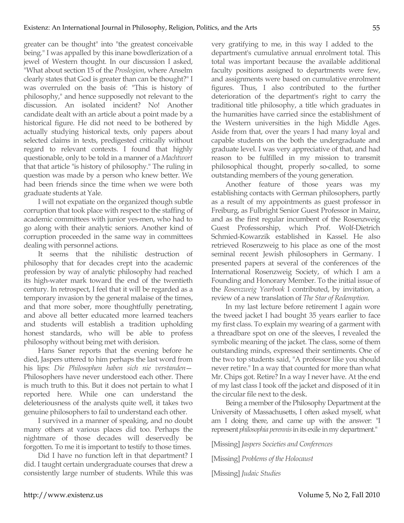greater can be thought" into "the greatest conceivable being." I was appalled by this inane bowdlerization of a jewel of Western thought. In our discussion I asked, "What about section 15 of the *Proslogion*, where Anselm clearly states that God is greater than can be thought?" I was overruled on the basis of: "This is history of philosophy," and hence supposedly not relevant to the discussion. An isolated incident? No! Another candidate dealt with an article about a point made by a historical figure. He did not need to be bothered by actually studying historical texts, only papers about selected claims in texts, predigested critically without regard to relevant contexts. I found that highly questionable, only to be told in a manner of a *Machtwort* that that article "is history of philosophy." The ruling in question was made by a person who knew better. We had been friends since the time when we were both graduate students at Yale.

I will not expatiate on the organized though subtle corruption that took place with respect to the staffing of academic committees with junior yes-men, who had to go along with their analytic seniors. Another kind of corruption proceeded in the same way in committees dealing with personnel actions.

It seems that the nihilistic destruction of philosophy that for decades crept into the academic profession by way of analytic philosophy had reached its high-water mark toward the end of the twentieth century. In retrospect, I feel that it will be regarded as a temporary invasion by the general malaise of the times, and that more sober, more thoughtfully penetrating, and above all better educated more learned teachers and students will establish a tradition upholding honest standards, who will be able to profess philosophy without being met with derision.

Hans Saner reports that the evening before he died, Jaspers uttered to him perhaps the last word from his lips: *Die Philosophen haben sich nie verstanden*— Philosophers have never understood each other. There is much truth to this. But it does not pertain to what I reported here. While one can understand the deleteriousness of the analysts quite well, it takes two genuine philosophers to fail to understand each other.

I survived in a manner of speaking, and no doubt many others at various places did too. Perhaps the nightmare of those decades will deservedly be forgotten. To me it is important to testify to those times.

Did I have no function left in that department? I did. I taught certain undergraduate courses that drew a consistently large number of students. While this was very gratifying to me, in this way I added to the department's cumulative annual enrolment total. This total was important because the available additional faculty positions assigned to departments were few, and assignments were based on cumulative enrolment figures. Thus, I also contributed to the further deterioration of the department's right to carry the traditional title philosophy, a title which graduates in the humanities have carried since the establishment of the Western universities in the high Middle Ages. Aside from that, over the years I had many loyal and capable students on the both the undergraduate and graduate level. I was very appreciative of that, and had reason to be fulfilled in my mission to transmit philosophical thought, properly so-called, to some outstanding members of the young generation.

Another feature of those years was my establishing contacts with German philosophers, partly as a result of my appointments as guest professor in Freiburg, as Fulbright Senior Guest Professor in Mainz, and as the first regular incumbent of the Rosenzweig Guest Professorship, which Prof. Wolf-Dietrich Schmied-Kowarzik established in Kassel. He also retrieved Rosenzweig to his place as one of the most seminal recent Jewish philosophers in Germany. I presented papers at several of the conferences of the International Rosenzweig Society, of which I am a Founding and Honorary Member. To the initial issue of the *Rosenzweig Yearbook* I contributed, by invitation, a review of a new translation of *The Star of Redemption*.

In my last lecture before retirement I again wore the tweed jacket I had bought 35 years earlier to face my first class. To explain my wearing of a garment with a threadbare spot on one of the sleeves, I revealed the symbolic meaning of the jacket. The class, some of them outstanding minds, expressed their sentiments. One of the two top students said, "A professor like you should never retire." In a way that counted for more than what Mr. Chips got. Retire? In a way I never have. At the end of my last class I took off the jacket and disposed of it in the circular file next to the desk.

Being a member of the Philosophy Department at the University of Massachusetts, I often asked myself, what am I doing there, and came up with the answer: "I represent *philosophia perennis* in its exile in my department."

[Missing] *Jaspers Societies and Conferences*

[Missing] *Problems of the Holocaust*

[Missing] *Judaic Studies*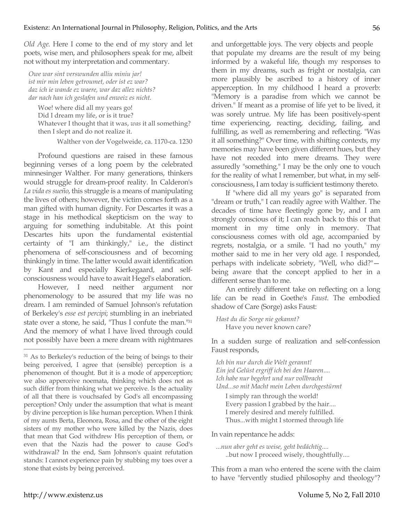*Old Age*. Here I come to the end of my story and let poets, wise men, and philosophers speak for me, albeit not without my interpretation and commentary.

*Owe war sint verswunden alliu miniu jar! ist mir min leben getroumet, oder ist ez war? daz ich ie wande ez waere, war daz allez nichts? dar nach han ich geslafen und enweiz es nicht.*

Woe! where did all my years go! Did I dream my life, or is it true? Whatever I thought that it was, *was* it all something? then I slept and do not realize it.

Walther von der Vogelweide, ca. 1170-ca. 1230

Profound questions are raised in these famous beginning verses of a long poem by the celebrated minnesinger Walther. For many generations, thinkers would struggle for dream-proof reality. In Calderon's *La vida es sueño*, this struggle is a means of manipulating the lives of others; however, the victim comes forth as a man gifted with human dignity. For Descartes it was a stage in his methodical skepticism on the way to arguing for something indubitable. At this point Descartes hits upon the fundamental existential certainty of "I am thinkingly," i.e., the distinct phenomena of self-consciousness and of becoming thinkingly in time. The latter would await identification by Kant and especially Kierkegaard, and selfconsciousness would have to await Hegel's elaboration.

However, I need neither argument nor phenomenology to be assured that my life was no dream. I am reminded of Samuel Johnson's refutation of Berkeley's *esse est percipi*; stumbling in an inebriated state over a stone, he said, "Thus I confute the man."31 And the memory of what I have lived through could not possibly have been a mere dream with nightmares

and unforgettable joys. The very objects and people that populate my dreams are the result of my being informed by a wakeful life, though my responses to them in my dreams, such as fright or nostalgia, can more plausibly be ascribed to a history of inner apperception. In my childhood I heard a proverb: "Memory is a paradise from which we cannot be driven." If meant as a promise of life yet to be lived, it was sorely untrue. My life has been positively-spent time experiencing, reacting, deciding, failing, and fulfilling, as well as remembering and reflecting. "Was it all something?" Over time, with shifting contexts, my memories may have been given different hues, but they have not receded into mere dreams. They were assuredly "something." I may be the only one to vouch for the reality of what I remember, but what, in my selfconsciousness, I am today is sufficient testimony thereto.

If "where did all my years go" is separated from "dream or truth," I can readily agree with Walther. The decades of time have fleetingly gone by, and I am strongly conscious of it; I can reach back to this or that moment in my time only in memory. That consciousness comes with old age, accompanied by regrets, nostalgia, or a smile. "I had no youth," my mother said to me in her very old age. I responded, perhaps with indelicate sobriety, "Well, who did?" being aware that the concept applied to her in a different sense than to me.

An entirely different take on reflecting on a long life can be read in Goethe's *Faust*. The embodied shadow of Care (Sorge) asks Faust:

*Hast du die Sorge nie gekannt?* Have you never known care?

In a sudden surge of realization and self-confession Faust responds,

*Ich bin nur durch die Welt gerannt! Ein jed Gelüst ergriff ich bei den Haaren.... Ich habe nur begehrt und nur vollbracht Und...so mit Macht mein Leben durchgestürmt*

I simply ran through the world! Every passion I grabbed by the hair.... I merely desired and merely fulfilled. Thus...with might I stormed through life

In vain repentance he adds:

```
...nun aber geht es weise, geht bedächtig....
..but now I proceed wisely, thoughtfully....
```
This from a man who entered the scene with the claim to have "fervently studied philosophy and theology"?

<sup>&</sup>lt;sup>31</sup> As to Berkeley's reduction of the being of beings to their being perceived, I agree that (sensible) perception is a phenomenon of thought. But it is a mode of apperception; we also apperceive noemata, thinking which does not as such differ from thinking what we perceive. Is the actuality of all that there is vouchsafed by God's all encompassing perception? Only under the assumption that what is meant by divine perception is like human perception. When I think of my aunts Berta, Eleonora, Rosa, and the other of the eight sisters of my mother who were killed by the Nazis, does that mean that God withdrew His perception of them, or even that the Nazis had the power to cause God's withdrawal? In the end, Sam Johnson's quaint refutation stands: I cannot experience pain by stubbing my toes over a stone that exists by being perceived.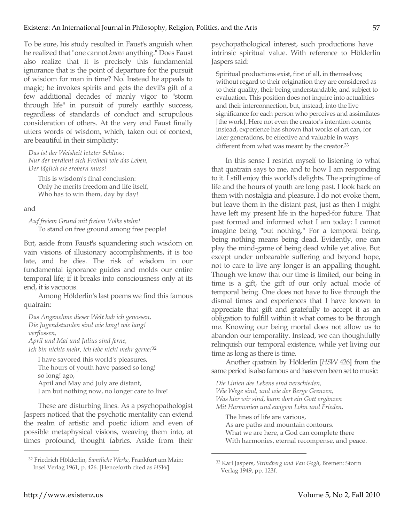To be sure, his study resulted in Faust's anguish when he realized that "one cannot *know* anything." Does Faust also realize that it is precisely this fundamental ignorance that is the point of departure for the pursuit of wisdom for man in time? No. Instead he appeals to magic; he invokes spirits and gets the devil's gift of a few additional decades of manly vigor to "storm through life" in pursuit of purely earthly success, regardless of standards of conduct and scrupulous consideration of others. At the very end Faust finally utters words of wisdom, which, taken out of context, are beautiful in their simplicity:

*Das ist der Weisheit letzter Schluss: Nur der verdient sich Freiheit wie das Leben, Der täglich sie erobern muss!*

This is wisdom's final conclusion: Only he merits freedom and life itself, Who has to win them, day by day!

#### and

*Auf freiem Grund mit freiem Volke stehn!* To stand on free ground among free people!

But, aside from Faust's squandering such wisdom on vain visions of illusionary accomplishments, it is too late, and he dies. The risk of wisdom in our fundamental ignorance guides and molds our entire temporal life; if it breaks into consciousness only at its end, it is vacuous.

Among Hölderlin's last poems we find this famous quatrain:

*Das Angenehme dieser Welt hab ich genossen, Die Jugendstunden sind wie lang! wie lang! verflossen, April und Mai und Julius sind ferne, Ich bin nichts mehr, ich lebe nicht mehr gerne!*<sup>32</sup>

I have savored this world's pleasures, The hours of youth have passed so long! so long! ago, April and May and July are distant, I am but nothing now, no longer care to live!

These are disturbing lines. As a psychopathologist Jaspers noticed that the psychotic mentality can extend the realm of artistic and poetic idiom and even of possible metaphysical visions, weaving them into, at times profound, thought fabrics. Aside from their

psychopathological interest, such productions have intrinsic spiritual value. With reference to Hölderlin Jaspers said:

Spiritual productions exist, first of all, in themselves; without regard to their origination they are considered as to their quality, their being understandable, and subject to evaluation. This position does not inquire into actualities and their interconnection, but, instead, into the live significance for each person who perceives and assimilates [the work]. Here not even the creator's intention counts; instead, experience has shown that works of art can, for later generations, be effective and valuable in ways different from what was meant by the creator.<sup>33</sup>

In this sense I restrict myself to listening to what that quatrain says to me, and to how I am responding to it. I still enjoy this world's delights. The springtime of life and the hours of youth are long past. I look back on them with nostalgia and pleasure. I do not evoke them, but leave them in the distant past, just as then I might have left my present life in the hoped-for future. That past formed and informed what I am today: I cannot imagine being "but nothing." For a temporal being, being nothing means being dead. Evidently, one can play the mind-game of being dead while yet alive. But except under unbearable suffering and beyond hope, not to care to live any longer is an appalling thought. Though we know that our time is limited, our being in time is a gift, the gift of our only actual mode of temporal being. One does not have to live through the dismal times and experiences that I have known to appreciate that gift and gratefully to accept it as an obligation to fulfill within it what comes to be through me. Knowing our being mortal does not allow us to abandon our temporality. Instead, we can thoughtfully relinquish our temporal existence, while yet living our time as long as there is time.

Another quatrain by Hölderlin [*HSW* 426] from the same period is also famous and has even been set to music:

*Die Linien des Lebens sind verschieden, Wie Wege sind, und wie der Berge Grenzen, Was hier wir sind, kann dort ein Gott ergänzen Mit Harmonien und ewigem Lohn und Frieden.*

The lines of life are various, As are paths and mountain contours. What we are here, a God can complete there With harmonies, eternal recompense, and peace.

 $\overline{a}$ 

<sup>32</sup> Friedrich Hölderlin, *Sämtliche Werke*, Frankfurt am Main: Insel Verlag 1961, p. 426. [Henceforth cited as *HSW*]

<sup>33</sup> Karl Jaspers, *Strindberg und Van Gogh*, Bremen: Storm Verlag 1949, pp. 123f.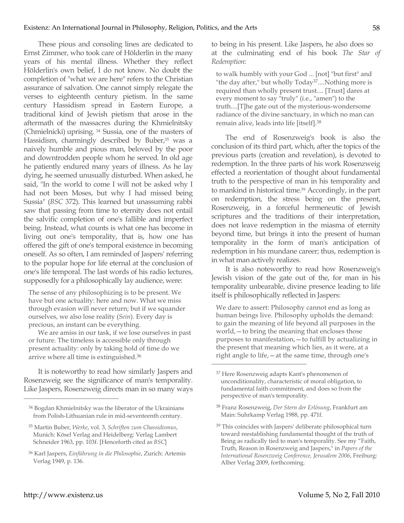These pious and consoling lines are dedicated to Ernst Zimmer, who took care of Hölderlin in the many years of his mental illness. Whether they reflect Hölderlin's own belief, I do not know. No doubt the completion of "what we are here" refers to the Christian assurance of salvation. One cannot simply relegate the verses to eighteenth century pietism. In the same century Hassidism spread in Eastern Europe, a traditional kind of Jewish pietism that arose in the aftermath of the massacres during the Khmielnitsky (Chmielnicki) uprising. 34 Sussia, one of the masters of Hassidism, charmingly described by Buber,<sup>35</sup> was a naively humble and pious man, beloved by the poor and downtrodden people whom he served. In old age he patiently endured many years of illness. As he lay dying, he seemed unusually disturbed. When asked, he said, "In the world to come I will not be asked why I had not been Moses, but why I had missed being Sussia" (*BSC* 372). This learned but unassuming rabbi saw that passing from time to eternity does not entail the salvific completion of one's fallible and imperfect being. Instead, what counts is what one has become in living out one's temporality, that is, how one has offered the gift of one's temporal existence in becoming oneself. As so often, I am reminded of Jaspers' referring to the popular hope for life eternal at the conclusion of one's life temporal. The last words of his radio lectures, supposedly for a philosophically lay audience, were:

The sense of any philosophizing is to be present. We have but one actuality: here and now. What we miss through evasion will never return; but if we squander ourselves, we also lose reality (*Sein*). Every day is precious, an instant can be everything.

We are amiss in our task, if we lose ourselves in past or future. The timeless is accessible only through present actuality: only by taking hold of time do we arrive where all time is extinguished.36

It is noteworthy to read how similarly Jaspers and Rosenzweig see the significance of man's temporality. Like Jaspers, Rosenzweig directs man in so many ways to being in his present. Like Jaspers, he also does so at the culminating end of his book *The Star of Redemption*:

to walk humbly with your God ... [not] "but first" and "the day after," but wholly Today<sup>37</sup>....Nothing more is required than wholly present trust.... [Trust] dares at every moment to say "truly" (i.e., "amen") to the truth....[T]he gate out of the mysterious-wondersome radiance of the divine sanctuary, in which no man can remain alive, leads into life [itself].38

The end of Rosenzweig's book is also the conclusion of its third part, which, after the topics of the previous parts (creation and revelation), is devoted to redemption. In the three parts of his work Rosenzweig effected a reorientation of thought about fundamental truth to the perspective of man in his temporality and to mankind in historical time.39 Accordingly, in the part on redemption, the stress being on the present, Rosenzweig, in a forceful hermeneutic of Jewish scriptures and the traditions of their interpretation, does not leave redemption in the miasma of eternity beyond time, but brings it into the present of human temporality in the form of man's anticipation of redemption in his mundane career; thus, redemption is in what man actively realizes.

It is also noteworthy to read how Rosenzweig's Jewish vision of the gate out of the, for man in his temporality unbearable, divine presence leading to life itself is philosophically reflected in Jaspers:

We dare to assert: Philosophy cannot end as long as human beings live. Philosophy upholds the demand: to gain the meaning of life beyond all purposes in the world,—to bring the meaning that encloses those purposes to manifestation,—to fulfill by actualizing in the present that meaning which lies, as it were, at a right angle to life,—at the same time, through one's

 $\overline{a}$ 

<sup>34</sup> Bogdan Khmielnitsky was the liberator of the Ukrainians from Polish-Lithuanian rule in mid-seventeenth century.

<sup>35</sup> Martin Buber, *Werke*, vol. 3, *Schriften zum Chassidismus*, Munich: Kösel Verlag and Heidelberg: Verlag Lambert Schneider 1963, pp. 103f. [Henceforth cited as *BSC*]

<sup>36</sup> Karl Jaspers, *Einführung in die Philosophie*, Zurich: Artemis Verlag 1949, p. 136.

<sup>37</sup> Here Rosenzweig adapts Kant's phenomenon of unconditionality, characteristic of moral obligation, to fundamental faith commitment, and does so from the perspective of man's temporality.

<sup>38</sup> Franz Rosenzweig, *Der Stern der Erlösung*, Frankfurt am Main: Suhrkamp Verlag 1988, pp. 471f.

<sup>39</sup> This coincides with Jaspers' deliberate philosophical turn toward reestablishing fundamental thought of the truth of Being as radically tied to man's temporality. See my "Faith, Truth, Reason in Rosenzweig and Jaspers," in *Papers of the International Rosenzweig Conference, Jerusalem 2006*, Freiburg: Alber Verlag 2009, forthcoming.